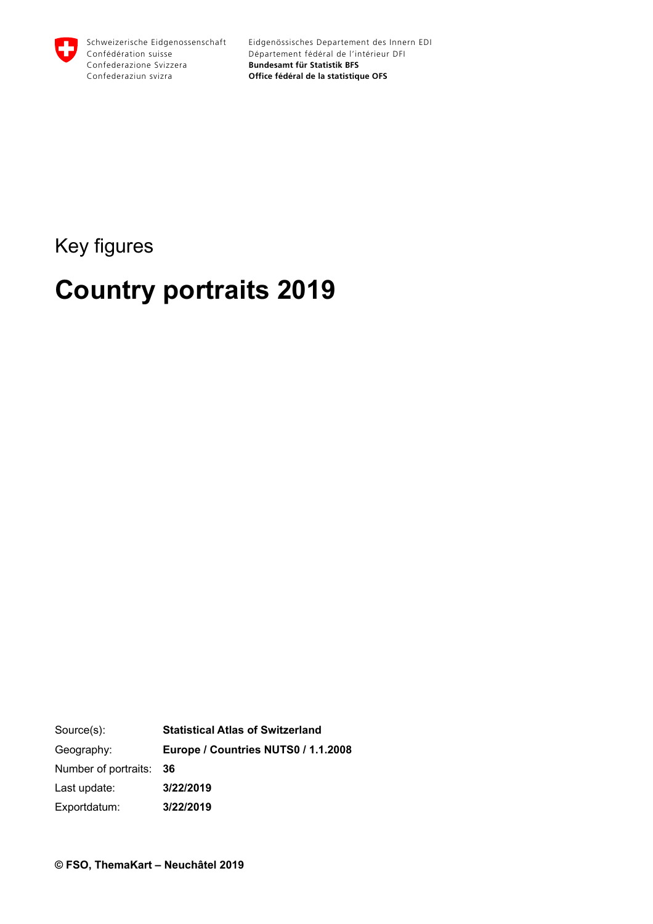

Key figures

# **Country portraits 2019**

Source(s): Geography: Number of portraits: Last update: Exportdatum: **Statistical Atlas of Switzerland Europe / Countries NUTS0 / 1.1.2008 36 3/22/2019 3/22/2019**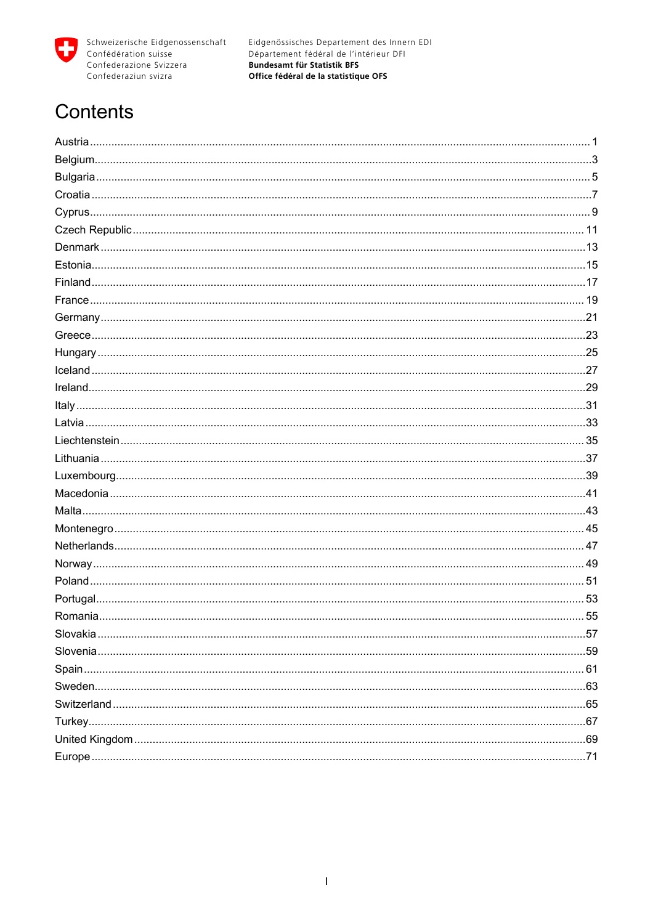

# Contents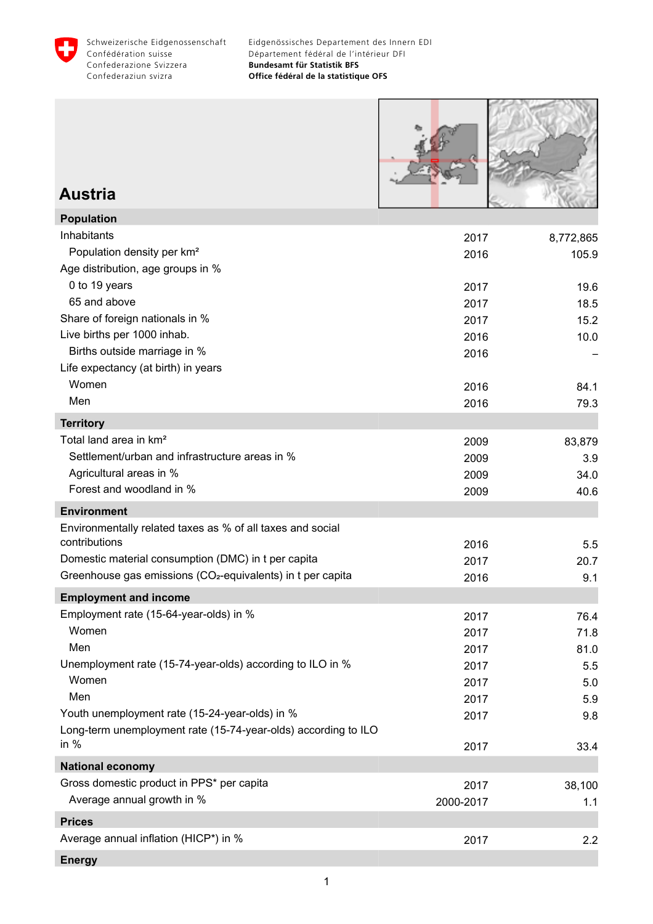<span id="page-2-0"></span>



### **Austria**

| <b>Population</b>                                                       |           |           |
|-------------------------------------------------------------------------|-----------|-----------|
| Inhabitants                                                             | 2017      | 8,772,865 |
| Population density per km <sup>2</sup>                                  | 2016      | 105.9     |
| Age distribution, age groups in %                                       |           |           |
| 0 to 19 years                                                           | 2017      | 19.6      |
| 65 and above                                                            | 2017      | 18.5      |
| Share of foreign nationals in %                                         | 2017      | 15.2      |
| Live births per 1000 inhab.                                             | 2016      | 10.0      |
| Births outside marriage in %                                            | 2016      |           |
| Life expectancy (at birth) in years                                     |           |           |
| Women                                                                   | 2016      | 84.1      |
| Men                                                                     | 2016      | 79.3      |
| <b>Territory</b>                                                        |           |           |
| Total land area in km <sup>2</sup>                                      | 2009      | 83,879    |
| Settlement/urban and infrastructure areas in %                          | 2009      | 3.9       |
| Agricultural areas in %                                                 | 2009      | 34.0      |
| Forest and woodland in %                                                | 2009      | 40.6      |
| <b>Environment</b>                                                      |           |           |
| Environmentally related taxes as % of all taxes and social              |           |           |
| contributions                                                           | 2016      | 5.5       |
| Domestic material consumption (DMC) in t per capita                     | 2017      | 20.7      |
| Greenhouse gas emissions (CO <sub>2</sub> -equivalents) in t per capita | 2016      | 9.1       |
| <b>Employment and income</b>                                            |           |           |
| Employment rate (15-64-year-olds) in %                                  | 2017      | 76.4      |
| Women                                                                   | 2017      | 71.8      |
| Men                                                                     | 2017      | 81.0      |
| Unemployment rate (15-74-year-olds) according to ILO in %               | 2017      | 5.5       |
| Women                                                                   | 2017      | 5.0       |
| Men                                                                     | 2017      | 5.9       |
| Youth unemployment rate (15-24-year-olds) in %                          | 2017      | 9.8       |
| Long-term unemployment rate (15-74-year-olds) according to ILO          |           |           |
| in $%$                                                                  | 2017      | 33.4      |
| <b>National economy</b>                                                 |           |           |
| Gross domestic product in PPS* per capita                               | 2017      | 38,100    |
| Average annual growth in %                                              | 2000-2017 | 1.1       |
| <b>Prices</b>                                                           |           |           |
| Average annual inflation (HICP*) in %                                   | 2017      | 2.2       |
| <b>Energy</b>                                                           |           |           |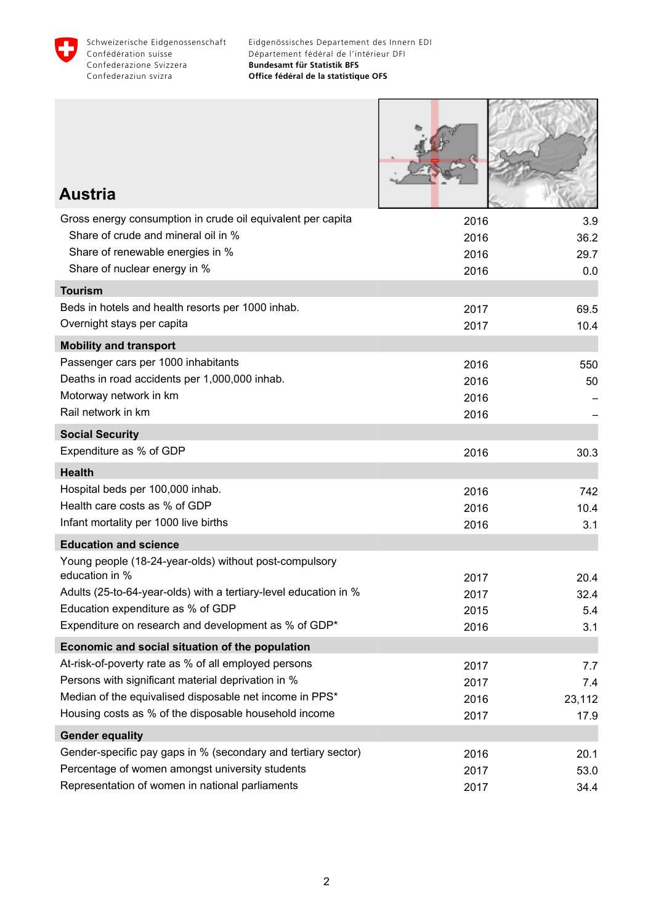

| <b>Austria</b>                                                                                                   |              |              |
|------------------------------------------------------------------------------------------------------------------|--------------|--------------|
| Gross energy consumption in crude oil equivalent per capita                                                      | 2016         | 3.9          |
| Share of crude and mineral oil in %                                                                              | 2016         | 36.2         |
| Share of renewable energies in %                                                                                 | 2016         | 29.7         |
| Share of nuclear energy in %                                                                                     | 2016         | 0.0          |
| <b>Tourism</b>                                                                                                   |              |              |
| Beds in hotels and health resorts per 1000 inhab.<br>Overnight stays per capita                                  | 2017<br>2017 | 69.5<br>10.4 |
|                                                                                                                  |              |              |
| <b>Mobility and transport</b><br>Passenger cars per 1000 inhabitants                                             | 2016         | 550          |
| Deaths in road accidents per 1,000,000 inhab.                                                                    | 2016         | 50           |
| Motorway network in km                                                                                           | 2016         |              |
| Rail network in km                                                                                               | 2016         |              |
| <b>Social Security</b>                                                                                           |              |              |
| Expenditure as % of GDP                                                                                          | 2016         | 30.3         |
| <b>Health</b>                                                                                                    |              |              |
| Hospital beds per 100,000 inhab.                                                                                 | 2016         | 742          |
| Health care costs as % of GDP                                                                                    | 2016         | 10.4         |
| Infant mortality per 1000 live births                                                                            | 2016         | 3.1          |
| <b>Education and science</b>                                                                                     |              |              |
| Young people (18-24-year-olds) without post-compulsory<br>education in %                                         |              |              |
| Adults (25-to-64-year-olds) with a tertiary-level education in %                                                 | 2017<br>2017 | 20.4<br>32.4 |
| Education expenditure as % of GDP                                                                                | 2015         | 5.4          |
| Expenditure on research and development as % of GDP*                                                             | 2016         | 3.1          |
| Economic and social situation of the population                                                                  |              |              |
| At-risk-of-poverty rate as % of all employed persons                                                             | 2017         | 7.7          |
| Persons with significant material deprivation in %                                                               | 2017         | 7.4          |
| Median of the equivalised disposable net income in PPS*                                                          | 2016         | 23,112       |
| Housing costs as % of the disposable household income                                                            | 2017         | 17.9         |
| <b>Gender equality</b>                                                                                           |              |              |
| Gender-specific pay gaps in % (secondary and tertiary sector)<br>Percentage of women amongst university students | 2016         | 20.1         |
| Representation of women in national parliaments                                                                  | 2017<br>2017 | 53.0<br>34.4 |
|                                                                                                                  |              |              |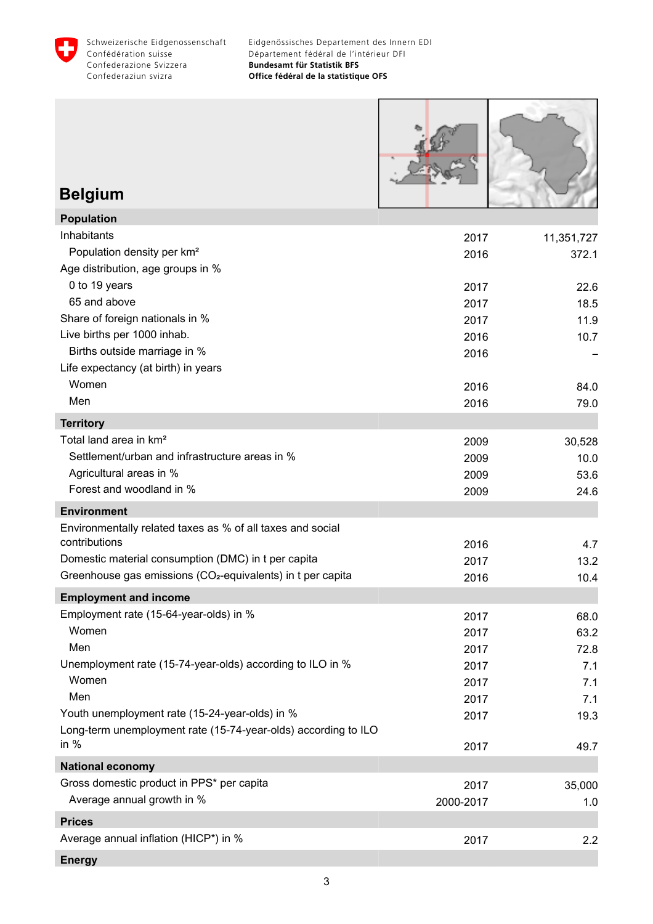<span id="page-4-0"></span>



# **Belgium**

| <b>Population</b>                                                       |           |            |
|-------------------------------------------------------------------------|-----------|------------|
| Inhabitants                                                             | 2017      | 11,351,727 |
| Population density per km <sup>2</sup>                                  | 2016      | 372.1      |
| Age distribution, age groups in %                                       |           |            |
| 0 to 19 years                                                           | 2017      | 22.6       |
| 65 and above                                                            | 2017      | 18.5       |
| Share of foreign nationals in %                                         | 2017      | 11.9       |
| Live births per 1000 inhab.                                             | 2016      | 10.7       |
| Births outside marriage in %                                            | 2016      |            |
| Life expectancy (at birth) in years                                     |           |            |
| Women                                                                   | 2016      | 84.0       |
| Men                                                                     | 2016      | 79.0       |
| <b>Territory</b>                                                        |           |            |
| Total land area in km <sup>2</sup>                                      | 2009      | 30,528     |
| Settlement/urban and infrastructure areas in %                          | 2009      | 10.0       |
| Agricultural areas in %                                                 | 2009      | 53.6       |
| Forest and woodland in %                                                | 2009      | 24.6       |
| <b>Environment</b>                                                      |           |            |
| Environmentally related taxes as % of all taxes and social              |           |            |
| contributions                                                           | 2016      | 4.7        |
| Domestic material consumption (DMC) in t per capita                     | 2017      | 13.2       |
| Greenhouse gas emissions (CO <sub>2</sub> -equivalents) in t per capita | 2016      | 10.4       |
| <b>Employment and income</b>                                            |           |            |
| Employment rate (15-64-year-olds) in %                                  | 2017      | 68.0       |
| Women                                                                   | 2017      | 63.2       |
| Men                                                                     | 2017      | 72.8       |
| Unemployment rate (15-74-year-olds) according to ILO in %               | 2017      | 7.1        |
| Women                                                                   | 2017      | 7.1        |
| Men                                                                     | 2017      | 7.1        |
| Youth unemployment rate (15-24-year-olds) in %                          | 2017      | 19.3       |
| Long-term unemployment rate (15-74-year-olds) according to ILO          |           |            |
| in $%$                                                                  | 2017      | 49.7       |
| <b>National economy</b>                                                 |           |            |
| Gross domestic product in PPS* per capita                               | 2017      | 35,000     |
| Average annual growth in %                                              | 2000-2017 | 1.0        |
| <b>Prices</b>                                                           |           |            |
| Average annual inflation (HICP*) in %                                   | 2017      | 2.2        |
| <b>Energy</b>                                                           |           |            |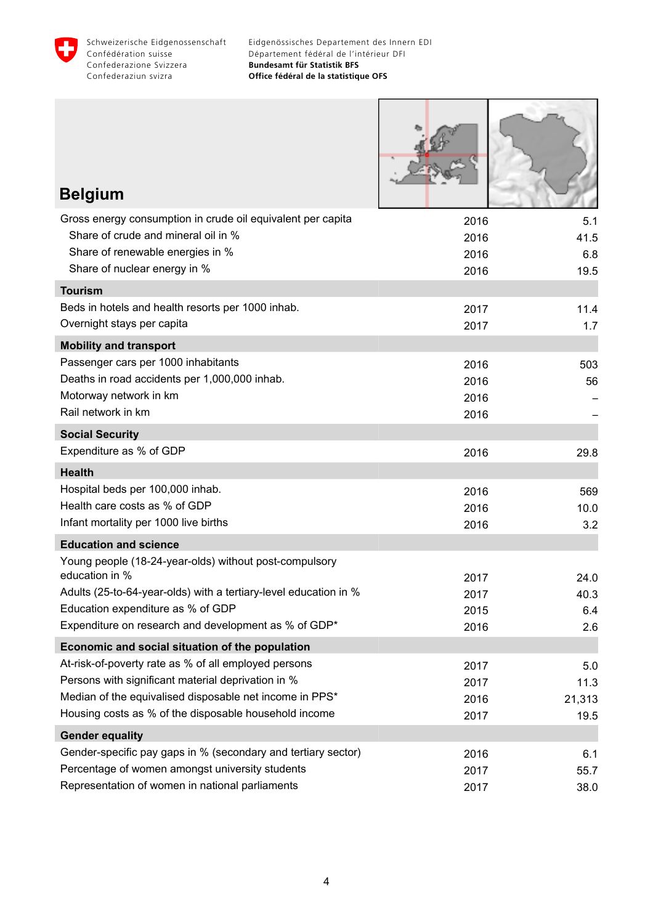

Г

Τ

| <b>Belgium</b>                                                                                                                                                                                                                            |                              |                               |
|-------------------------------------------------------------------------------------------------------------------------------------------------------------------------------------------------------------------------------------------|------------------------------|-------------------------------|
| Gross energy consumption in crude oil equivalent per capita<br>Share of crude and mineral oil in %<br>Share of renewable energies in %<br>Share of nuclear energy in %                                                                    | 2016<br>2016<br>2016<br>2016 | 5.1<br>41.5<br>6.8<br>19.5    |
| <b>Tourism</b>                                                                                                                                                                                                                            |                              |                               |
| Beds in hotels and health resorts per 1000 inhab.<br>Overnight stays per capita                                                                                                                                                           | 2017<br>2017                 | 11.4<br>1.7                   |
| <b>Mobility and transport</b>                                                                                                                                                                                                             |                              |                               |
| Passenger cars per 1000 inhabitants<br>Deaths in road accidents per 1,000,000 inhab.<br>Motorway network in km<br>Rail network in km                                                                                                      | 2016<br>2016<br>2016<br>2016 | 503<br>56                     |
| <b>Social Security</b>                                                                                                                                                                                                                    |                              |                               |
| Expenditure as % of GDP                                                                                                                                                                                                                   | 2016                         | 29.8                          |
| <b>Health</b>                                                                                                                                                                                                                             |                              |                               |
| Hospital beds per 100,000 inhab.<br>Health care costs as % of GDP<br>Infant mortality per 1000 live births                                                                                                                                | 2016<br>2016<br>2016         | 569<br>10.0<br>3.2            |
| <b>Education and science</b>                                                                                                                                                                                                              |                              |                               |
| Young people (18-24-year-olds) without post-compulsory<br>education in %<br>Adults (25-to-64-year-olds) with a tertiary-level education in %<br>Education expenditure as % of GDP<br>Expenditure on research and development as % of GDP* | 2017<br>2017<br>2015<br>2016 | 24.0<br>40.3<br>6.4<br>2.6    |
| Economic and social situation of the population                                                                                                                                                                                           |                              |                               |
| At-risk-of-poverty rate as % of all employed persons<br>Persons with significant material deprivation in %<br>Median of the equivalised disposable net income in PPS*<br>Housing costs as % of the disposable household income            | 2017<br>2017<br>2016<br>2017 | 5.0<br>11.3<br>21,313<br>19.5 |
| <b>Gender equality</b>                                                                                                                                                                                                                    |                              |                               |
| Gender-specific pay gaps in % (secondary and tertiary sector)<br>Percentage of women amongst university students<br>Representation of women in national parliaments                                                                       | 2016<br>2017<br>2017         | 6.1<br>55.7<br>38.0           |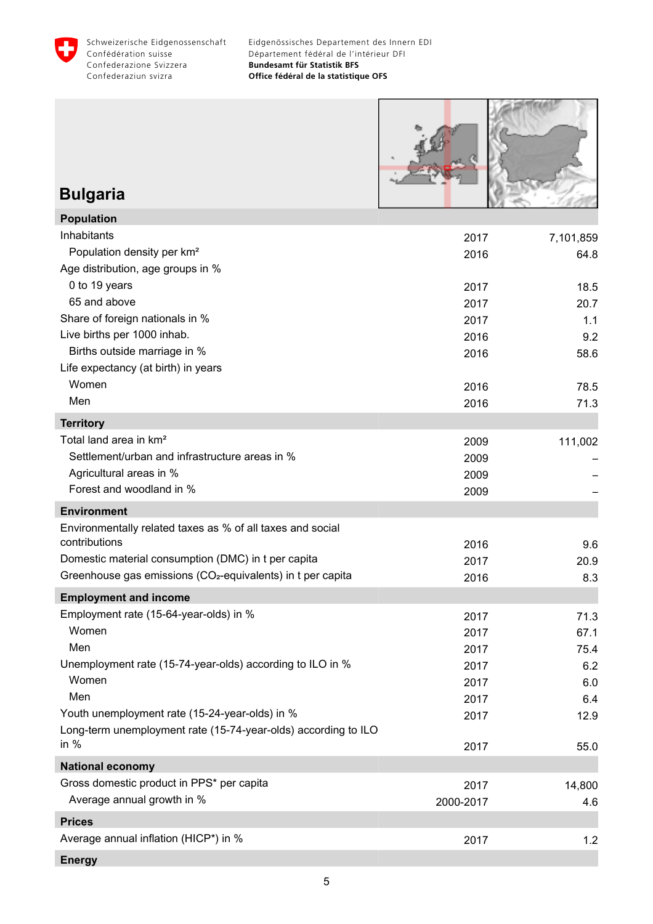<span id="page-6-0"></span>



# **Bulgaria**

| <b>Population</b>                                                       |           |           |
|-------------------------------------------------------------------------|-----------|-----------|
| Inhabitants                                                             | 2017      | 7,101,859 |
| Population density per km <sup>2</sup>                                  | 2016      | 64.8      |
| Age distribution, age groups in %                                       |           |           |
| 0 to 19 years                                                           | 2017      | 18.5      |
| 65 and above                                                            | 2017      | 20.7      |
| Share of foreign nationals in %                                         | 2017      | 1.1       |
| Live births per 1000 inhab.                                             | 2016      | 9.2       |
| Births outside marriage in %                                            | 2016      | 58.6      |
| Life expectancy (at birth) in years                                     |           |           |
| Women                                                                   | 2016      | 78.5      |
| Men                                                                     | 2016      | 71.3      |
| <b>Territory</b>                                                        |           |           |
| Total land area in km <sup>2</sup>                                      | 2009      | 111,002   |
| Settlement/urban and infrastructure areas in %                          | 2009      |           |
| Agricultural areas in %                                                 | 2009      |           |
| Forest and woodland in %                                                | 2009      |           |
| <b>Environment</b>                                                      |           |           |
| Environmentally related taxes as % of all taxes and social              |           |           |
| contributions                                                           | 2016      | 9.6       |
| Domestic material consumption (DMC) in t per capita                     | 2017      | 20.9      |
| Greenhouse gas emissions (CO <sub>2</sub> -equivalents) in t per capita | 2016      | 8.3       |
| <b>Employment and income</b>                                            |           |           |
| Employment rate (15-64-year-olds) in %                                  | 2017      | 71.3      |
| Women                                                                   | 2017      | 67.1      |
| Men                                                                     | 2017      | 75.4      |
| Unemployment rate (15-74-year-olds) according to ILO in %               | 2017      | 6.2       |
| Women                                                                   | 2017      | 6.0       |
| Men                                                                     | 2017      | 6.4       |
| Youth unemployment rate (15-24-year-olds) in %                          | 2017      | 12.9      |
| Long-term unemployment rate (15-74-year-olds) according to ILO          |           |           |
| in $%$                                                                  | 2017      | 55.0      |
| <b>National economy</b>                                                 |           |           |
| Gross domestic product in PPS* per capita                               | 2017      | 14,800    |
| Average annual growth in %                                              | 2000-2017 | 4.6       |
| <b>Prices</b>                                                           |           |           |
| Average annual inflation (HICP*) in %                                   | 2017      | 1.2       |
| <b>Energy</b>                                                           |           |           |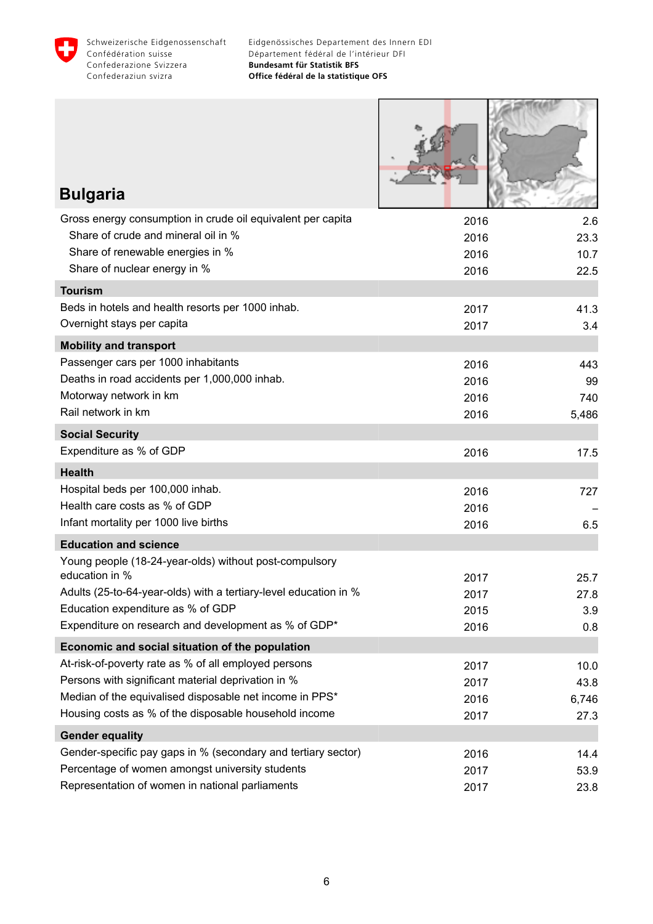

**HARTING** 

| <b>Bulgaria</b>                                                                                         |              |               |
|---------------------------------------------------------------------------------------------------------|--------------|---------------|
| Gross energy consumption in crude oil equivalent per capita                                             | 2016         | 2.6           |
| Share of crude and mineral oil in %                                                                     | 2016         | 23.3          |
| Share of renewable energies in %                                                                        | 2016         | 10.7          |
| Share of nuclear energy in %                                                                            | 2016         | 22.5          |
| <b>Tourism</b>                                                                                          |              |               |
| Beds in hotels and health resorts per 1000 inhab.                                                       | 2017         | 41.3          |
| Overnight stays per capita                                                                              | 2017         | 3.4           |
| <b>Mobility and transport</b>                                                                           |              |               |
| Passenger cars per 1000 inhabitants                                                                     | 2016         | 443           |
| Deaths in road accidents per 1,000,000 inhab.                                                           | 2016         | 99            |
| Motorway network in km<br>Rail network in km                                                            | 2016         | 740           |
|                                                                                                         | 2016         | 5,486         |
| <b>Social Security</b>                                                                                  |              |               |
| Expenditure as % of GDP                                                                                 | 2016         | 17.5          |
| <b>Health</b>                                                                                           |              |               |
| Hospital beds per 100,000 inhab.                                                                        | 2016         | 727           |
| Health care costs as % of GDP                                                                           | 2016         |               |
| Infant mortality per 1000 live births                                                                   | 2016         | 6.5           |
| <b>Education and science</b>                                                                            |              |               |
| Young people (18-24-year-olds) without post-compulsory                                                  |              |               |
| education in %<br>Adults (25-to-64-year-olds) with a tertiary-level education in %                      | 2017         | 25.7          |
| Education expenditure as % of GDP                                                                       | 2017         | 27.8          |
| Expenditure on research and development as % of GDP*                                                    | 2015<br>2016 | 3.9<br>0.8    |
|                                                                                                         |              |               |
| Economic and social situation of the population<br>At-risk-of-poverty rate as % of all employed persons |              |               |
| Persons with significant material deprivation in %                                                      | 2017<br>2017 | 10.0          |
| Median of the equivalised disposable net income in PPS*                                                 | 2016         | 43.8<br>6,746 |
| Housing costs as % of the disposable household income                                                   | 2017         | 27.3          |
| <b>Gender equality</b>                                                                                  |              |               |
| Gender-specific pay gaps in % (secondary and tertiary sector)                                           | 2016         | 14.4          |
| Percentage of women amongst university students                                                         | 2017         | 53.9          |
| Representation of women in national parliaments                                                         | 2017         | 23.8          |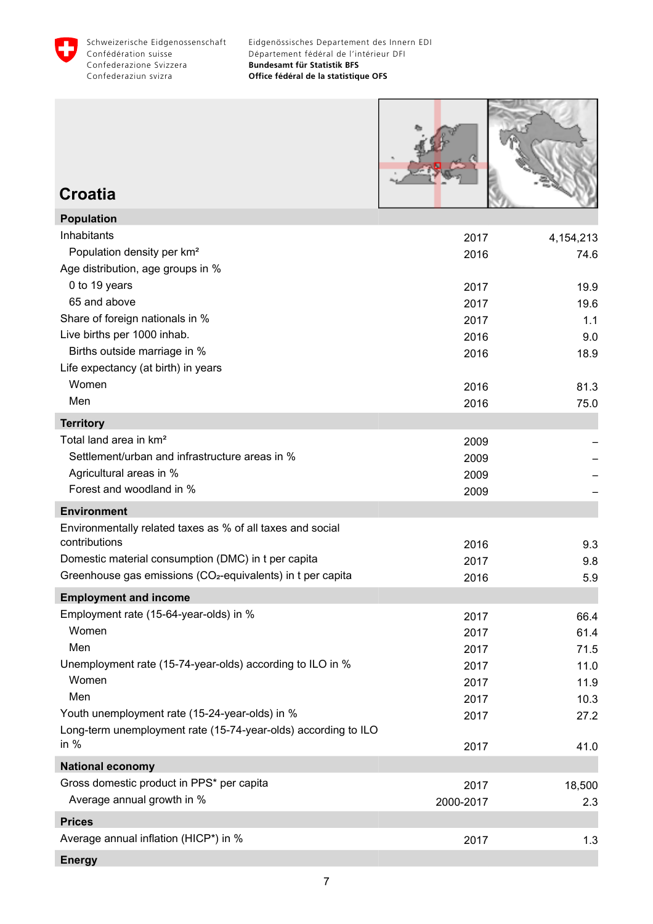<span id="page-8-0"></span>



**Croatia**

| <b>Population</b>                                                       |           |           |
|-------------------------------------------------------------------------|-----------|-----------|
| Inhabitants                                                             | 2017      | 4,154,213 |
| Population density per km <sup>2</sup>                                  | 2016      | 74.6      |
| Age distribution, age groups in %                                       |           |           |
| 0 to 19 years                                                           | 2017      | 19.9      |
| 65 and above                                                            | 2017      | 19.6      |
| Share of foreign nationals in %                                         | 2017      | 1.1       |
| Live births per 1000 inhab.                                             | 2016      | 9.0       |
| Births outside marriage in %                                            | 2016      | 18.9      |
| Life expectancy (at birth) in years                                     |           |           |
| Women                                                                   | 2016      | 81.3      |
| Men                                                                     | 2016      | 75.0      |
| <b>Territory</b>                                                        |           |           |
| Total land area in km <sup>2</sup>                                      | 2009      |           |
| Settlement/urban and infrastructure areas in %                          | 2009      |           |
| Agricultural areas in %                                                 | 2009      |           |
| Forest and woodland in %                                                | 2009      |           |
| <b>Environment</b>                                                      |           |           |
| Environmentally related taxes as % of all taxes and social              |           |           |
| contributions                                                           | 2016      | 9.3       |
| Domestic material consumption (DMC) in t per capita                     | 2017      | 9.8       |
| Greenhouse gas emissions (CO <sub>2</sub> -equivalents) in t per capita | 2016      | 5.9       |
| <b>Employment and income</b>                                            |           |           |
| Employment rate (15-64-year-olds) in %                                  | 2017      | 66.4      |
| Women                                                                   | 2017      | 61.4      |
| Men                                                                     | 2017      | 71.5      |
| Unemployment rate (15-74-year-olds) according to ILO in %               | 2017      | 11.0      |
| Women                                                                   | 2017      | 11.9      |
| Men                                                                     | 2017      | 10.3      |
| Youth unemployment rate (15-24-year-olds) in %                          | 2017      | 27.2      |
| Long-term unemployment rate (15-74-year-olds) according to ILO          |           |           |
| in $%$                                                                  | 2017      | 41.0      |
| <b>National economy</b>                                                 |           |           |
| Gross domestic product in PPS* per capita                               | 2017      | 18,500    |
| Average annual growth in %                                              | 2000-2017 | 2.3       |
| <b>Prices</b>                                                           |           |           |
| Average annual inflation (HICP*) in %                                   | 2017      | 1.3       |
| <b>Energy</b>                                                           |           |           |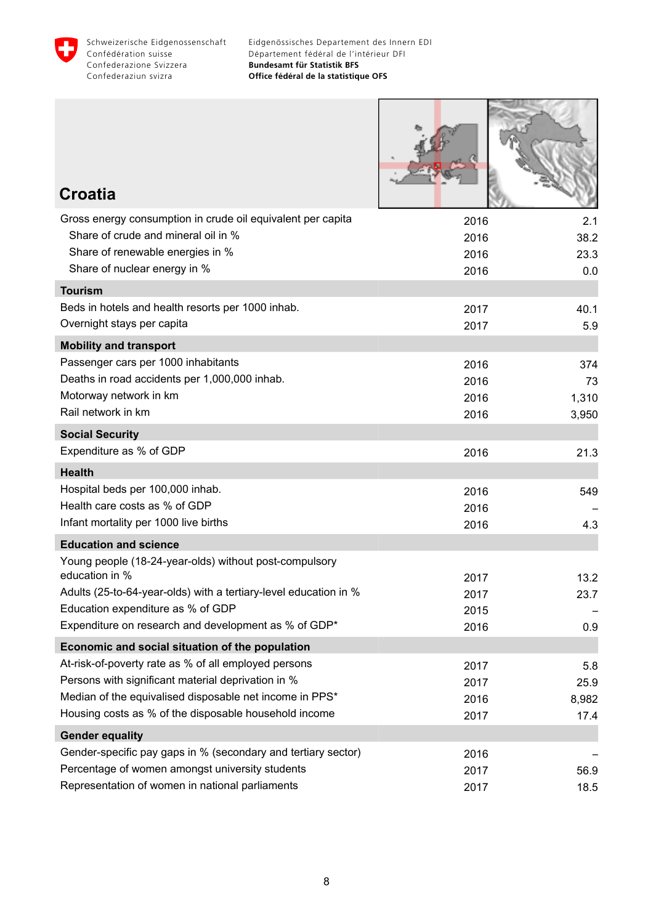

Г

**PARTIES** 

| <b>Croatia</b>                                                                                          |              |             |
|---------------------------------------------------------------------------------------------------------|--------------|-------------|
| Gross energy consumption in crude oil equivalent per capita                                             | 2016         | 2.1         |
| Share of crude and mineral oil in %                                                                     | 2016         | 38.2        |
| Share of renewable energies in %<br>Share of nuclear energy in %                                        | 2016         | 23.3        |
| <b>Tourism</b>                                                                                          | 2016         | 0.0         |
| Beds in hotels and health resorts per 1000 inhab.                                                       |              |             |
| Overnight stays per capita                                                                              | 2017<br>2017 | 40.1<br>5.9 |
| <b>Mobility and transport</b>                                                                           |              |             |
| Passenger cars per 1000 inhabitants                                                                     | 2016         | 374         |
| Deaths in road accidents per 1,000,000 inhab.                                                           | 2016         | 73          |
| Motorway network in km                                                                                  | 2016         | 1,310       |
| Rail network in km                                                                                      | 2016         | 3,950       |
| <b>Social Security</b>                                                                                  |              |             |
| Expenditure as % of GDP                                                                                 | 2016         | 21.3        |
| <b>Health</b>                                                                                           |              |             |
| Hospital beds per 100,000 inhab.                                                                        | 2016         | 549         |
| Health care costs as % of GDP                                                                           | 2016         |             |
| Infant mortality per 1000 live births                                                                   | 2016         | 4.3         |
| <b>Education and science</b>                                                                            |              |             |
| Young people (18-24-year-olds) without post-compulsory                                                  |              |             |
| education in %                                                                                          | 2017         | 13.2        |
| Adults (25-to-64-year-olds) with a tertiary-level education in %                                        | 2017         | 23.7        |
| Education expenditure as % of GDP<br>Expenditure on research and development as % of GDP*               | 2015         |             |
|                                                                                                         | 2016         | 0.9         |
| Economic and social situation of the population<br>At-risk-of-poverty rate as % of all employed persons |              |             |
| Persons with significant material deprivation in %                                                      | 2017<br>2017 | 5.8<br>25.9 |
| Median of the equivalised disposable net income in PPS*                                                 | 2016         | 8,982       |
| Housing costs as % of the disposable household income                                                   | 2017         | 17.4        |
| <b>Gender equality</b>                                                                                  |              |             |
| Gender-specific pay gaps in % (secondary and tertiary sector)                                           | 2016         |             |
| Percentage of women amongst university students                                                         | 2017         | 56.9        |
| Representation of women in national parliaments                                                         | 2017         | 18.5        |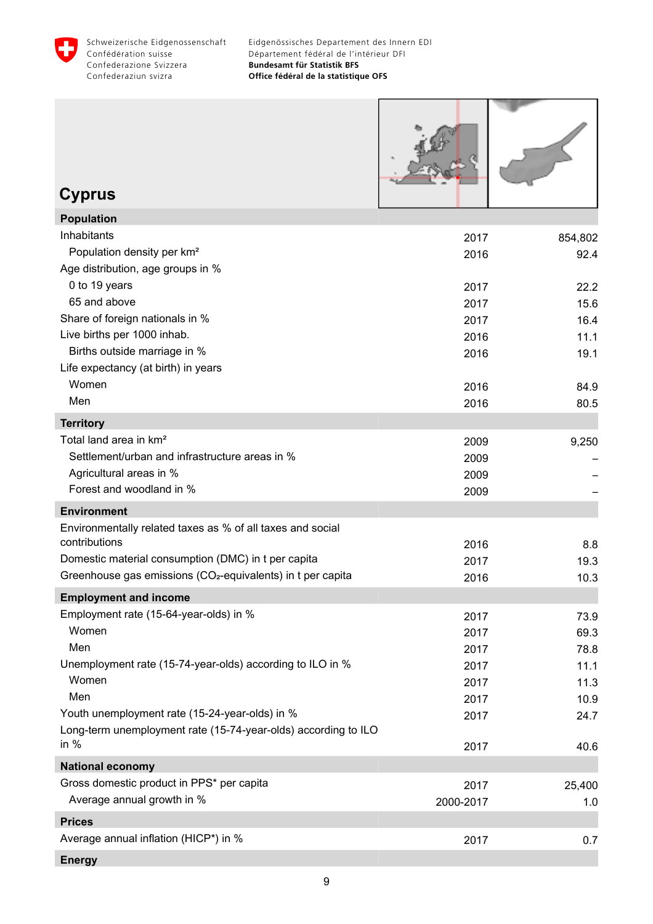<span id="page-10-0"></span>

| <b>Cyprus</b>                                                           |                   |               |
|-------------------------------------------------------------------------|-------------------|---------------|
| <b>Population</b>                                                       |                   |               |
| Inhabitants                                                             | 2017              | 854,802       |
| Population density per km <sup>2</sup>                                  | 2016              | 92.4          |
| Age distribution, age groups in %                                       |                   |               |
| 0 to 19 years                                                           | 2017              | 22.2          |
| 65 and above                                                            | 2017              | 15.6          |
| Share of foreign nationals in %                                         | 2017              | 16.4          |
| Live births per 1000 inhab.                                             | 2016              | 11.1          |
| Births outside marriage in %                                            | 2016              | 19.1          |
| Life expectancy (at birth) in years                                     |                   |               |
| Women                                                                   | 2016              | 84.9          |
| Men                                                                     | 2016              | 80.5          |
| <b>Territory</b>                                                        |                   |               |
| Total land area in km <sup>2</sup>                                      | 2009              | 9,250         |
| Settlement/urban and infrastructure areas in %                          | 2009              |               |
| Agricultural areas in %                                                 | 2009              |               |
| Forest and woodland in %                                                | 2009              |               |
| <b>Environment</b>                                                      |                   |               |
| Environmentally related taxes as % of all taxes and social              |                   |               |
| contributions                                                           | 2016              | 8.8           |
| Domestic material consumption (DMC) in t per capita                     | 2017              | 19.3          |
| Greenhouse gas emissions (CO <sub>2</sub> -equivalents) in t per capita | 2016              | 10.3          |
| <b>Employment and income</b>                                            |                   |               |
| Employment rate (15-64-year-olds) in %                                  | 2017              | 73.9          |
| Women                                                                   | 2017              | 69.3          |
| Men                                                                     | 2017              | 78.8          |
| Unemployment rate (15-74-year-olds) according to ILO in %               | 2017              | 11.1          |
| Women<br>Men                                                            | 2017              | 11.3          |
| Youth unemployment rate (15-24-year-olds) in %                          | 2017              | 10.9          |
| Long-term unemployment rate (15-74-year-olds) according to ILO          | 2017              | 24.7          |
| in $%$                                                                  | 2017              | 40.6          |
| <b>National economy</b>                                                 |                   |               |
| Gross domestic product in PPS* per capita<br>Average annual growth in % | 2017<br>2000-2017 | 25,400<br>1.0 |
| <b>Prices</b>                                                           |                   |               |
| Average annual inflation (HICP*) in %                                   | 2017              | 0.7           |
|                                                                         |                   |               |

**Energy**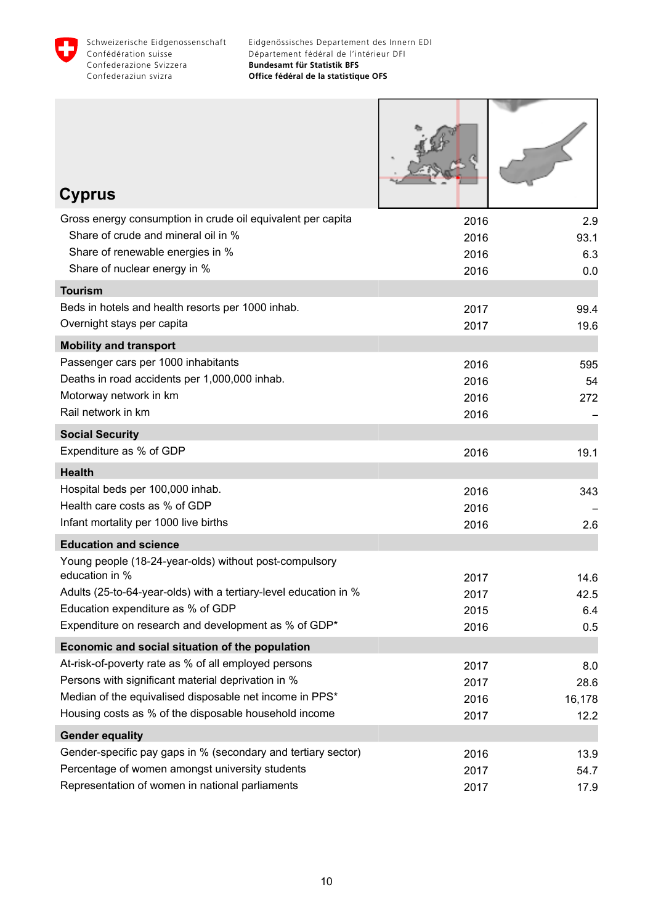

Г

ı

1

| <b>Cyprus</b>                                                                        |              |        |
|--------------------------------------------------------------------------------------|--------------|--------|
| Gross energy consumption in crude oil equivalent per capita                          | 2016         | 2.9    |
| Share of crude and mineral oil in %                                                  | 2016         | 93.1   |
| Share of renewable energies in %<br>Share of nuclear energy in %                     | 2016         | 6.3    |
|                                                                                      | 2016         | 0.0    |
| <b>Tourism</b>                                                                       |              |        |
| Beds in hotels and health resorts per 1000 inhab.<br>Overnight stays per capita      | 2017         | 99.4   |
|                                                                                      | 2017         | 19.6   |
| <b>Mobility and transport</b>                                                        |              |        |
| Passenger cars per 1000 inhabitants<br>Deaths in road accidents per 1,000,000 inhab. | 2016         | 595    |
| Motorway network in km                                                               | 2016<br>2016 | 54     |
| Rail network in km                                                                   | 2016         | 272    |
| <b>Social Security</b>                                                               |              |        |
| Expenditure as % of GDP                                                              | 2016         | 19.1   |
| <b>Health</b>                                                                        |              |        |
| Hospital beds per 100,000 inhab.                                                     | 2016         | 343    |
| Health care costs as % of GDP                                                        | 2016         |        |
| Infant mortality per 1000 live births                                                | 2016         | 2.6    |
| <b>Education and science</b>                                                         |              |        |
| Young people (18-24-year-olds) without post-compulsory                               |              |        |
| education in %                                                                       | 2017         | 14.6   |
| Adults (25-to-64-year-olds) with a tertiary-level education in %                     | 2017         | 42.5   |
| Education expenditure as % of GDP                                                    | 2015         | 6.4    |
| Expenditure on research and development as % of GDP*                                 | 2016         | 0.5    |
| Economic and social situation of the population                                      |              |        |
| At-risk-of-poverty rate as % of all employed persons                                 | 2017         | 8.0    |
| Persons with significant material deprivation in %                                   | 2017         | 28.6   |
| Median of the equivalised disposable net income in PPS*                              | 2016         | 16,178 |
| Housing costs as % of the disposable household income                                | 2017         | 12.2   |
| <b>Gender equality</b>                                                               |              |        |
| Gender-specific pay gaps in % (secondary and tertiary sector)                        | 2016         | 13.9   |
| Percentage of women amongst university students                                      | 2017         | 54.7   |
| Representation of women in national parliaments                                      | 2017         | 17.9   |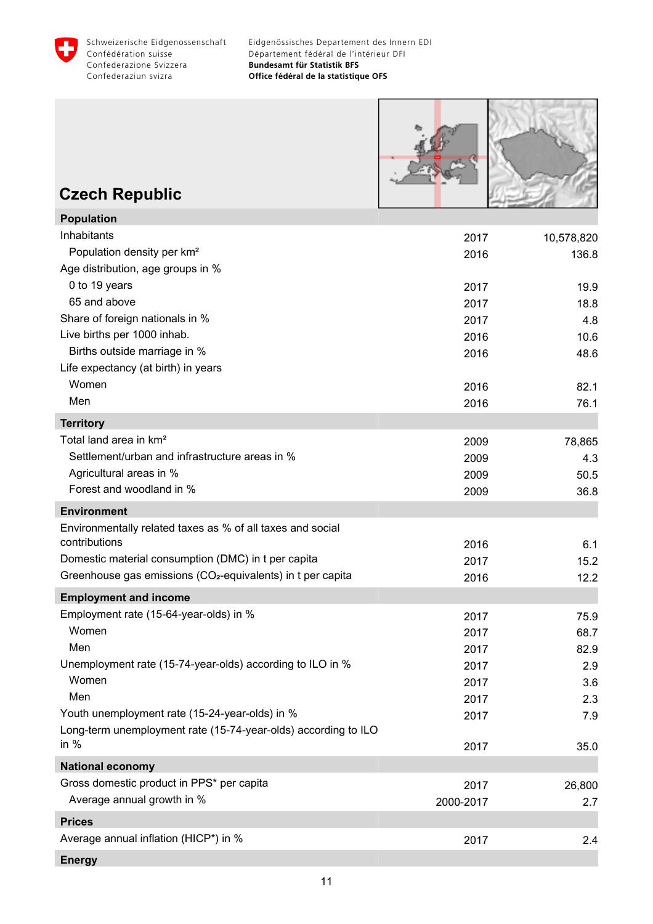<span id="page-12-0"></span>



### **Czech Republic**

| <b>Population</b>                                                       |           |            |
|-------------------------------------------------------------------------|-----------|------------|
| Inhabitants                                                             | 2017      | 10,578,820 |
| Population density per km <sup>2</sup>                                  | 2016      | 136.8      |
| Age distribution, age groups in %                                       |           |            |
| 0 to 19 years                                                           | 2017      | 19.9       |
| 65 and above                                                            | 2017      | 18.8       |
| Share of foreign nationals in %                                         | 2017      | 4.8        |
| Live births per 1000 inhab.                                             | 2016      | 10.6       |
| Births outside marriage in %                                            | 2016      | 48.6       |
| Life expectancy (at birth) in years                                     |           |            |
| Women                                                                   | 2016      | 82.1       |
| Men                                                                     | 2016      | 76.1       |
| <b>Territory</b>                                                        |           |            |
| Total land area in km <sup>2</sup>                                      | 2009      | 78,865     |
| Settlement/urban and infrastructure areas in %                          | 2009      | 4.3        |
| Agricultural areas in %                                                 | 2009      | 50.5       |
| Forest and woodland in %                                                | 2009      | 36.8       |
| <b>Environment</b>                                                      |           |            |
| Environmentally related taxes as % of all taxes and social              |           |            |
| contributions                                                           | 2016      | 6.1        |
| Domestic material consumption (DMC) in t per capita                     | 2017      | 15.2       |
| Greenhouse gas emissions (CO <sub>2</sub> -equivalents) in t per capita | 2016      | 12.2       |
| <b>Employment and income</b>                                            |           |            |
| Employment rate (15-64-year-olds) in %                                  | 2017      | 75.9       |
| Women                                                                   | 2017      | 68.7       |
| Men                                                                     | 2017      | 82.9       |
| Unemployment rate (15-74-year-olds) according to ILO in %               | 2017      | 2.9        |
| Women                                                                   | 2017      | 3.6        |
| Men                                                                     | 2017      | 2.3        |
| Youth unemployment rate (15-24-year-olds) in %                          | 2017      | 7.9        |
| Long-term unemployment rate (15-74-year-olds) according to ILO          |           |            |
| in $%$                                                                  | 2017      | 35.0       |
| <b>National economy</b>                                                 |           |            |
| Gross domestic product in PPS* per capita                               | 2017      | 26,800     |
| Average annual growth in %                                              | 2000-2017 | 2.7        |
| <b>Prices</b>                                                           |           |            |
| Average annual inflation (HICP*) in %                                   | 2017      | 2.4        |
| <b>Energy</b>                                                           |           |            |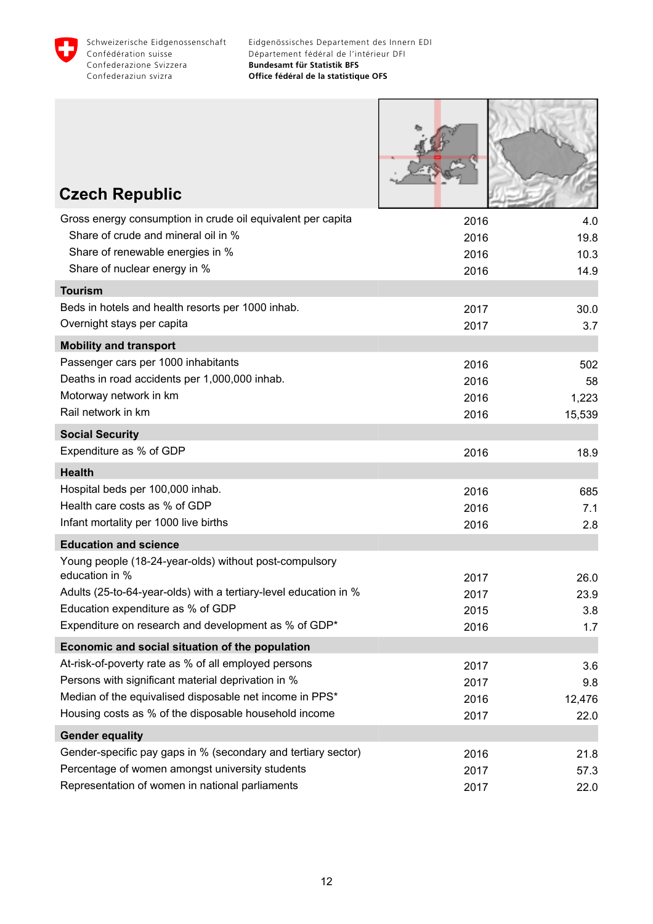

**ATOLOGY** 

| <b>Czech Republic</b>                                                                                            |              |              |
|------------------------------------------------------------------------------------------------------------------|--------------|--------------|
|                                                                                                                  |              |              |
| Gross energy consumption in crude oil equivalent per capita<br>Share of crude and mineral oil in %               | 2016         | 4.0          |
| Share of renewable energies in %                                                                                 | 2016         | 19.8         |
| Share of nuclear energy in %                                                                                     | 2016<br>2016 | 10.3<br>14.9 |
| <b>Tourism</b>                                                                                                   |              |              |
| Beds in hotels and health resorts per 1000 inhab.                                                                |              |              |
| Overnight stays per capita                                                                                       | 2017<br>2017 | 30.0<br>3.7  |
|                                                                                                                  |              |              |
| <b>Mobility and transport</b><br>Passenger cars per 1000 inhabitants                                             |              |              |
| Deaths in road accidents per 1,000,000 inhab.                                                                    | 2016<br>2016 | 502<br>58    |
| Motorway network in km                                                                                           | 2016         | 1,223        |
| Rail network in km                                                                                               | 2016         | 15,539       |
| <b>Social Security</b>                                                                                           |              |              |
| Expenditure as % of GDP                                                                                          | 2016         | 18.9         |
| <b>Health</b>                                                                                                    |              |              |
| Hospital beds per 100,000 inhab.                                                                                 | 2016         | 685          |
| Health care costs as % of GDP                                                                                    | 2016         | 7.1          |
| Infant mortality per 1000 live births                                                                            | 2016         | 2.8          |
| <b>Education and science</b>                                                                                     |              |              |
| Young people (18-24-year-olds) without post-compulsory                                                           |              |              |
| education in %                                                                                                   | 2017         | 26.0         |
| Adults (25-to-64-year-olds) with a tertiary-level education in %                                                 | 2017         | 23.9         |
| Education expenditure as % of GDP                                                                                | 2015         | 3.8          |
| Expenditure on research and development as % of GDP*                                                             | 2016         | 1.7          |
| Economic and social situation of the population                                                                  |              |              |
| At-risk-of-poverty rate as % of all employed persons                                                             | 2017         | 3.6          |
| Persons with significant material deprivation in %                                                               | 2017         | 9.8          |
| Median of the equivalised disposable net income in PPS*                                                          | 2016         | 12,476       |
| Housing costs as % of the disposable household income                                                            | 2017         | 22.0         |
| <b>Gender equality</b>                                                                                           |              |              |
| Gender-specific pay gaps in % (secondary and tertiary sector)<br>Percentage of women amongst university students | 2016         | 21.8         |
| Representation of women in national parliaments                                                                  | 2017<br>2017 | 57.3<br>22.0 |
|                                                                                                                  |              |              |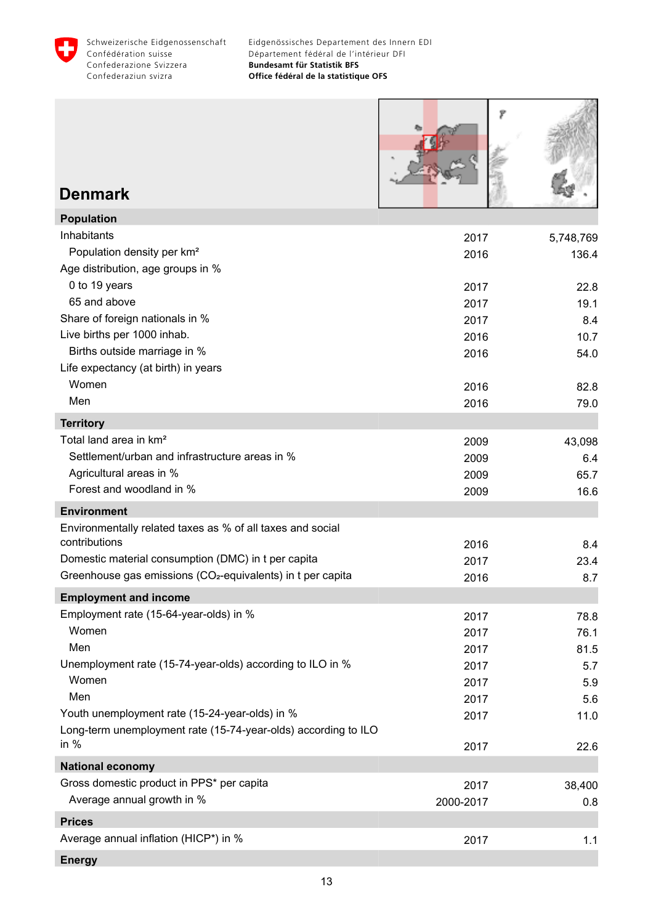<span id="page-14-0"></span>

| <b>Denmark</b>                                                           |           |           |
|--------------------------------------------------------------------------|-----------|-----------|
| <b>Population</b>                                                        |           |           |
| Inhabitants                                                              | 2017      | 5,748,769 |
| Population density per km <sup>2</sup>                                   | 2016      | 136.4     |
| Age distribution, age groups in %                                        |           |           |
| 0 to 19 years                                                            | 2017      | 22.8      |
| 65 and above                                                             | 2017      | 19.1      |
| Share of foreign nationals in %<br>Live births per 1000 inhab.           | 2017      | 8.4       |
| Births outside marriage in %                                             | 2016      | 10.7      |
| Life expectancy (at birth) in years                                      | 2016      | 54.0      |
| Women                                                                    | 2016      | 82.8      |
| Men                                                                      | 2016      | 79.0      |
| <b>Territory</b>                                                         |           |           |
| Total land area in km <sup>2</sup>                                       | 2009      | 43,098    |
| Settlement/urban and infrastructure areas in %                           | 2009      | 6.4       |
| Agricultural areas in %                                                  | 2009      | 65.7      |
| Forest and woodland in %                                                 | 2009      | 16.6      |
| <b>Environment</b>                                                       |           |           |
| Environmentally related taxes as % of all taxes and social               |           |           |
| contributions                                                            | 2016      | 8.4       |
| Domestic material consumption (DMC) in t per capita                      | 2017      | 23.4      |
| Greenhouse gas emissions (CO <sub>2</sub> -equivalents) in t per capita  | 2016      | 8.7       |
| <b>Employment and income</b>                                             |           |           |
| Employment rate (15-64-year-olds) in %                                   | 2017      | 78.8      |
| Women                                                                    | 2017      | 76.1      |
| Men                                                                      | 2017      | 81.5      |
| Unemployment rate (15-74-year-olds) according to ILO in %                | 2017      | 5.7       |
| Women                                                                    | 2017      | 5.9       |
| Men                                                                      | 2017      | 5.6       |
| Youth unemployment rate (15-24-year-olds) in %                           | 2017      | 11.0      |
| Long-term unemployment rate (15-74-year-olds) according to ILO<br>in $%$ | 2017      | 22.6      |
|                                                                          |           |           |
| <b>National economy</b><br>Gross domestic product in PPS* per capita     |           |           |
| Average annual growth in %                                               | 2017      | 38,400    |
|                                                                          | 2000-2017 | 0.8       |
| <b>Prices</b>                                                            |           |           |
| Average annual inflation (HICP*) in %                                    | 2017      | 1.1       |
| <b>Energy</b>                                                            |           |           |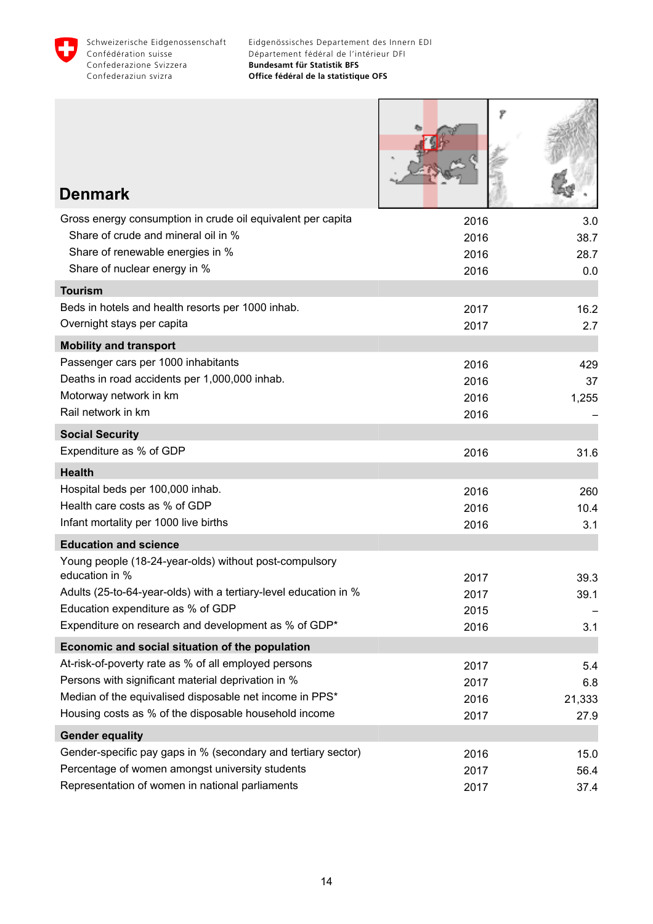

| <b>Denmark</b>                                                                                                                                                         |                              |                            |
|------------------------------------------------------------------------------------------------------------------------------------------------------------------------|------------------------------|----------------------------|
| Gross energy consumption in crude oil equivalent per capita<br>Share of crude and mineral oil in %<br>Share of renewable energies in %<br>Share of nuclear energy in % | 2016<br>2016<br>2016<br>2016 | 3.0<br>38.7<br>28.7<br>0.0 |
| <b>Tourism</b>                                                                                                                                                         |                              |                            |
| Beds in hotels and health resorts per 1000 inhab.<br>Overnight stays per capita                                                                                        | 2017<br>2017                 | 16.2<br>2.7                |
| <b>Mobility and transport</b>                                                                                                                                          |                              |                            |
| Passenger cars per 1000 inhabitants                                                                                                                                    | 2016                         | 429                        |
| Deaths in road accidents per 1,000,000 inhab.                                                                                                                          | 2016                         | 37                         |
| Motorway network in km                                                                                                                                                 | 2016                         | 1,255                      |
| Rail network in km                                                                                                                                                     | 2016                         |                            |
| <b>Social Security</b>                                                                                                                                                 |                              |                            |
| Expenditure as % of GDP                                                                                                                                                | 2016                         | 31.6                       |
| <b>Health</b>                                                                                                                                                          |                              |                            |
| Hospital beds per 100,000 inhab.                                                                                                                                       | 2016                         | 260                        |
| Health care costs as % of GDP                                                                                                                                          | 2016                         | 10.4                       |
| Infant mortality per 1000 live births                                                                                                                                  | 2016                         | 3.1                        |
| <b>Education and science</b>                                                                                                                                           |                              |                            |
| Young people (18-24-year-olds) without post-compulsory                                                                                                                 |                              |                            |
| education in %                                                                                                                                                         | 2017                         | 39.3                       |
| Adults (25-to-64-year-olds) with a tertiary-level education in %<br>Education expenditure as % of GDP                                                                  | 2017                         | 39.1                       |
| Expenditure on research and development as % of GDP*                                                                                                                   | 2015<br>2016                 | 3.1                        |
|                                                                                                                                                                        |                              |                            |
| Economic and social situation of the population<br>At-risk-of-poverty rate as % of all employed persons                                                                |                              |                            |
| Persons with significant material deprivation in %                                                                                                                     | 2017                         | 5.4                        |
| Median of the equivalised disposable net income in PPS*                                                                                                                | 2017<br>2016                 | 6.8<br>21,333              |
| Housing costs as % of the disposable household income                                                                                                                  | 2017                         | 27.9                       |
| <b>Gender equality</b>                                                                                                                                                 |                              |                            |
| Gender-specific pay gaps in % (secondary and tertiary sector)                                                                                                          | 2016                         | 15.0                       |
| Percentage of women amongst university students                                                                                                                        | 2017                         | 56.4                       |
| Representation of women in national parliaments                                                                                                                        | 2017                         | 37.4                       |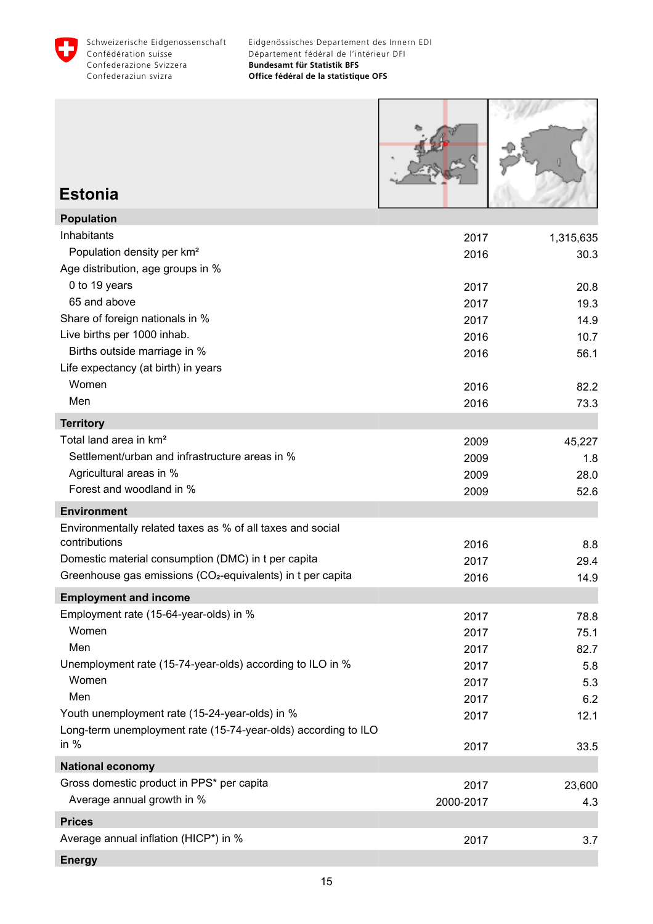<span id="page-16-0"></span>

ſ

**START** 

| <b>Estonia</b>                                                                   |                   |               |
|----------------------------------------------------------------------------------|-------------------|---------------|
| <b>Population</b>                                                                |                   |               |
| Inhabitants                                                                      | 2017              | 1,315,635     |
| Population density per km <sup>2</sup><br>Age distribution, age groups in %      | 2016              | 30.3          |
| 0 to 19 years                                                                    | 2017              | 20.8          |
| 65 and above                                                                     | 2017              | 19.3          |
| Share of foreign nationals in %                                                  | 2017              | 14.9          |
| Live births per 1000 inhab.                                                      | 2016              | 10.7          |
| Births outside marriage in %<br>Life expectancy (at birth) in years              | 2016              | 56.1          |
| Women                                                                            | 2016              | 82.2          |
| Men                                                                              | 2016              | 73.3          |
| <b>Territory</b>                                                                 |                   |               |
| Total land area in km <sup>2</sup>                                               | 2009              | 45,227        |
| Settlement/urban and infrastructure areas in %                                   | 2009              | 1.8           |
| Agricultural areas in %                                                          | 2009              | 28.0          |
| Forest and woodland in %                                                         | 2009              | 52.6          |
| <b>Environment</b><br>Environmentally related taxes as % of all taxes and social |                   |               |
| contributions                                                                    | 2016              | 8.8           |
| Domestic material consumption (DMC) in t per capita                              | 2017              | 29.4          |
| Greenhouse gas emissions (CO <sub>2</sub> -equivalents) in t per capita          | 2016              | 14.9          |
| <b>Employment and income</b>                                                     |                   |               |
| Employment rate (15-64-year-olds) in %                                           | 2017              | 78.8          |
| Women                                                                            | 2017              | 75.1          |
| Men                                                                              | 2017              | 82.7          |
| Unemployment rate (15-74-year-olds) according to ILO in %                        | 2017              | 5.8           |
| Women                                                                            | 2017              | 5.3           |
| Men<br>Youth unemployment rate (15-24-year-olds) in %                            | 2017              | 6.2           |
| Long-term unemployment rate (15-74-year-olds) according to ILO                   | 2017              | 12.1          |
| in $%$                                                                           | 2017              | 33.5          |
| <b>National economy</b>                                                          |                   |               |
| Gross domestic product in PPS* per capita<br>Average annual growth in %          | 2017<br>2000-2017 | 23,600<br>4.3 |
| <b>Prices</b>                                                                    |                   |               |
| Average annual inflation (HICP*) in %                                            | 2017              | 3.7           |
|                                                                                  |                   |               |

**Energy**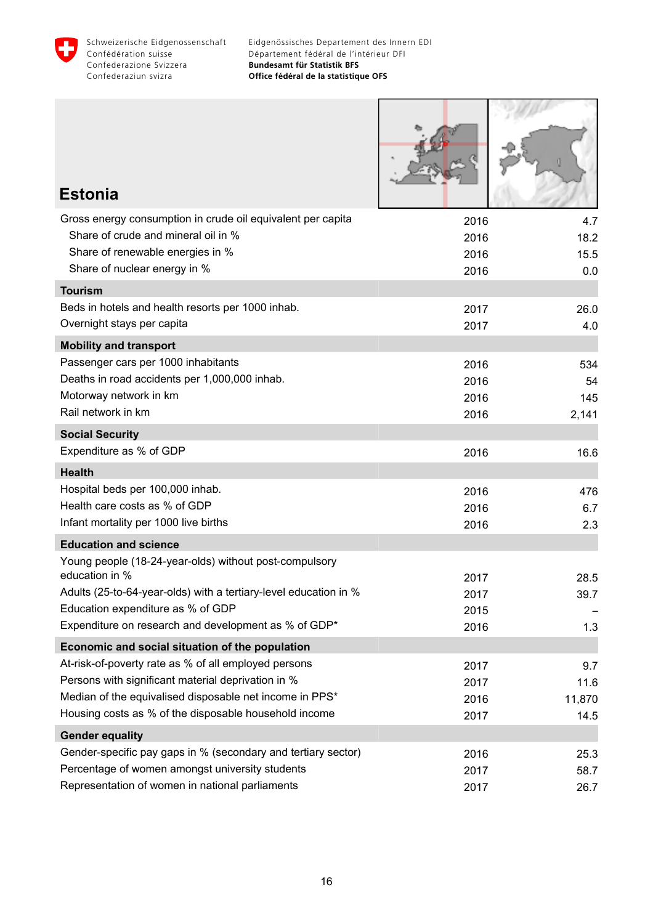

Г

**COMMAND** 

 $\overline{\phantom{a}}$ 

| <b>Estonia</b>                                                           |              |              |
|--------------------------------------------------------------------------|--------------|--------------|
| Gross energy consumption in crude oil equivalent per capita              | 2016         | 4.7          |
| Share of crude and mineral oil in %<br>Share of renewable energies in %  | 2016         | 18.2         |
| Share of nuclear energy in %                                             | 2016<br>2016 | 15.5<br>0.0  |
| <b>Tourism</b>                                                           |              |              |
| Beds in hotels and health resorts per 1000 inhab.                        | 2017         | 26.0         |
| Overnight stays per capita                                               | 2017         | 4.0          |
| <b>Mobility and transport</b>                                            |              |              |
| Passenger cars per 1000 inhabitants                                      | 2016         | 534          |
| Deaths in road accidents per 1,000,000 inhab.                            | 2016         | 54           |
| Motorway network in km                                                   | 2016         | 145          |
| Rail network in km                                                       | 2016         | 2,141        |
| <b>Social Security</b>                                                   |              |              |
| Expenditure as % of GDP                                                  | 2016         | 16.6         |
| <b>Health</b>                                                            |              |              |
| Hospital beds per 100,000 inhab.                                         | 2016         | 476          |
| Health care costs as % of GDP                                            | 2016         | 6.7          |
| Infant mortality per 1000 live births                                    | 2016         | 2.3          |
| <b>Education and science</b>                                             |              |              |
| Young people (18-24-year-olds) without post-compulsory<br>education in % |              |              |
| Adults (25-to-64-year-olds) with a tertiary-level education in %         | 2017<br>2017 | 28.5<br>39.7 |
| Education expenditure as % of GDP                                        | 2015         |              |
| Expenditure on research and development as % of GDP*                     | 2016         | 1.3          |
| Economic and social situation of the population                          |              |              |
| At-risk-of-poverty rate as % of all employed persons                     | 2017         | 9.7          |
| Persons with significant material deprivation in %                       | 2017         | 11.6         |
| Median of the equivalised disposable net income in PPS*                  | 2016         | 11,870       |
| Housing costs as % of the disposable household income                    | 2017         | 14.5         |
| <b>Gender equality</b>                                                   |              |              |
| Gender-specific pay gaps in % (secondary and tertiary sector)            | 2016         | 25.3         |
| Percentage of women amongst university students                          | 2017         | 58.7         |
| Representation of women in national parliaments                          | 2017         | 26.7         |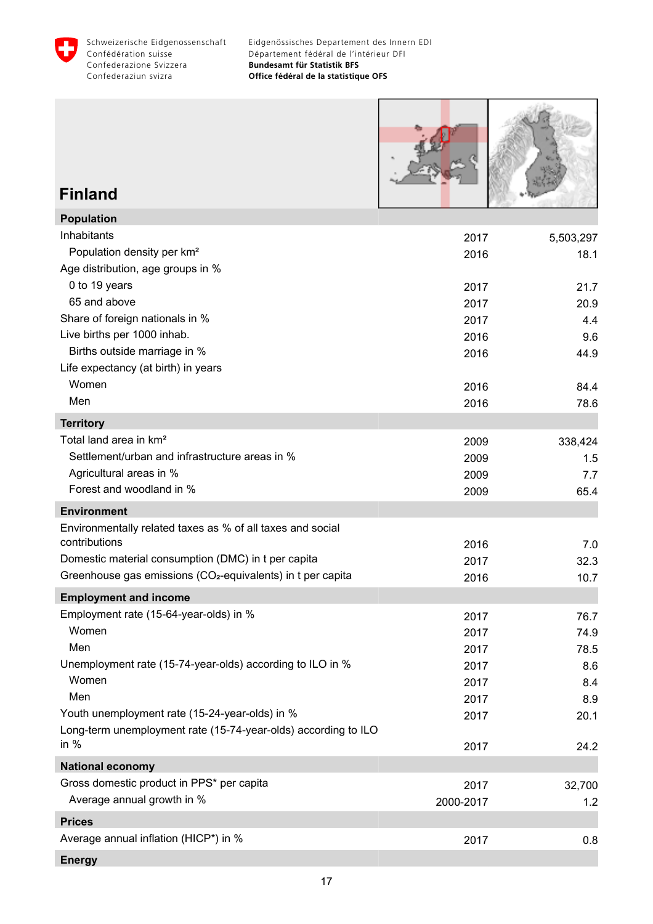<span id="page-18-0"></span>

Г

| <b>Finland</b>                                                                                                   |              |                   |
|------------------------------------------------------------------------------------------------------------------|--------------|-------------------|
| <b>Population</b>                                                                                                |              |                   |
| Inhabitants<br>Population density per km <sup>2</sup><br>Age distribution, age groups in %                       | 2017<br>2016 | 5,503,297<br>18.1 |
| 0 to 19 years                                                                                                    | 2017         | 21.7              |
| 65 and above                                                                                                     | 2017         | 20.9              |
| Share of foreign nationals in %                                                                                  | 2017         | 4.4               |
| Live births per 1000 inhab.                                                                                      | 2016         | 9.6               |
| Births outside marriage in %<br>Life expectancy (at birth) in years                                              | 2016         | 44.9              |
| Women                                                                                                            | 2016         | 84.4              |
| Men                                                                                                              | 2016         | 78.6              |
| <b>Territory</b>                                                                                                 |              |                   |
| Total land area in km <sup>2</sup>                                                                               | 2009         | 338,424           |
| Settlement/urban and infrastructure areas in %                                                                   | 2009         | 1.5               |
| Agricultural areas in %<br>Forest and woodland in %                                                              | 2009         | 7.7               |
|                                                                                                                  | 2009         | 65.4              |
| <b>Environment</b>                                                                                               |              |                   |
| Environmentally related taxes as % of all taxes and social<br>contributions                                      | 2016         | 7.0               |
| Domestic material consumption (DMC) in t per capita                                                              | 2017         | 32.3              |
| Greenhouse gas emissions (CO <sub>2</sub> -equivalents) in t per capita                                          | 2016         | 10.7              |
| <b>Employment and income</b>                                                                                     |              |                   |
| Employment rate (15-64-year-olds) in %                                                                           | 2017         | 76.7              |
| Women                                                                                                            | 2017         | 74.9              |
| Men                                                                                                              | 2017         | 78.5              |
| Unemployment rate (15-74-year-olds) according to ILO in %                                                        | 2017         | 8.6               |
| Women                                                                                                            | 2017         | 8.4               |
| Men                                                                                                              | 2017         | 8.9               |
| Youth unemployment rate (15-24-year-olds) in %<br>Long-term unemployment rate (15-74-year-olds) according to ILO | 2017         | 20.1              |
| in $%$                                                                                                           | 2017         | 24.2              |
| <b>National economy</b>                                                                                          |              |                   |
| Gross domestic product in PPS* per capita                                                                        | 2017         | 32,700            |
| Average annual growth in %                                                                                       | 2000-2017    | 1.2               |
| <b>Prices</b>                                                                                                    |              |                   |
| Average annual inflation (HICP*) in %                                                                            | 2017         | 0.8               |
| <b>Energy</b>                                                                                                    |              |                   |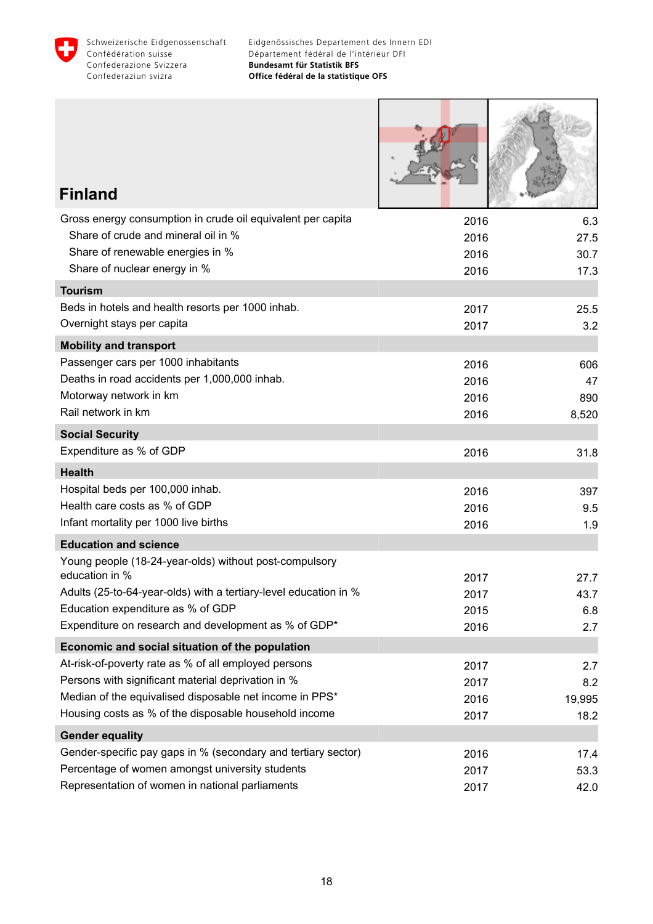

I

I.

| <b>Finland</b>                                                                                     |              |              |
|----------------------------------------------------------------------------------------------------|--------------|--------------|
| Gross energy consumption in crude oil equivalent per capita                                        | 2016         | 6.3          |
| Share of crude and mineral oil in %                                                                | 2016         | 27.5         |
| Share of renewable energies in %                                                                   | 2016         | 30.7         |
| Share of nuclear energy in %                                                                       | 2016         | 17.3         |
| <b>Tourism</b><br>Beds in hotels and health resorts per 1000 inhab.                                |              |              |
| Overnight stays per capita                                                                         | 2017<br>2017 | 25.5<br>3.2  |
| <b>Mobility and transport</b>                                                                      |              |              |
| Passenger cars per 1000 inhabitants                                                                | 2016         | 606          |
| Deaths in road accidents per 1,000,000 inhab.                                                      | 2016         | 47           |
| Motorway network in km                                                                             | 2016         | 890          |
| Rail network in km                                                                                 | 2016         | 8,520        |
| <b>Social Security</b>                                                                             |              |              |
| Expenditure as % of GDP                                                                            | 2016         | 31.8         |
| <b>Health</b>                                                                                      |              |              |
| Hospital beds per 100,000 inhab.                                                                   | 2016         | 397          |
| Health care costs as % of GDP                                                                      | 2016         | 9.5          |
| Infant mortality per 1000 live births                                                              | 2016         | 1.9          |
| <b>Education and science</b>                                                                       |              |              |
| Young people (18-24-year-olds) without post-compulsory<br>education in %                           |              |              |
| Adults (25-to-64-year-olds) with a tertiary-level education in %                                   | 2017<br>2017 | 27.7<br>43.7 |
| Education expenditure as % of GDP                                                                  | 2015         | 6.8          |
| Expenditure on research and development as % of GDP*                                               | 2016         | 2.7          |
| Economic and social situation of the population                                                    |              |              |
| At-risk-of-poverty rate as % of all employed persons                                               | 2017         | 2.7          |
| Persons with significant material deprivation in %                                                 | 2017         | 8.2          |
| Median of the equivalised disposable net income in PPS*                                            | 2016         | 19,995       |
| Housing costs as % of the disposable household income                                              | 2017         | 18.2         |
| <b>Gender equality</b>                                                                             |              |              |
| Gender-specific pay gaps in % (secondary and tertiary sector)                                      | 2016         | 17.4         |
| Percentage of women amongst university students<br>Representation of women in national parliaments | 2017         | 53.3         |
|                                                                                                    | 2017         | 42.0         |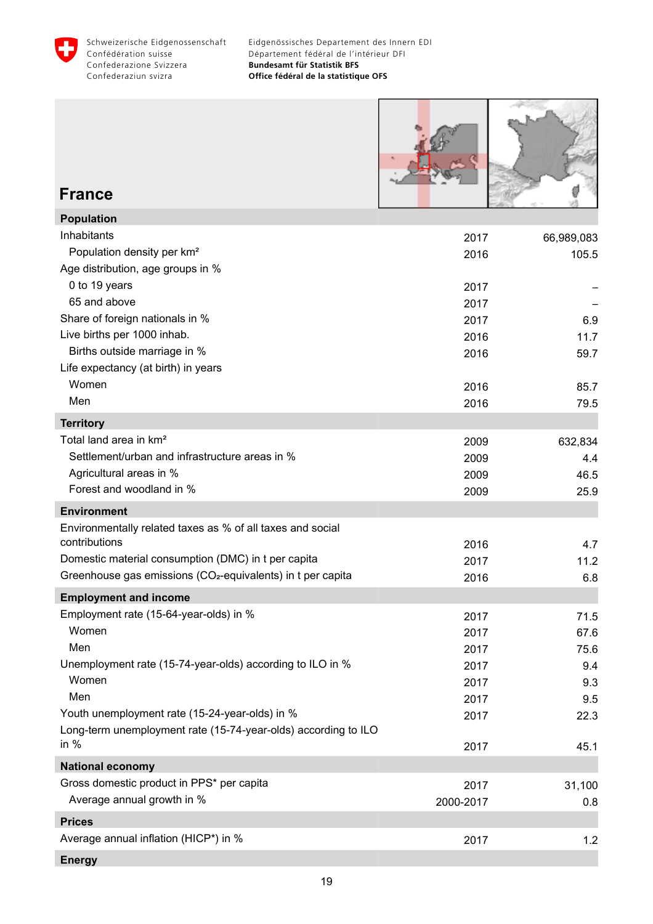<span id="page-20-0"></span>



#### **France**

| <b>Population</b>                                                       |           |            |
|-------------------------------------------------------------------------|-----------|------------|
| Inhabitants                                                             | 2017      | 66,989,083 |
| Population density per km <sup>2</sup>                                  | 2016      | 105.5      |
| Age distribution, age groups in %                                       |           |            |
| 0 to 19 years                                                           | 2017      |            |
| 65 and above                                                            | 2017      |            |
| Share of foreign nationals in %                                         | 2017      | 6.9        |
| Live births per 1000 inhab.                                             | 2016      | 11.7       |
| Births outside marriage in %                                            | 2016      | 59.7       |
| Life expectancy (at birth) in years                                     |           |            |
| Women                                                                   | 2016      | 85.7       |
| Men                                                                     | 2016      | 79.5       |
| <b>Territory</b>                                                        |           |            |
| Total land area in km <sup>2</sup>                                      | 2009      | 632,834    |
| Settlement/urban and infrastructure areas in %                          | 2009      | 4.4        |
| Agricultural areas in %                                                 | 2009      | 46.5       |
| Forest and woodland in %                                                | 2009      | 25.9       |
| <b>Environment</b>                                                      |           |            |
| Environmentally related taxes as % of all taxes and social              |           |            |
| contributions                                                           | 2016      | 4.7        |
| Domestic material consumption (DMC) in t per capita                     | 2017      | 11.2       |
| Greenhouse gas emissions (CO <sub>2</sub> -equivalents) in t per capita | 2016      | 6.8        |
| <b>Employment and income</b>                                            |           |            |
| Employment rate (15-64-year-olds) in %                                  | 2017      | 71.5       |
| Women                                                                   | 2017      | 67.6       |
| Men                                                                     | 2017      | 75.6       |
| Unemployment rate (15-74-year-olds) according to ILO in %               | 2017      | 9.4        |
| Women                                                                   | 2017      | 9.3        |
| Men                                                                     | 2017      | 9.5        |
| Youth unemployment rate (15-24-year-olds) in %                          | 2017      | 22.3       |
| Long-term unemployment rate (15-74-year-olds) according to ILO          |           |            |
| in $%$                                                                  | 2017      | 45.1       |
| <b>National economy</b>                                                 |           |            |
| Gross domestic product in PPS* per capita                               | 2017      | 31,100     |
| Average annual growth in %                                              | 2000-2017 | 0.8        |
| <b>Prices</b>                                                           |           |            |
| Average annual inflation (HICP*) in %                                   | 2017      | 1.2        |
| <b>Energy</b>                                                           |           |            |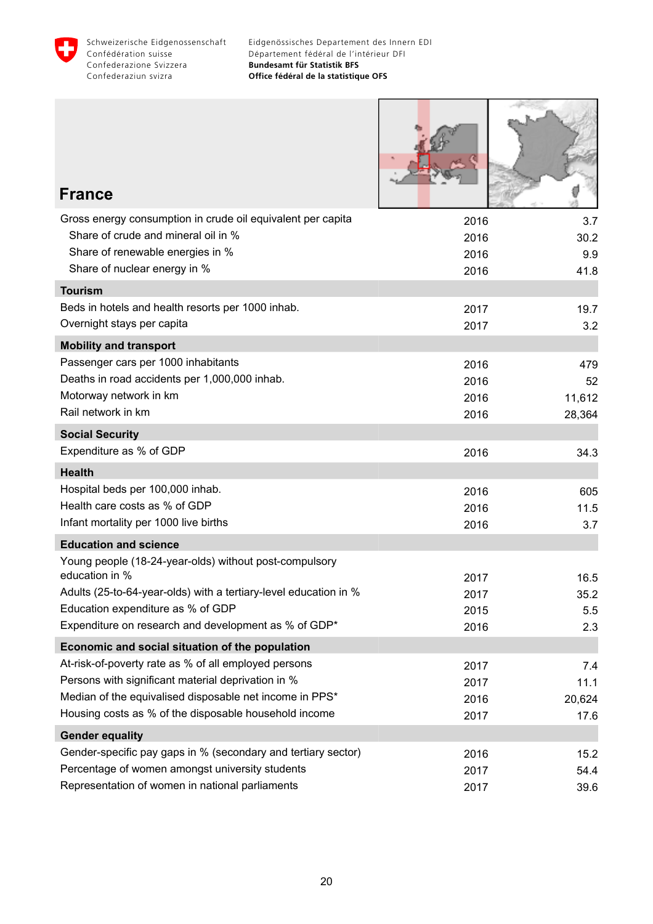

Г

Т

 $\begin{picture}(20,20) \put(0,0){\line(1,0){10}} \put(15,0){\line(1,0){10}} \put(15,0){\line(1,0){10}} \put(15,0){\line(1,0){10}} \put(15,0){\line(1,0){10}} \put(15,0){\line(1,0){10}} \put(15,0){\line(1,0){10}} \put(15,0){\line(1,0){10}} \put(15,0){\line(1,0){10}} \put(15,0){\line(1,0){10}} \put(15,0){\line(1,0){10}} \put(15,0){\line(1$ 

| <b>France</b>                                                                                         |              |            |
|-------------------------------------------------------------------------------------------------------|--------------|------------|
| Gross energy consumption in crude oil equivalent per capita                                           | 2016         | 3.7        |
| Share of crude and mineral oil in %                                                                   | 2016         | 30.2       |
| Share of renewable energies in %                                                                      | 2016         | 9.9        |
| Share of nuclear energy in %                                                                          | 2016         | 41.8       |
| <b>Tourism</b>                                                                                        |              |            |
| Beds in hotels and health resorts per 1000 inhab.<br>Overnight stays per capita                       | 2017         | 19.7       |
|                                                                                                       | 2017         | 3.2        |
| <b>Mobility and transport</b><br>Passenger cars per 1000 inhabitants                                  |              |            |
| Deaths in road accidents per 1,000,000 inhab.                                                         | 2016<br>2016 | 479<br>52  |
| Motorway network in km                                                                                | 2016         | 11,612     |
| Rail network in km                                                                                    | 2016         | 28,364     |
| <b>Social Security</b>                                                                                |              |            |
| Expenditure as % of GDP                                                                               | 2016         | 34.3       |
| <b>Health</b>                                                                                         |              |            |
| Hospital beds per 100,000 inhab.                                                                      | 2016         | 605        |
| Health care costs as % of GDP                                                                         | 2016         | 11.5       |
| Infant mortality per 1000 live births                                                                 | 2016         | 3.7        |
| <b>Education and science</b>                                                                          |              |            |
| Young people (18-24-year-olds) without post-compulsory                                                |              |            |
| education in %                                                                                        | 2017         | 16.5       |
| Adults (25-to-64-year-olds) with a tertiary-level education in %<br>Education expenditure as % of GDP | 2017         | 35.2       |
| Expenditure on research and development as % of GDP*                                                  | 2015<br>2016 | 5.5<br>2.3 |
| Economic and social situation of the population                                                       |              |            |
| At-risk-of-poverty rate as % of all employed persons                                                  | 2017         | 7.4        |
| Persons with significant material deprivation in %                                                    | 2017         | 11.1       |
| Median of the equivalised disposable net income in PPS*                                               | 2016         | 20,624     |
| Housing costs as % of the disposable household income                                                 | 2017         | 17.6       |
| <b>Gender equality</b>                                                                                |              |            |
| Gender-specific pay gaps in % (secondary and tertiary sector)                                         | 2016         | 15.2       |
| Percentage of women amongst university students                                                       | 2017         | 54.4       |
| Representation of women in national parliaments                                                       | 2017         | 39.6       |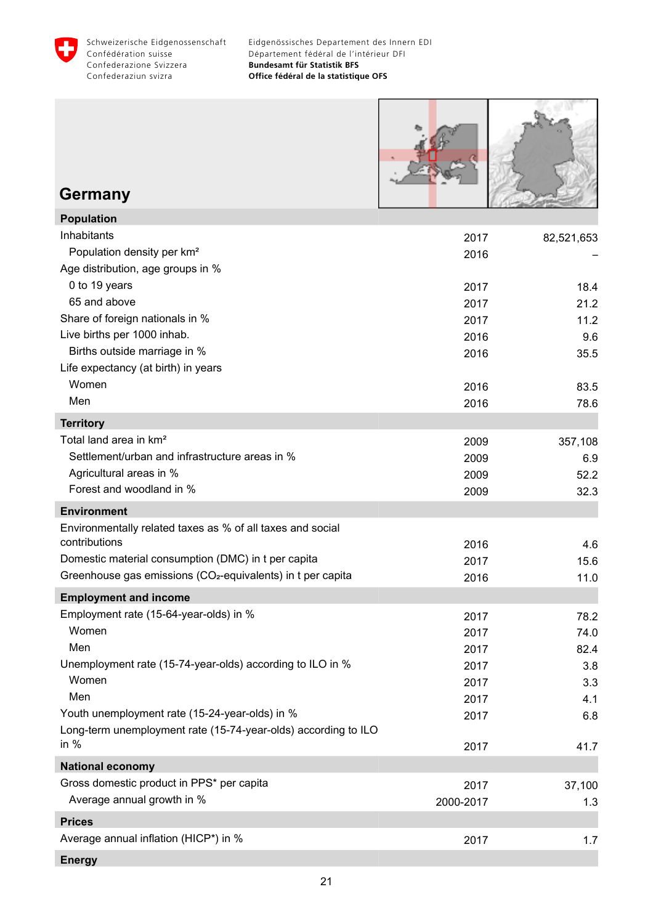<span id="page-22-0"></span>



#### **Germany**

| <b>Population</b>                                                       |           |            |
|-------------------------------------------------------------------------|-----------|------------|
| Inhabitants                                                             | 2017      | 82,521,653 |
| Population density per km <sup>2</sup>                                  | 2016      |            |
| Age distribution, age groups in %                                       |           |            |
| 0 to 19 years                                                           | 2017      | 18.4       |
| 65 and above                                                            | 2017      | 21.2       |
| Share of foreign nationals in %                                         | 2017      | 11.2       |
| Live births per 1000 inhab.                                             | 2016      | 9.6        |
| Births outside marriage in %                                            | 2016      | 35.5       |
| Life expectancy (at birth) in years                                     |           |            |
| Women                                                                   | 2016      | 83.5       |
| Men                                                                     | 2016      | 78.6       |
| <b>Territory</b>                                                        |           |            |
| Total land area in km <sup>2</sup>                                      | 2009      | 357,108    |
| Settlement/urban and infrastructure areas in %                          | 2009      | 6.9        |
| Agricultural areas in %                                                 | 2009      | 52.2       |
| Forest and woodland in %                                                | 2009      | 32.3       |
| <b>Environment</b>                                                      |           |            |
| Environmentally related taxes as % of all taxes and social              |           |            |
| contributions                                                           | 2016      | 4.6        |
| Domestic material consumption (DMC) in t per capita                     | 2017      | 15.6       |
| Greenhouse gas emissions (CO <sub>2</sub> -equivalents) in t per capita | 2016      | 11.0       |
| <b>Employment and income</b>                                            |           |            |
| Employment rate (15-64-year-olds) in %                                  | 2017      | 78.2       |
| Women                                                                   | 2017      | 74.0       |
| Men                                                                     | 2017      | 82.4       |
| Unemployment rate (15-74-year-olds) according to ILO in %               | 2017      | 3.8        |
| Women                                                                   | 2017      | 3.3        |
| Men                                                                     | 2017      | 4.1        |
| Youth unemployment rate (15-24-year-olds) in %                          | 2017      | 6.8        |
| Long-term unemployment rate (15-74-year-olds) according to ILO          |           |            |
| in $%$                                                                  | 2017      | 41.7       |
| <b>National economy</b>                                                 |           |            |
| Gross domestic product in PPS* per capita                               | 2017      | 37,100     |
| Average annual growth in %                                              | 2000-2017 | 1.3        |
| <b>Prices</b>                                                           |           |            |
| Average annual inflation (HICP*) in %                                   | 2017      | 1.7        |
| <b>Energy</b>                                                           |           |            |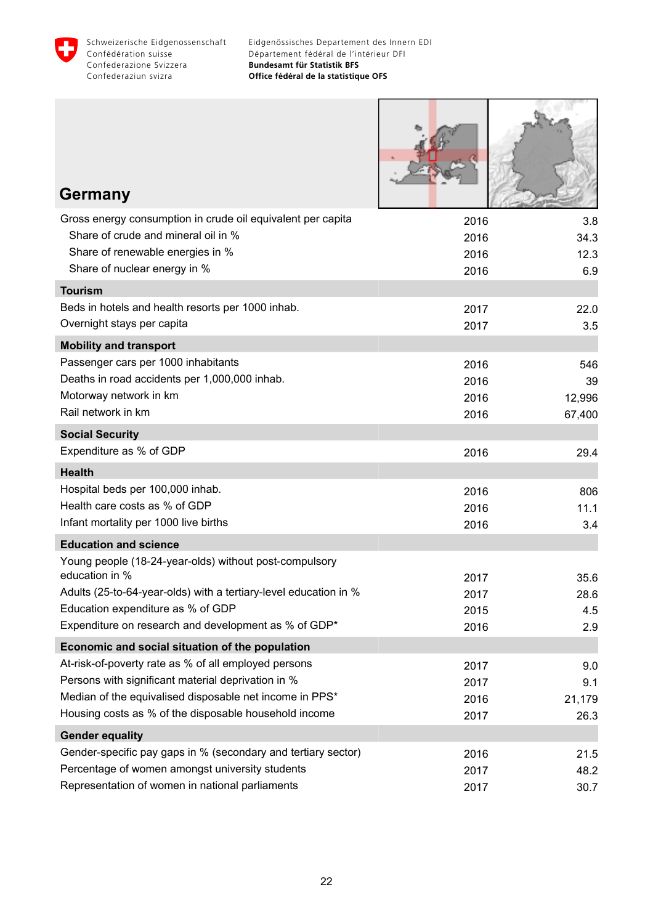

| <b>Germany</b>                                                                                                   |      |        |
|------------------------------------------------------------------------------------------------------------------|------|--------|
| Gross energy consumption in crude oil equivalent per capita                                                      | 2016 | 3.8    |
| Share of crude and mineral oil in %                                                                              | 2016 | 34.3   |
| Share of renewable energies in %                                                                                 | 2016 | 12.3   |
| Share of nuclear energy in %                                                                                     | 2016 | 6.9    |
| <b>Tourism</b>                                                                                                   |      |        |
| Beds in hotels and health resorts per 1000 inhab.                                                                | 2017 | 22.0   |
| Overnight stays per capita                                                                                       | 2017 | 3.5    |
| <b>Mobility and transport</b>                                                                                    |      |        |
| Passenger cars per 1000 inhabitants                                                                              | 2016 | 546    |
| Deaths in road accidents per 1,000,000 inhab.                                                                    | 2016 | 39     |
| Motorway network in km                                                                                           | 2016 | 12,996 |
| Rail network in km                                                                                               | 2016 | 67,400 |
| <b>Social Security</b>                                                                                           |      |        |
| Expenditure as % of GDP                                                                                          | 2016 | 29.4   |
| <b>Health</b>                                                                                                    |      |        |
| Hospital beds per 100,000 inhab.                                                                                 | 2016 | 806    |
| Health care costs as % of GDP                                                                                    | 2016 | 11.1   |
| Infant mortality per 1000 live births                                                                            | 2016 | 3.4    |
| <b>Education and science</b>                                                                                     |      |        |
| Young people (18-24-year-olds) without post-compulsory                                                           |      |        |
| education in %                                                                                                   | 2017 | 35.6   |
| Adults (25-to-64-year-olds) with a tertiary-level education in %                                                 | 2017 | 28.6   |
| Education expenditure as % of GDP<br>Expenditure on research and development as % of GDP*                        | 2015 | 4.5    |
|                                                                                                                  | 2016 | 2.9    |
| Economic and social situation of the population                                                                  |      |        |
| At-risk-of-poverty rate as % of all employed persons                                                             | 2017 | 9.0    |
| Persons with significant material deprivation in %<br>Median of the equivalised disposable net income in PPS*    | 2017 | 9.1    |
| Housing costs as % of the disposable household income                                                            | 2016 | 21,179 |
|                                                                                                                  | 2017 | 26.3   |
| <b>Gender equality</b>                                                                                           |      |        |
| Gender-specific pay gaps in % (secondary and tertiary sector)<br>Percentage of women amongst university students | 2016 | 21.5   |
| Representation of women in national parliaments                                                                  | 2017 | 48.2   |
|                                                                                                                  | 2017 | 30.7   |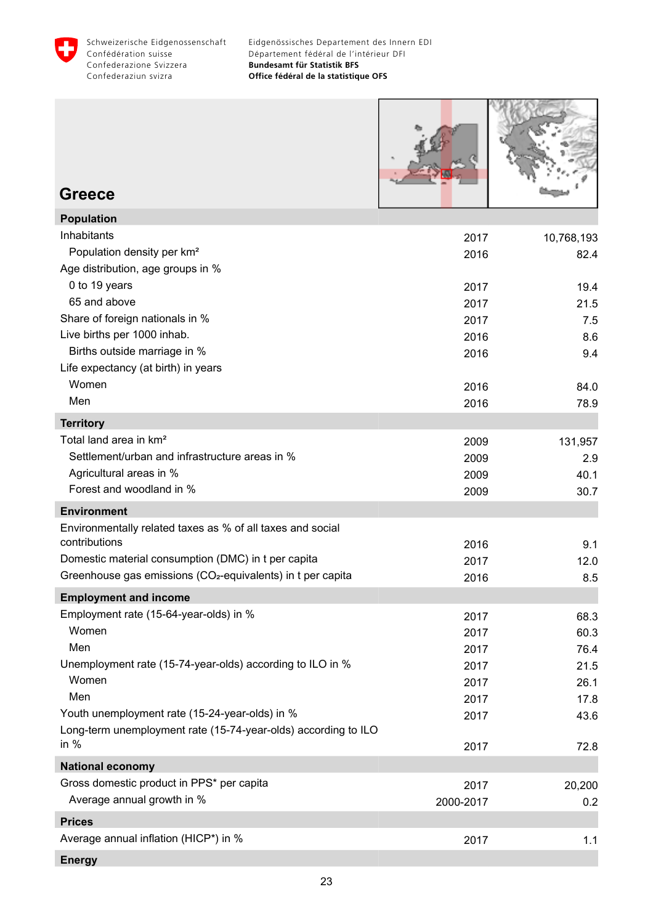<span id="page-24-0"></span>

| <b>Greece</b>                                                           |                   |               |
|-------------------------------------------------------------------------|-------------------|---------------|
| <b>Population</b>                                                       |                   |               |
| Inhabitants                                                             | 2017              | 10,768,193    |
| Population density per km <sup>2</sup>                                  | 2016              | 82.4          |
| Age distribution, age groups in %                                       |                   |               |
| 0 to 19 years                                                           | 2017              | 19.4          |
| 65 and above                                                            | 2017              | 21.5          |
| Share of foreign nationals in %                                         | 2017              | 7.5           |
| Live births per 1000 inhab.                                             | 2016              | 8.6           |
| Births outside marriage in %                                            | 2016              | 9.4           |
| Life expectancy (at birth) in years                                     |                   |               |
| Women                                                                   | 2016              | 84.0          |
| Men                                                                     | 2016              | 78.9          |
| <b>Territory</b>                                                        |                   |               |
| Total land area in km <sup>2</sup>                                      | 2009              | 131,957       |
| Settlement/urban and infrastructure areas in %                          | 2009              | 2.9           |
| Agricultural areas in %                                                 | 2009              | 40.1          |
| Forest and woodland in %                                                | 2009              | 30.7          |
| <b>Environment</b>                                                      |                   |               |
| Environmentally related taxes as % of all taxes and social              |                   |               |
| contributions                                                           | 2016              | 9.1           |
| Domestic material consumption (DMC) in t per capita                     | 2017              | 12.0          |
| Greenhouse gas emissions (CO <sub>2</sub> -equivalents) in t per capita | 2016              | 8.5           |
| <b>Employment and income</b>                                            |                   |               |
| Employment rate (15-64-year-olds) in %                                  | 2017              | 68.3          |
| Women                                                                   | 2017              | 60.3          |
| Men                                                                     | 2017              | 76.4          |
| Unemployment rate (15-74-year-olds) according to ILO in %               | 2017              | 21.5          |
| Women                                                                   | 2017              | 26.1          |
| Men<br>Youth unemployment rate (15-24-year-olds) in %                   | 2017              | 17.8          |
| Long-term unemployment rate (15-74-year-olds) according to ILO          | 2017              | 43.6          |
| in $%$                                                                  | 2017              | 72.8          |
| <b>National economy</b>                                                 |                   |               |
| Gross domestic product in PPS* per capita<br>Average annual growth in % | 2017<br>2000-2017 | 20,200<br>0.2 |
|                                                                         |                   |               |
| <b>Prices</b><br>Average annual inflation (HICP*) in %                  |                   |               |
|                                                                         | 2017              | 1.1           |

**Energy**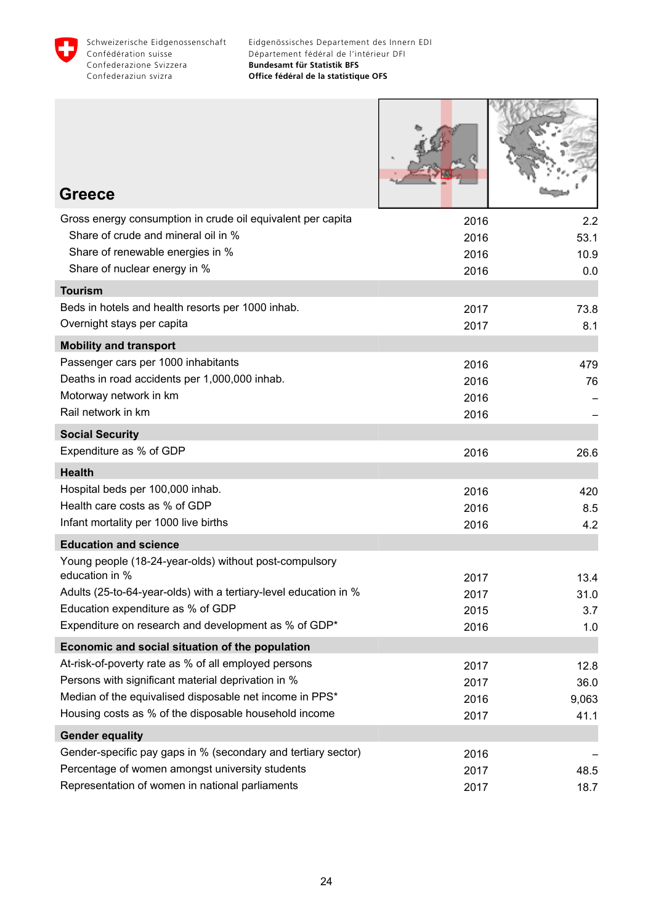

| <b>Greece</b>                                                                                              |              |               |
|------------------------------------------------------------------------------------------------------------|--------------|---------------|
| Gross energy consumption in crude oil equivalent per capita                                                | 2016         | 2.2           |
| Share of crude and mineral oil in %                                                                        | 2016         | 53.1          |
| Share of renewable energies in %<br>Share of nuclear energy in %                                           | 2016<br>2016 | 10.9<br>0.0   |
| <b>Tourism</b>                                                                                             |              |               |
| Beds in hotels and health resorts per 1000 inhab.                                                          | 2017         | 73.8          |
| Overnight stays per capita                                                                                 | 2017         | 8.1           |
| <b>Mobility and transport</b>                                                                              |              |               |
| Passenger cars per 1000 inhabitants                                                                        | 2016         | 479           |
| Deaths in road accidents per 1,000,000 inhab.                                                              | 2016         | 76            |
| Motorway network in km                                                                                     | 2016         |               |
| Rail network in km                                                                                         | 2016         |               |
| <b>Social Security</b>                                                                                     |              |               |
| Expenditure as % of GDP                                                                                    | 2016         | 26.6          |
| <b>Health</b>                                                                                              |              |               |
| Hospital beds per 100,000 inhab.<br>Health care costs as % of GDP                                          | 2016         | 420           |
| Infant mortality per 1000 live births                                                                      | 2016<br>2016 | 8.5<br>4.2    |
| <b>Education and science</b>                                                                               |              |               |
| Young people (18-24-year-olds) without post-compulsory                                                     |              |               |
| education in %                                                                                             | 2017         | 13.4          |
| Adults (25-to-64-year-olds) with a tertiary-level education in %                                           | 2017         | 31.0          |
| Education expenditure as % of GDP                                                                          | 2015         | 3.7           |
| Expenditure on research and development as % of GDP*                                                       | 2016         | 1.0           |
| Economic and social situation of the population                                                            |              |               |
| At-risk-of-poverty rate as % of all employed persons<br>Persons with significant material deprivation in % | 2017         | 12.8          |
| Median of the equivalised disposable net income in PPS*                                                    | 2017<br>2016 | 36.0<br>9,063 |
| Housing costs as % of the disposable household income                                                      | 2017         | 41.1          |
| <b>Gender equality</b>                                                                                     |              |               |
| Gender-specific pay gaps in % (secondary and tertiary sector)                                              | 2016         |               |
| Percentage of women amongst university students                                                            | 2017         | 48.5          |
| Representation of women in national parliaments                                                            | 2017         | 18.7          |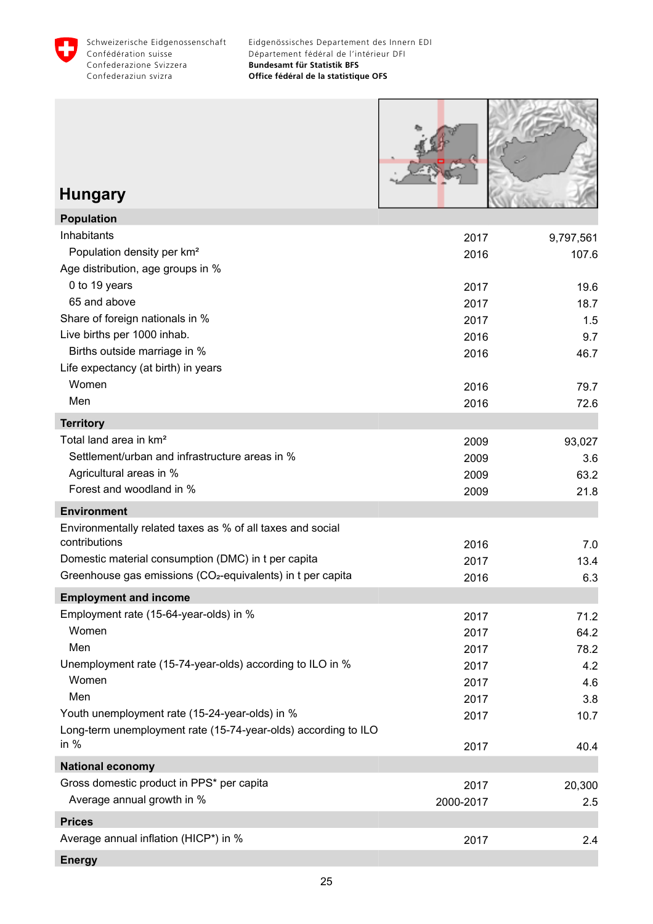<span id="page-26-0"></span>

Г

**Bill all strates** 

| <b>Hungary</b>                                                          |              |              |
|-------------------------------------------------------------------------|--------------|--------------|
| <b>Population</b>                                                       |              |              |
| Inhabitants                                                             | 2017         | 9,797,561    |
| Population density per km <sup>2</sup>                                  | 2016         | 107.6        |
| Age distribution, age groups in %<br>0 to 19 years                      |              |              |
| 65 and above                                                            | 2017<br>2017 | 19.6<br>18.7 |
| Share of foreign nationals in %                                         | 2017         | 1.5          |
| Live births per 1000 inhab.                                             | 2016         | 9.7          |
| Births outside marriage in %                                            | 2016         | 46.7         |
| Life expectancy (at birth) in years                                     |              |              |
| Women                                                                   | 2016         | 79.7         |
| Men                                                                     | 2016         | 72.6         |
| <b>Territory</b>                                                        |              |              |
| Total land area in km <sup>2</sup>                                      | 2009         | 93,027       |
| Settlement/urban and infrastructure areas in %                          | 2009         | 3.6          |
| Agricultural areas in %                                                 | 2009         | 63.2         |
| Forest and woodland in %                                                | 2009         | 21.8         |
| <b>Environment</b>                                                      |              |              |
| Environmentally related taxes as % of all taxes and social              |              |              |
| contributions                                                           | 2016         | 7.0          |
| Domestic material consumption (DMC) in t per capita                     | 2017         | 13.4         |
| Greenhouse gas emissions (CO <sub>2</sub> -equivalents) in t per capita | 2016         | 6.3          |
| <b>Employment and income</b>                                            |              |              |
| Employment rate (15-64-year-olds) in %                                  | 2017         | 71.2         |
| Women                                                                   | 2017         | 64.2         |
| Men<br>Unemployment rate (15-74-year-olds) according to ILO in %        | 2017         | 78.2         |
| Women                                                                   | 2017<br>2017 | 4.2<br>4.6   |
| Men                                                                     | 2017         | 3.8          |
| Youth unemployment rate (15-24-year-olds) in %                          | 2017         | 10.7         |
| Long-term unemployment rate (15-74-year-olds) according to ILO          |              |              |
| in $%$                                                                  | 2017         | 40.4         |
| <b>National economy</b>                                                 |              |              |
| Gross domestic product in PPS* per capita                               | 2017         | 20,300       |
| Average annual growth in %                                              | 2000-2017    | 2.5          |
| <b>Prices</b>                                                           |              |              |
| Average annual inflation (HICP*) in %                                   | 2017         | 2.4          |
| <b>Energy</b>                                                           |              |              |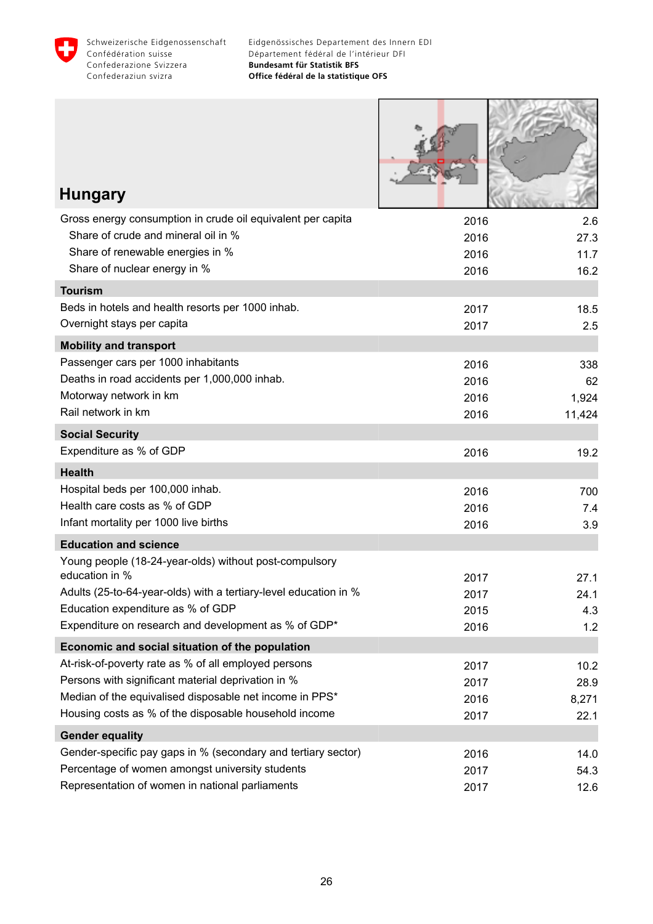

| <b>Hungary</b>                                                                     |              |              |
|------------------------------------------------------------------------------------|--------------|--------------|
|                                                                                    |              |              |
| Gross energy consumption in crude oil equivalent per capita                        | 2016         | 2.6          |
| Share of crude and mineral oil in %<br>Share of renewable energies in %            | 2016         | 27.3         |
| Share of nuclear energy in %                                                       | 2016<br>2016 | 11.7<br>16.2 |
| <b>Tourism</b>                                                                     |              |              |
| Beds in hotels and health resorts per 1000 inhab.                                  | 2017         | 18.5         |
| Overnight stays per capita                                                         | 2017         | 2.5          |
| <b>Mobility and transport</b>                                                      |              |              |
| Passenger cars per 1000 inhabitants                                                | 2016         | 338          |
| Deaths in road accidents per 1,000,000 inhab.                                      | 2016         | 62           |
| Motorway network in km                                                             | 2016         | 1,924        |
| Rail network in km                                                                 | 2016         | 11,424       |
| <b>Social Security</b>                                                             |              |              |
| Expenditure as % of GDP                                                            | 2016         | 19.2         |
| <b>Health</b>                                                                      |              |              |
| Hospital beds per 100,000 inhab.                                                   | 2016         | 700          |
| Health care costs as % of GDP                                                      | 2016         | 7.4          |
| Infant mortality per 1000 live births                                              | 2016         | 3.9          |
| <b>Education and science</b>                                                       |              |              |
| Young people (18-24-year-olds) without post-compulsory                             |              |              |
| education in %<br>Adults (25-to-64-year-olds) with a tertiary-level education in % | 2017         | 27.1         |
| Education expenditure as % of GDP                                                  | 2017<br>2015 | 24.1<br>4.3  |
| Expenditure on research and development as % of GDP*                               | 2016         | 1.2          |
| Economic and social situation of the population                                    |              |              |
| At-risk-of-poverty rate as % of all employed persons                               | 2017         | 10.2         |
| Persons with significant material deprivation in %                                 | 2017         | 28.9         |
| Median of the equivalised disposable net income in PPS*                            | 2016         | 8,271        |
| Housing costs as % of the disposable household income                              | 2017         | 22.1         |
| <b>Gender equality</b>                                                             |              |              |
| Gender-specific pay gaps in % (secondary and tertiary sector)                      | 2016         | 14.0         |
| Percentage of women amongst university students                                    | 2017         | 54.3         |
| Representation of women in national parliaments                                    | 2017         | 12.6         |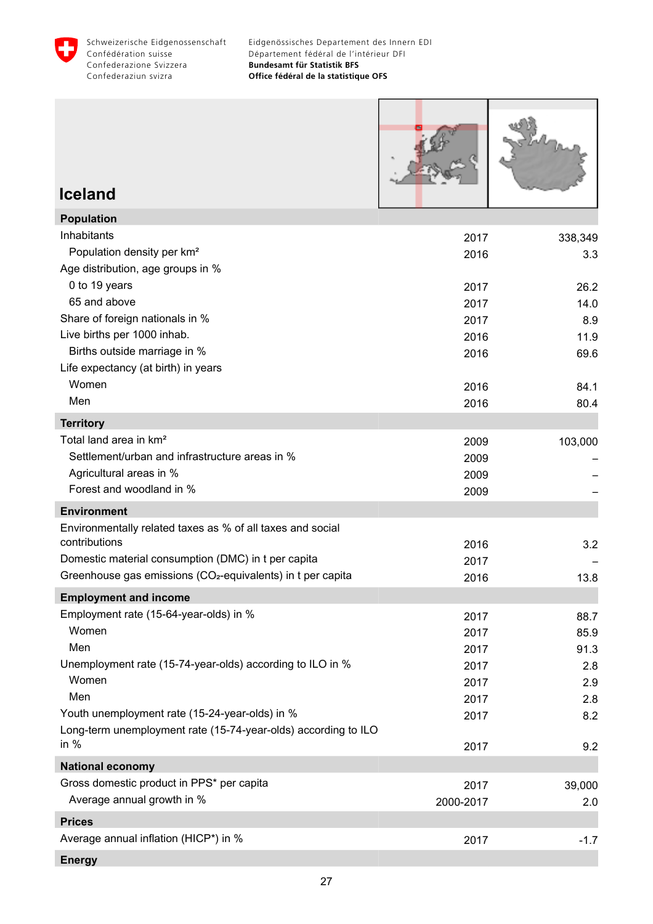<span id="page-28-0"></span>



#### **Iceland**

| <b>Population</b>                                                       |           |         |
|-------------------------------------------------------------------------|-----------|---------|
| Inhabitants                                                             | 2017      | 338,349 |
| Population density per km <sup>2</sup>                                  | 2016      | 3.3     |
| Age distribution, age groups in %                                       |           |         |
| 0 to 19 years                                                           | 2017      | 26.2    |
| 65 and above                                                            | 2017      | 14.0    |
| Share of foreign nationals in %                                         | 2017      | 8.9     |
| Live births per 1000 inhab.                                             | 2016      | 11.9    |
| Births outside marriage in %                                            | 2016      | 69.6    |
| Life expectancy (at birth) in years                                     |           |         |
| Women                                                                   | 2016      | 84.1    |
| Men                                                                     | 2016      | 80.4    |
| <b>Territory</b>                                                        |           |         |
| Total land area in km <sup>2</sup>                                      | 2009      | 103,000 |
| Settlement/urban and infrastructure areas in %                          | 2009      |         |
| Agricultural areas in %                                                 | 2009      |         |
| Forest and woodland in %                                                | 2009      |         |
| <b>Environment</b>                                                      |           |         |
| Environmentally related taxes as % of all taxes and social              |           |         |
| contributions                                                           | 2016      | 3.2     |
| Domestic material consumption (DMC) in t per capita                     | 2017      |         |
| Greenhouse gas emissions (CO <sub>2</sub> -equivalents) in t per capita | 2016      | 13.8    |
| <b>Employment and income</b>                                            |           |         |
| Employment rate (15-64-year-olds) in %                                  | 2017      | 88.7    |
| Women                                                                   | 2017      | 85.9    |
| Men                                                                     | 2017      | 91.3    |
| Unemployment rate (15-74-year-olds) according to ILO in %               | 2017      | 2.8     |
| Women                                                                   | 2017      | 2.9     |
| Men                                                                     | 2017      | 2.8     |
| Youth unemployment rate (15-24-year-olds) in %                          | 2017      | 8.2     |
| Long-term unemployment rate (15-74-year-olds) according to ILO          |           |         |
| in $%$                                                                  | 2017      | 9.2     |
| <b>National economy</b>                                                 |           |         |
| Gross domestic product in PPS* per capita                               | 2017      | 39,000  |
| Average annual growth in %                                              | 2000-2017 | 2.0     |
| <b>Prices</b>                                                           |           |         |
| Average annual inflation (HICP*) in %                                   | 2017      | $-1.7$  |
| <b>Energy</b>                                                           |           |         |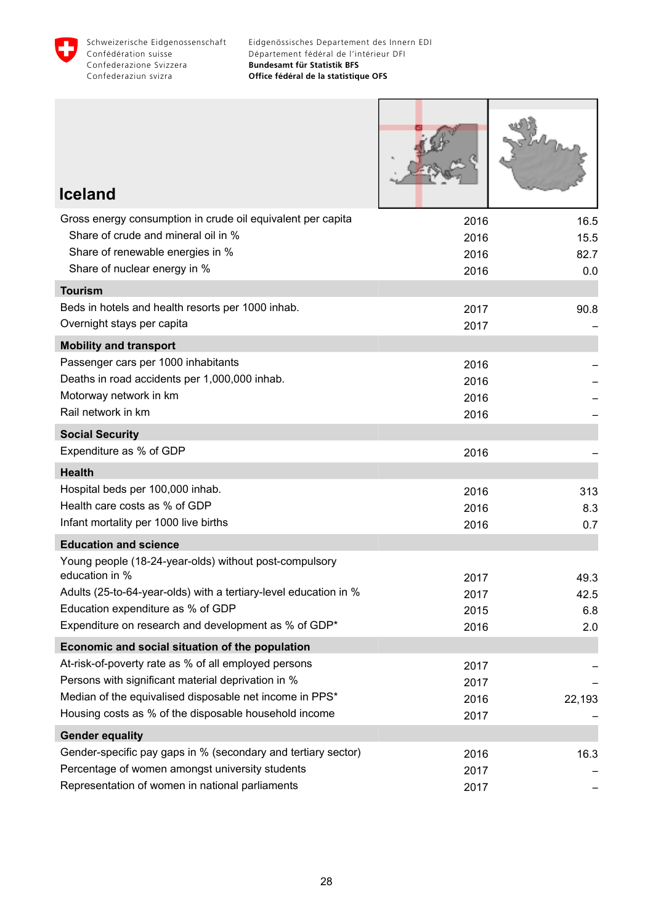

Г

Т

٦

| <b>Iceland</b>                                                                         |      |        |
|----------------------------------------------------------------------------------------|------|--------|
| Gross energy consumption in crude oil equivalent per capita                            | 2016 | 16.5   |
| Share of crude and mineral oil in %                                                    | 2016 | 15.5   |
| Share of renewable energies in %                                                       | 2016 | 82.7   |
| Share of nuclear energy in %                                                           | 2016 | 0.0    |
| <b>Tourism</b>                                                                         |      |        |
| Beds in hotels and health resorts per 1000 inhab.                                      | 2017 | 90.8   |
| Overnight stays per capita                                                             | 2017 |        |
| <b>Mobility and transport</b>                                                          |      |        |
| Passenger cars per 1000 inhabitants                                                    | 2016 |        |
| Deaths in road accidents per 1,000,000 inhab.                                          | 2016 |        |
| Motorway network in km<br>Rail network in km                                           | 2016 |        |
|                                                                                        | 2016 |        |
| <b>Social Security</b>                                                                 |      |        |
| Expenditure as % of GDP                                                                | 2016 |        |
| <b>Health</b>                                                                          |      |        |
| Hospital beds per 100,000 inhab.                                                       | 2016 | 313    |
| Health care costs as % of GDP                                                          | 2016 | 8.3    |
| Infant mortality per 1000 live births                                                  | 2016 | 0.7    |
| <b>Education and science</b><br>Young people (18-24-year-olds) without post-compulsory |      |        |
| education in %                                                                         | 2017 | 49.3   |
| Adults (25-to-64-year-olds) with a tertiary-level education in %                       | 2017 | 42.5   |
| Education expenditure as % of GDP                                                      | 2015 | 6.8    |
| Expenditure on research and development as % of GDP*                                   | 2016 | 2.0    |
| Economic and social situation of the population                                        |      |        |
| At-risk-of-poverty rate as % of all employed persons                                   | 2017 |        |
| Persons with significant material deprivation in %                                     | 2017 |        |
| Median of the equivalised disposable net income in PPS*                                | 2016 | 22,193 |
| Housing costs as % of the disposable household income                                  | 2017 |        |
| <b>Gender equality</b>                                                                 |      |        |
| Gender-specific pay gaps in % (secondary and tertiary sector)                          | 2016 | 16.3   |
| Percentage of women amongst university students                                        | 2017 |        |
| Representation of women in national parliaments                                        | 2017 |        |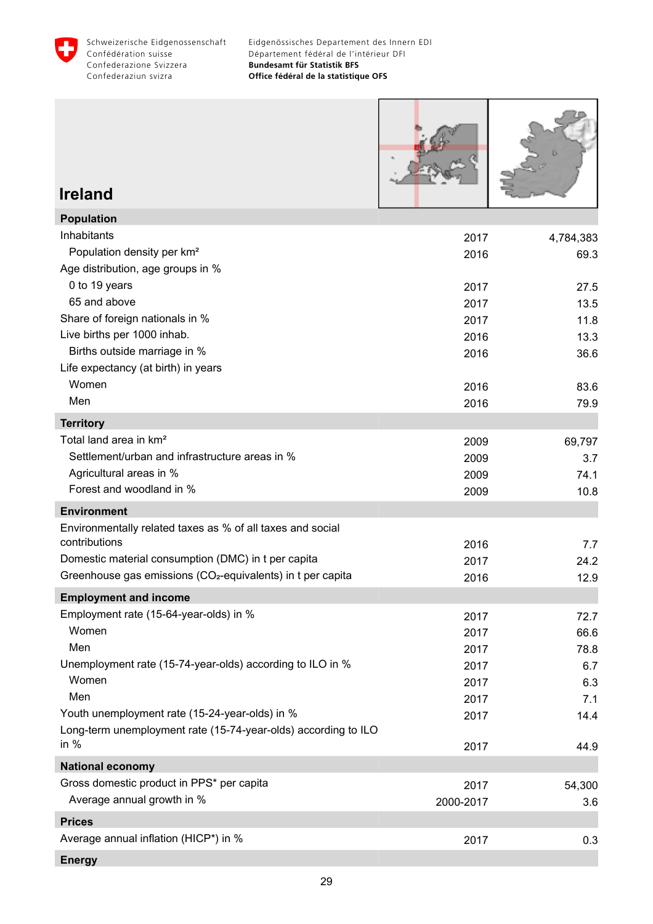<span id="page-30-0"></span>

Г

ш

| <b>Ireland</b>                                                              |              |              |
|-----------------------------------------------------------------------------|--------------|--------------|
| <b>Population</b>                                                           |              |              |
| Inhabitants                                                                 | 2017         | 4,784,383    |
| Population density per km <sup>2</sup>                                      | 2016         | 69.3         |
| Age distribution, age groups in %<br>0 to 19 years                          |              |              |
| 65 and above                                                                | 2017<br>2017 | 27.5<br>13.5 |
| Share of foreign nationals in %                                             | 2017         | 11.8         |
| Live births per 1000 inhab.                                                 | 2016         | 13.3         |
| Births outside marriage in %                                                | 2016         | 36.6         |
| Life expectancy (at birth) in years                                         |              |              |
| Women                                                                       | 2016         | 83.6         |
| Men                                                                         | 2016         | 79.9         |
| <b>Territory</b>                                                            |              |              |
| Total land area in km <sup>2</sup>                                          | 2009         | 69,797       |
| Settlement/urban and infrastructure areas in %                              | 2009         | 3.7          |
| Agricultural areas in %                                                     | 2009         | 74.1         |
| Forest and woodland in %                                                    | 2009         | 10.8         |
| <b>Environment</b>                                                          |              |              |
| Environmentally related taxes as % of all taxes and social<br>contributions |              |              |
| Domestic material consumption (DMC) in t per capita                         | 2016<br>2017 | 7.7<br>24.2  |
| Greenhouse gas emissions (CO <sub>2</sub> -equivalents) in t per capita     | 2016         | 12.9         |
| <b>Employment and income</b>                                                |              |              |
| Employment rate (15-64-year-olds) in %                                      | 2017         | 72.7         |
| Women                                                                       | 2017         | 66.6         |
| Men                                                                         | 2017         | 78.8         |
| Unemployment rate (15-74-year-olds) according to ILO in %                   | 2017         | 6.7          |
| Women                                                                       | 2017         | 6.3          |
| Men                                                                         | 2017         | 7.1          |
| Youth unemployment rate (15-24-year-olds) in %                              | 2017         | 14.4         |
| Long-term unemployment rate (15-74-year-olds) according to ILO<br>in $%$    | 2017         | 44.9         |
| <b>National economy</b>                                                     |              |              |
| Gross domestic product in PPS* per capita                                   | 2017         | 54,300       |
| Average annual growth in %                                                  | 2000-2017    | 3.6          |
| <b>Prices</b>                                                               |              |              |
| Average annual inflation (HICP*) in %                                       | 2017         | 0.3          |
| <b>Energy</b>                                                               |              |              |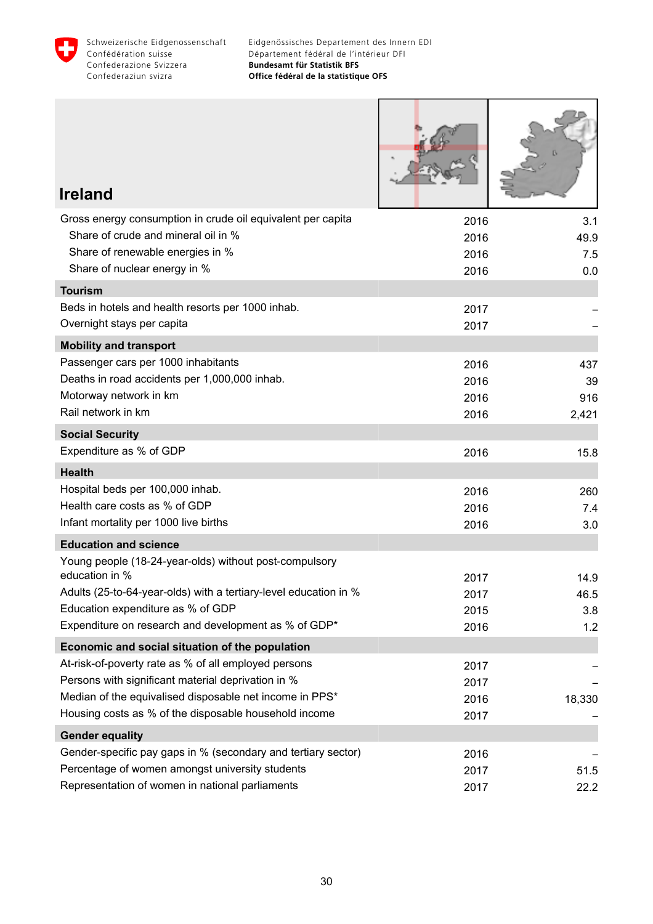

ſ

ш

| <b>Ireland</b>                                                                                     |              |            |
|----------------------------------------------------------------------------------------------------|--------------|------------|
| Gross energy consumption in crude oil equivalent per capita                                        | 2016         | 3.1        |
| Share of crude and mineral oil in %                                                                | 2016         | 49.9       |
| Share of renewable energies in %<br>Share of nuclear energy in %                                   | 2016<br>2016 | 7.5<br>0.0 |
| <b>Tourism</b>                                                                                     |              |            |
| Beds in hotels and health resorts per 1000 inhab.                                                  | 2017         |            |
| Overnight stays per capita                                                                         | 2017         |            |
| <b>Mobility and transport</b>                                                                      |              |            |
| Passenger cars per 1000 inhabitants                                                                | 2016         | 437        |
| Deaths in road accidents per 1,000,000 inhab.                                                      | 2016         | 39         |
| Motorway network in km                                                                             | 2016         | 916        |
| Rail network in km                                                                                 | 2016         | 2,421      |
| <b>Social Security</b>                                                                             |              |            |
| Expenditure as % of GDP                                                                            | 2016         | 15.8       |
| <b>Health</b>                                                                                      |              |            |
| Hospital beds per 100,000 inhab.                                                                   | 2016         | 260        |
| Health care costs as % of GDP                                                                      | 2016         | 7.4        |
| Infant mortality per 1000 live births                                                              | 2016         | 3.0        |
| <b>Education and science</b>                                                                       |              |            |
| Young people (18-24-year-olds) without post-compulsory<br>education in %                           | 2017         | 14.9       |
| Adults (25-to-64-year-olds) with a tertiary-level education in %                                   | 2017         | 46.5       |
| Education expenditure as % of GDP                                                                  | 2015         | 3.8        |
| Expenditure on research and development as % of GDP*                                               | 2016         | 1.2        |
| Economic and social situation of the population                                                    |              |            |
| At-risk-of-poverty rate as % of all employed persons                                               | 2017         |            |
| Persons with significant material deprivation in %                                                 | 2017         |            |
| Median of the equivalised disposable net income in PPS*                                            | 2016         | 18,330     |
| Housing costs as % of the disposable household income                                              | 2017         |            |
| <b>Gender equality</b>                                                                             |              |            |
| Gender-specific pay gaps in % (secondary and tertiary sector)                                      | 2016         |            |
| Percentage of women amongst university students<br>Representation of women in national parliaments | 2017         | 51.5       |
|                                                                                                    | 2017         | 22.2       |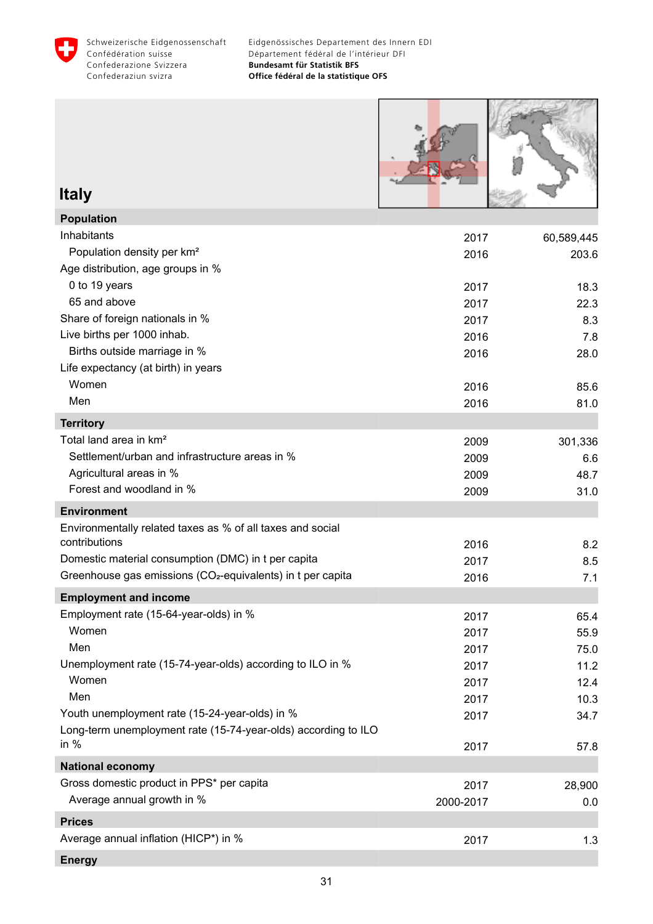<span id="page-32-0"></span>



### **Italy**

| <b>Population</b>                                                       |           |            |
|-------------------------------------------------------------------------|-----------|------------|
| Inhabitants                                                             | 2017      | 60,589,445 |
| Population density per km <sup>2</sup>                                  | 2016      | 203.6      |
| Age distribution, age groups in %                                       |           |            |
| 0 to 19 years                                                           | 2017      | 18.3       |
| 65 and above                                                            | 2017      | 22.3       |
| Share of foreign nationals in %                                         | 2017      | 8.3        |
| Live births per 1000 inhab.                                             | 2016      | 7.8        |
| Births outside marriage in %                                            | 2016      | 28.0       |
| Life expectancy (at birth) in years                                     |           |            |
| Women                                                                   | 2016      | 85.6       |
| Men                                                                     | 2016      | 81.0       |
| <b>Territory</b>                                                        |           |            |
| Total land area in km <sup>2</sup>                                      | 2009      | 301,336    |
| Settlement/urban and infrastructure areas in %                          | 2009      | 6.6        |
| Agricultural areas in %                                                 | 2009      | 48.7       |
| Forest and woodland in %                                                | 2009      | 31.0       |
| <b>Environment</b>                                                      |           |            |
| Environmentally related taxes as % of all taxes and social              |           |            |
| contributions                                                           | 2016      | 8.2        |
| Domestic material consumption (DMC) in t per capita                     | 2017      | 8.5        |
| Greenhouse gas emissions (CO <sub>2</sub> -equivalents) in t per capita | 2016      | 7.1        |
| <b>Employment and income</b>                                            |           |            |
| Employment rate (15-64-year-olds) in %                                  | 2017      | 65.4       |
| Women                                                                   | 2017      | 55.9       |
| Men                                                                     | 2017      | 75.0       |
| Unemployment rate (15-74-year-olds) according to ILO in %               | 2017      | 11.2       |
| Women                                                                   | 2017      | 12.4       |
| Men                                                                     | 2017      | 10.3       |
| Youth unemployment rate (15-24-year-olds) in %                          | 2017      | 34.7       |
| Long-term unemployment rate (15-74-year-olds) according to ILO          |           |            |
| in $%$                                                                  | 2017      | 57.8       |
| <b>National economy</b>                                                 |           |            |
| Gross domestic product in PPS* per capita                               | 2017      | 28,900     |
| Average annual growth in %                                              | 2000-2017 | 0.0        |
| <b>Prices</b>                                                           |           |            |
| Average annual inflation (HICP*) in %                                   | 2017      | 1.3        |
|                                                                         |           |            |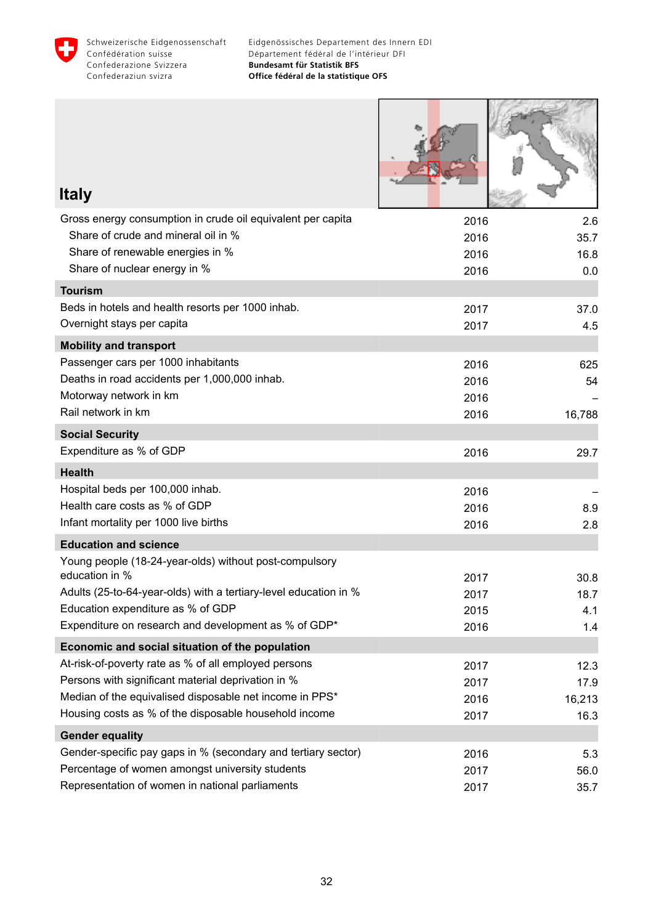

Г

a familiar and the contract of the contract of the contract of the contract of the contract of the contract of

| <b>Italy</b>                                                                         |              |              |
|--------------------------------------------------------------------------------------|--------------|--------------|
| Gross energy consumption in crude oil equivalent per capita                          | 2016         | 2.6          |
| Share of crude and mineral oil in %                                                  | 2016         | 35.7         |
| Share of renewable energies in %                                                     | 2016         | 16.8         |
| Share of nuclear energy in %                                                         | 2016         | 0.0          |
| <b>Tourism</b>                                                                       |              |              |
| Beds in hotels and health resorts per 1000 inhab.                                    | 2017         | 37.0         |
| Overnight stays per capita                                                           | 2017         | 4.5          |
| <b>Mobility and transport</b>                                                        |              |              |
| Passenger cars per 1000 inhabitants<br>Deaths in road accidents per 1,000,000 inhab. | 2016         | 625          |
| Motorway network in km                                                               | 2016<br>2016 | 54           |
| Rail network in km                                                                   | 2016         | 16,788       |
| <b>Social Security</b>                                                               |              |              |
| Expenditure as % of GDP                                                              | 2016         | 29.7         |
| <b>Health</b>                                                                        |              |              |
| Hospital beds per 100,000 inhab.                                                     | 2016         |              |
| Health care costs as % of GDP                                                        | 2016         | 8.9          |
| Infant mortality per 1000 live births                                                | 2016         | 2.8          |
| <b>Education and science</b>                                                         |              |              |
| Young people (18-24-year-olds) without post-compulsory<br>education in %             |              |              |
| Adults (25-to-64-year-olds) with a tertiary-level education in %                     | 2017<br>2017 | 30.8<br>18.7 |
| Education expenditure as % of GDP                                                    | 2015         | 4.1          |
| Expenditure on research and development as % of GDP*                                 | 2016         | 1.4          |
| Economic and social situation of the population                                      |              |              |
| At-risk-of-poverty rate as % of all employed persons                                 | 2017         | 12.3         |
| Persons with significant material deprivation in %                                   | 2017         | 17.9         |
| Median of the equivalised disposable net income in PPS*                              | 2016         | 16,213       |
| Housing costs as % of the disposable household income                                | 2017         | 16.3         |
| <b>Gender equality</b>                                                               |              |              |
| Gender-specific pay gaps in % (secondary and tertiary sector)                        | 2016         | 5.3          |
| Percentage of women amongst university students                                      | 2017         | 56.0         |
| Representation of women in national parliaments                                      | 2017         | 35.7         |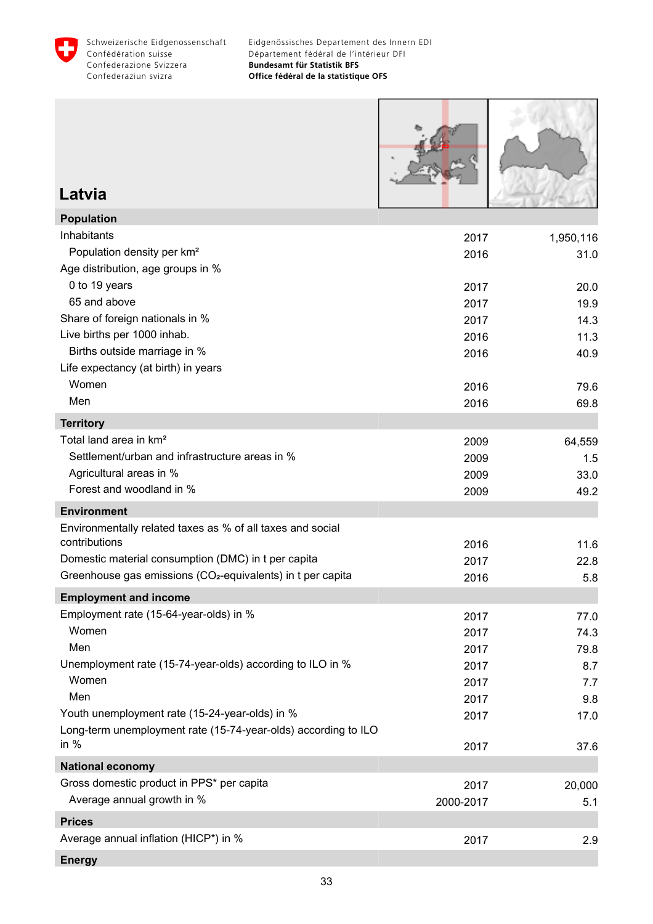<span id="page-34-0"></span>

| Latvia                                                                                     |              |                   |
|--------------------------------------------------------------------------------------------|--------------|-------------------|
| <b>Population</b>                                                                          |              |                   |
| Inhabitants<br>Population density per km <sup>2</sup><br>Age distribution, age groups in % | 2017<br>2016 | 1,950,116<br>31.0 |
| 0 to 19 years                                                                              | 2017         | 20.0              |
| 65 and above                                                                               | 2017         | 19.9              |
| Share of foreign nationals in %                                                            | 2017         | 14.3              |
| Live births per 1000 inhab.                                                                | 2016         | 11.3              |
| Births outside marriage in %<br>Life expectancy (at birth) in years<br>Women               | 2016         | 40.9              |
| Men                                                                                        | 2016         | 79.6              |
| <b>Territory</b>                                                                           | 2016         | 69.8              |
| Total land area in km <sup>2</sup>                                                         | 2009         | 64,559            |
| Settlement/urban and infrastructure areas in %                                             | 2009         | 1.5               |
| Agricultural areas in %                                                                    | 2009         | 33.0              |
| Forest and woodland in %                                                                   | 2009         | 49.2              |
| <b>Environment</b>                                                                         |              |                   |
| Environmentally related taxes as % of all taxes and social                                 |              |                   |
| contributions                                                                              | 2016         | 11.6              |
| Domestic material consumption (DMC) in t per capita                                        | 2017         | 22.8              |
| Greenhouse gas emissions (CO <sub>2</sub> -equivalents) in t per capita                    | 2016         | 5.8               |
| <b>Employment and income</b><br>Employment rate (15-64-year-olds) in %                     |              |                   |
| Women                                                                                      | 2017<br>2017 | 77.0              |
| Men                                                                                        | 2017         | 74.3<br>79.8      |
| Unemployment rate (15-74-year-olds) according to ILO in %                                  | 2017         | 8.7               |
| Women                                                                                      | 2017         | 7.7               |
| Men                                                                                        | 2017         | 9.8               |
| Youth unemployment rate (15-24-year-olds) in %                                             | 2017         | 17.0              |
| Long-term unemployment rate (15-74-year-olds) according to ILO<br>in $%$                   | 2017         | 37.6              |
| <b>National economy</b>                                                                    |              |                   |
| Gross domestic product in PPS* per capita                                                  | 2017         | 20,000            |
| Average annual growth in %                                                                 | 2000-2017    | 5.1               |
| <b>Prices</b>                                                                              |              |                   |
| Average annual inflation (HICP*) in %                                                      | 2017         | 2.9               |
| <b>Energy</b>                                                                              |              |                   |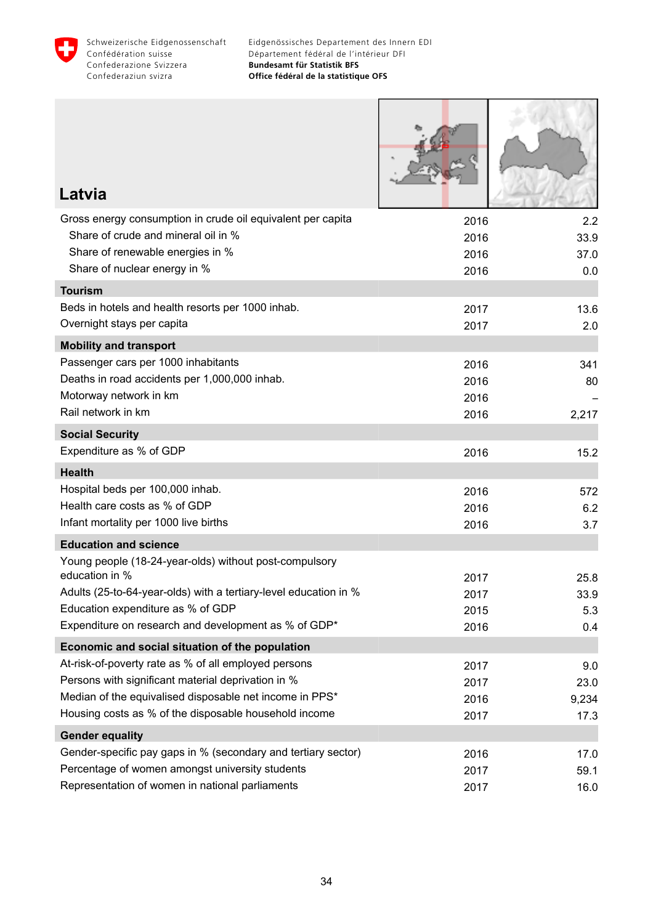

Г

| Latvia                                                                                 |              |            |
|----------------------------------------------------------------------------------------|--------------|------------|
| Gross energy consumption in crude oil equivalent per capita                            | 2016         | 2.2        |
| Share of crude and mineral oil in %                                                    | 2016         | 33.9       |
| Share of renewable energies in %                                                       | 2016         | 37.0       |
| Share of nuclear energy in %                                                           | 2016         | 0.0        |
| <b>Tourism</b>                                                                         |              |            |
| Beds in hotels and health resorts per 1000 inhab.                                      | 2017         | 13.6       |
| Overnight stays per capita                                                             | 2017         | 2.0        |
| <b>Mobility and transport</b>                                                          |              |            |
| Passenger cars per 1000 inhabitants                                                    | 2016         | 341        |
| Deaths in road accidents per 1,000,000 inhab.                                          | 2016         | 80         |
| Motorway network in km<br>Rail network in km                                           | 2016         |            |
|                                                                                        | 2016         | 2,217      |
| <b>Social Security</b><br>Expenditure as % of GDP                                      |              |            |
|                                                                                        | 2016         | 15.2       |
| <b>Health</b>                                                                          |              |            |
| Hospital beds per 100,000 inhab.<br>Health care costs as % of GDP                      | 2016         | 572        |
| Infant mortality per 1000 live births                                                  | 2016<br>2016 | 6.2<br>3.7 |
|                                                                                        |              |            |
| <b>Education and science</b><br>Young people (18-24-year-olds) without post-compulsory |              |            |
| education in %                                                                         | 2017         | 25.8       |
| Adults (25-to-64-year-olds) with a tertiary-level education in %                       | 2017         | 33.9       |
| Education expenditure as % of GDP                                                      | 2015         | 5.3        |
| Expenditure on research and development as % of GDP*                                   | 2016         | 0.4        |
| Economic and social situation of the population                                        |              |            |
| At-risk-of-poverty rate as % of all employed persons                                   | 2017         | 9.0        |
| Persons with significant material deprivation in %                                     | 2017         | 23.0       |
| Median of the equivalised disposable net income in PPS*                                | 2016         | 9,234      |
| Housing costs as % of the disposable household income                                  | 2017         | 17.3       |
| <b>Gender equality</b>                                                                 |              |            |
| Gender-specific pay gaps in % (secondary and tertiary sector)                          | 2016         | 17.0       |
| Percentage of women amongst university students                                        | 2017         | 59.1       |
| Representation of women in national parliaments                                        | 2017         | 16.0       |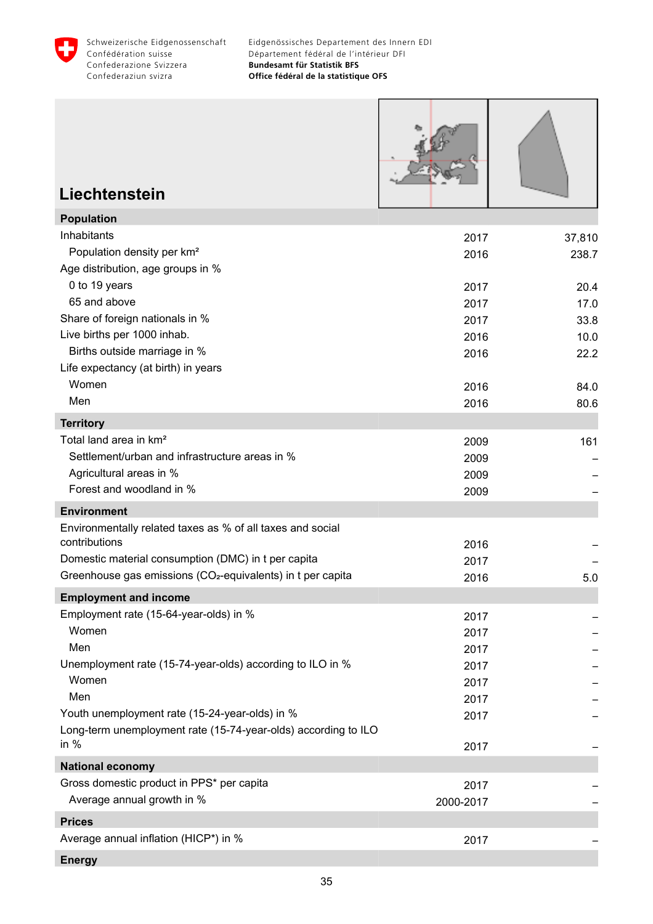

r

| Liechtenstein                                                               |              |                 |
|-----------------------------------------------------------------------------|--------------|-----------------|
|                                                                             |              |                 |
| <b>Population</b><br>Inhabitants                                            |              |                 |
| Population density per km <sup>2</sup>                                      | 2017<br>2016 | 37,810<br>238.7 |
| Age distribution, age groups in %                                           |              |                 |
| 0 to 19 years                                                               | 2017         | 20.4            |
| 65 and above                                                                | 2017         | 17.0            |
| Share of foreign nationals in %                                             | 2017         | 33.8            |
| Live births per 1000 inhab.                                                 | 2016         | 10.0            |
| Births outside marriage in %                                                | 2016         | 22.2            |
| Life expectancy (at birth) in years                                         |              |                 |
| Women                                                                       | 2016         | 84.0            |
| Men                                                                         | 2016         | 80.6            |
| <b>Territory</b>                                                            |              |                 |
| Total land area in km <sup>2</sup>                                          | 2009         | 161             |
| Settlement/urban and infrastructure areas in %                              | 2009         |                 |
| Agricultural areas in %                                                     | 2009         |                 |
| Forest and woodland in %                                                    | 2009         |                 |
| <b>Environment</b>                                                          |              |                 |
| Environmentally related taxes as % of all taxes and social<br>contributions | 2016         |                 |
| Domestic material consumption (DMC) in t per capita                         | 2017         |                 |
| Greenhouse gas emissions (CO <sub>2</sub> -equivalents) in t per capita     | 2016         | 5.0             |
| <b>Employment and income</b>                                                |              |                 |
| Employment rate (15-64-year-olds) in %                                      | 2017         |                 |
| Women                                                                       | 2017         |                 |
| Men                                                                         | 2017         |                 |
| Unemployment rate (15-74-year-olds) according to ILO in %                   | 2017         |                 |
| Women                                                                       | 2017         |                 |
| Men                                                                         | 2017         |                 |
| Youth unemployment rate (15-24-year-olds) in %                              | 2017         |                 |
| Long-term unemployment rate (15-74-year-olds) according to ILO<br>in $%$    | 2017         |                 |
| <b>National economy</b>                                                     |              |                 |
| Gross domestic product in PPS* per capita                                   | 2017         |                 |
| Average annual growth in %                                                  | 2000-2017    |                 |
| <b>Prices</b>                                                               |              |                 |
| Average annual inflation (HICP*) in %                                       | 2017         |                 |
| <b>Energy</b>                                                               |              |                 |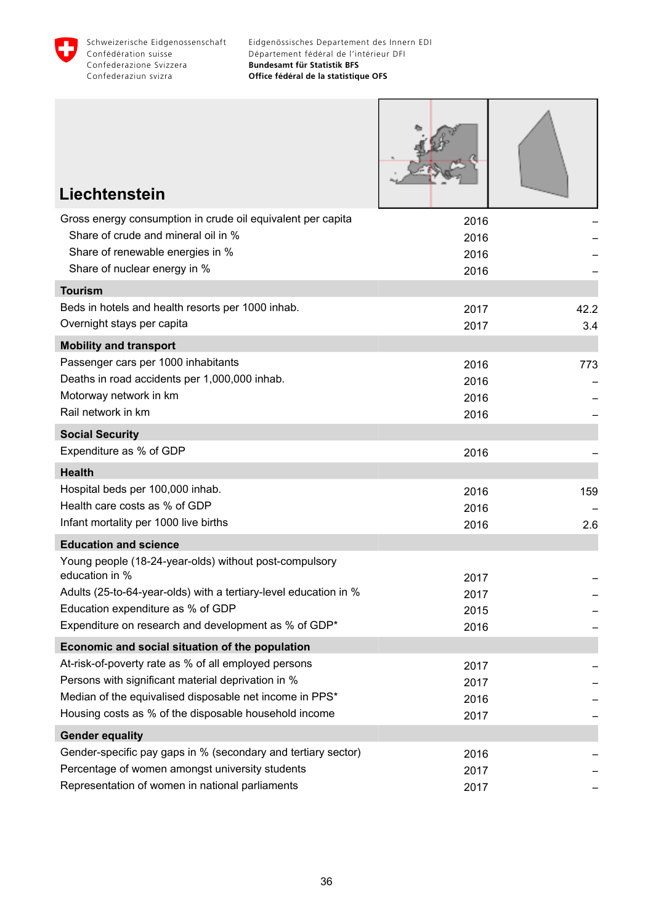

| Liechtenstein                                                                                                                                                                                                                             |                              |             |
|-------------------------------------------------------------------------------------------------------------------------------------------------------------------------------------------------------------------------------------------|------------------------------|-------------|
| Gross energy consumption in crude oil equivalent per capita<br>Share of crude and mineral oil in %<br>Share of renewable energies in %<br>Share of nuclear energy in %                                                                    | 2016<br>2016<br>2016<br>2016 |             |
| <b>Tourism</b>                                                                                                                                                                                                                            |                              |             |
| Beds in hotels and health resorts per 1000 inhab.<br>Overnight stays per capita                                                                                                                                                           | 2017<br>2017                 | 42.2<br>3.4 |
| <b>Mobility and transport</b>                                                                                                                                                                                                             |                              |             |
| Passenger cars per 1000 inhabitants<br>Deaths in road accidents per 1,000,000 inhab.<br>Motorway network in km<br>Rail network in km                                                                                                      | 2016<br>2016<br>2016<br>2016 | 773         |
| <b>Social Security</b>                                                                                                                                                                                                                    |                              |             |
| Expenditure as % of GDP                                                                                                                                                                                                                   | 2016                         |             |
| <b>Health</b>                                                                                                                                                                                                                             |                              |             |
| Hospital beds per 100,000 inhab.<br>Health care costs as % of GDP<br>Infant mortality per 1000 live births                                                                                                                                | 2016<br>2016<br>2016         | 159<br>2.6  |
| <b>Education and science</b>                                                                                                                                                                                                              |                              |             |
| Young people (18-24-year-olds) without post-compulsory<br>education in %<br>Adults (25-to-64-year-olds) with a tertiary-level education in %<br>Education expenditure as % of GDP<br>Expenditure on research and development as % of GDP* | 2017<br>2017<br>2015<br>2016 |             |
| Economic and social situation of the population                                                                                                                                                                                           |                              |             |
| At-risk-of-poverty rate as % of all employed persons<br>Persons with significant material deprivation in %<br>Median of the equivalised disposable net income in PPS*<br>Housing costs as % of the disposable household income            | 2017<br>2017<br>2016<br>2017 |             |
| <b>Gender equality</b>                                                                                                                                                                                                                    |                              |             |
| Gender-specific pay gaps in % (secondary and tertiary sector)<br>Percentage of women amongst university students<br>Representation of women in national parliaments                                                                       | 2016<br>2017<br>2017         |             |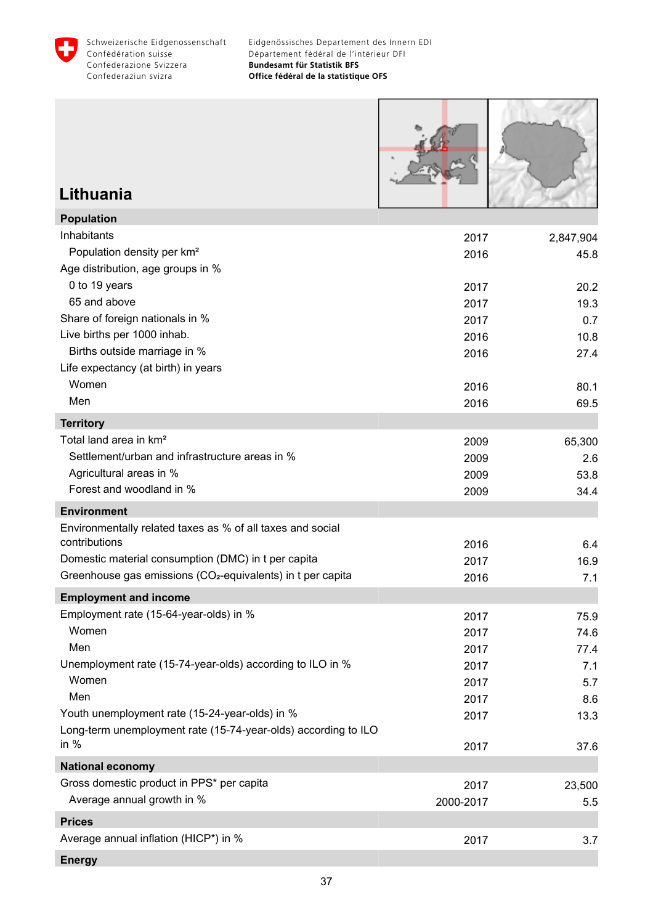

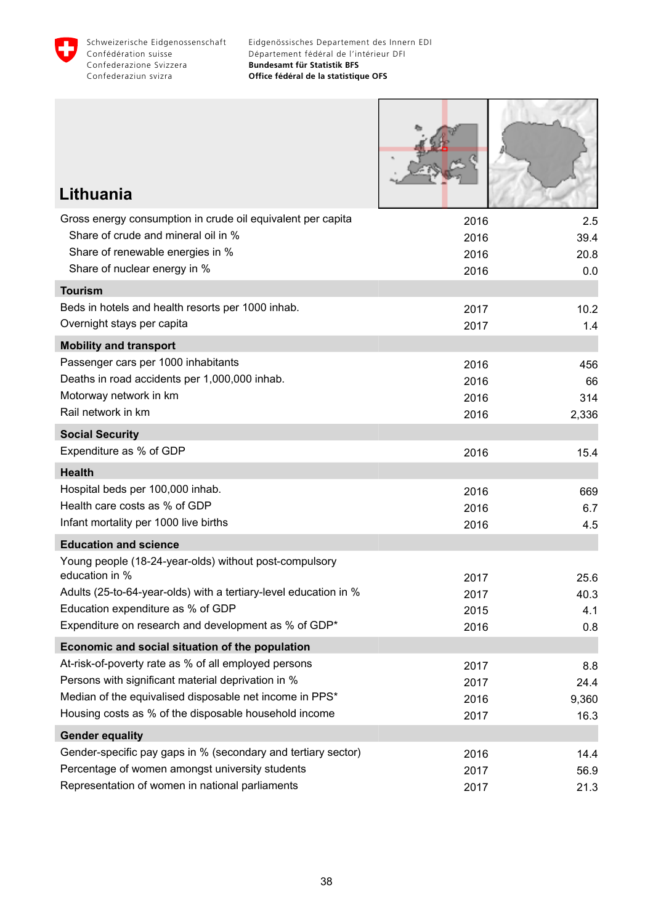

Г

<u>Sand Strip</u>

T

**ARMI** 

| Lithuania                                                                |              |              |
|--------------------------------------------------------------------------|--------------|--------------|
| Gross energy consumption in crude oil equivalent per capita              | 2016         | 2.5          |
| Share of crude and mineral oil in %                                      | 2016         | 39.4         |
| Share of renewable energies in %                                         | 2016         | 20.8         |
| Share of nuclear energy in %                                             | 2016         | 0.0          |
| <b>Tourism</b>                                                           |              |              |
| Beds in hotels and health resorts per 1000 inhab.                        | 2017         | 10.2         |
| Overnight stays per capita                                               | 2017         | 1.4          |
| <b>Mobility and transport</b>                                            |              |              |
| Passenger cars per 1000 inhabitants                                      | 2016         | 456          |
| Deaths in road accidents per 1,000,000 inhab.                            | 2016         | 66           |
| Motorway network in km                                                   | 2016         | 314          |
| Rail network in km                                                       | 2016         | 2,336        |
| <b>Social Security</b>                                                   |              |              |
| Expenditure as % of GDP                                                  | 2016         | 15.4         |
| <b>Health</b>                                                            |              |              |
| Hospital beds per 100,000 inhab.                                         | 2016         | 669          |
| Health care costs as % of GDP                                            | 2016         | 6.7          |
| Infant mortality per 1000 live births                                    | 2016         | 4.5          |
| <b>Education and science</b>                                             |              |              |
| Young people (18-24-year-olds) without post-compulsory<br>education in % |              |              |
| Adults (25-to-64-year-olds) with a tertiary-level education in %         | 2017<br>2017 | 25.6<br>40.3 |
| Education expenditure as % of GDP                                        | 2015         | 4.1          |
| Expenditure on research and development as % of GDP*                     | 2016         | 0.8          |
| Economic and social situation of the population                          |              |              |
| At-risk-of-poverty rate as % of all employed persons                     | 2017         | 8.8          |
| Persons with significant material deprivation in %                       | 2017         | 24.4         |
| Median of the equivalised disposable net income in PPS*                  | 2016         | 9,360        |
| Housing costs as % of the disposable household income                    | 2017         | 16.3         |
| <b>Gender equality</b>                                                   |              |              |
| Gender-specific pay gaps in % (secondary and tertiary sector)            | 2016         | 14.4         |
| Percentage of women amongst university students                          | 2017         | 56.9         |
| Representation of women in national parliaments                          | 2017         | 21.3         |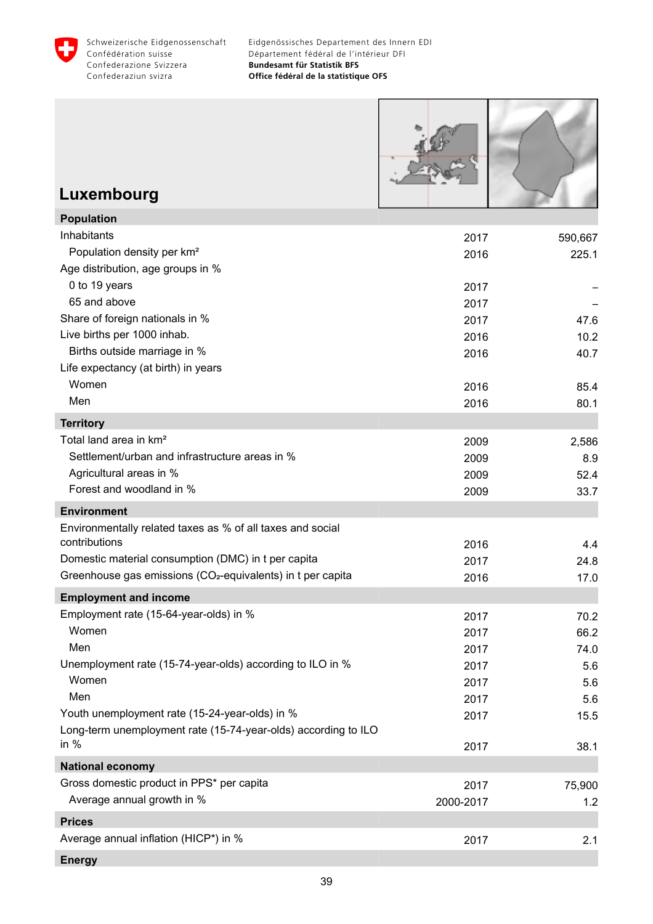

г

| Luxembourg                                                                                                       |              |              |
|------------------------------------------------------------------------------------------------------------------|--------------|--------------|
| <b>Population</b>                                                                                                |              |              |
| Inhabitants                                                                                                      | 2017         | 590,667      |
| Population density per km <sup>2</sup>                                                                           | 2016         | 225.1        |
| Age distribution, age groups in %                                                                                |              |              |
| 0 to 19 years                                                                                                    | 2017         |              |
| 65 and above                                                                                                     | 2017         |              |
| Share of foreign nationals in %                                                                                  | 2017         | 47.6         |
| Live births per 1000 inhab.                                                                                      | 2016         | 10.2         |
| Births outside marriage in %                                                                                     | 2016         | 40.7         |
| Life expectancy (at birth) in years                                                                              |              |              |
| Women                                                                                                            | 2016         | 85.4         |
| Men                                                                                                              | 2016         | 80.1         |
| <b>Territory</b>                                                                                                 |              |              |
| Total land area in km <sup>2</sup><br>Settlement/urban and infrastructure areas in %                             | 2009         | 2,586        |
| Agricultural areas in %                                                                                          | 2009         | 8.9          |
| Forest and woodland in %                                                                                         | 2009<br>2009 | 52.4<br>33.7 |
| <b>Environment</b>                                                                                               |              |              |
| Environmentally related taxes as % of all taxes and social                                                       |              |              |
| contributions                                                                                                    | 2016         | 4.4          |
| Domestic material consumption (DMC) in t per capita                                                              | 2017         | 24.8         |
| Greenhouse gas emissions (CO <sub>2</sub> -equivalents) in t per capita                                          | 2016         | 17.0         |
| <b>Employment and income</b>                                                                                     |              |              |
| Employment rate (15-64-year-olds) in %                                                                           | 2017         | 70.2         |
| Women                                                                                                            | 2017         | 66.2         |
| Men                                                                                                              | 2017         | 74.0         |
| Unemployment rate (15-74-year-olds) according to ILO in %                                                        | 2017         | 5.6          |
| Women                                                                                                            | 2017         | 5.6          |
| Men                                                                                                              | 2017         | 5.6          |
| Youth unemployment rate (15-24-year-olds) in %<br>Long-term unemployment rate (15-74-year-olds) according to ILO | 2017         | 15.5         |
| in $%$                                                                                                           | 2017         | 38.1         |
| <b>National economy</b>                                                                                          |              |              |
| Gross domestic product in PPS* per capita                                                                        | 2017         | 75,900       |
| Average annual growth in %                                                                                       | 2000-2017    | 1.2          |
| <b>Prices</b>                                                                                                    |              |              |
| Average annual inflation (HICP*) in %                                                                            | 2017         | 2.1          |
| <b>Energy</b>                                                                                                    |              |              |
|                                                                                                                  |              |              |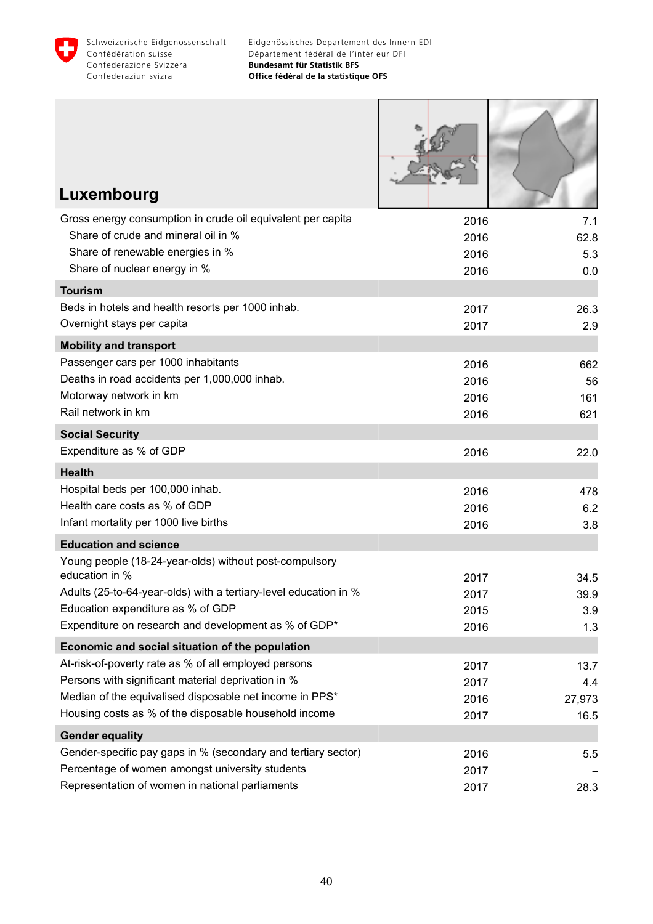

Г

 $\mathcal{R}$ 

Т

| Luxembourg                                                                                         |              |              |
|----------------------------------------------------------------------------------------------------|--------------|--------------|
| Gross energy consumption in crude oil equivalent per capita                                        | 2016         | 7.1          |
| Share of crude and mineral oil in %                                                                | 2016         | 62.8         |
| Share of renewable energies in %<br>Share of nuclear energy in %                                   | 2016         | 5.3          |
| <b>Tourism</b>                                                                                     | 2016         | 0.0          |
| Beds in hotels and health resorts per 1000 inhab.                                                  | 2017         |              |
| Overnight stays per capita                                                                         | 2017         | 26.3<br>2.9  |
| <b>Mobility and transport</b>                                                                      |              |              |
| Passenger cars per 1000 inhabitants                                                                | 2016         | 662          |
| Deaths in road accidents per 1,000,000 inhab.                                                      | 2016         | 56           |
| Motorway network in km                                                                             | 2016         | 161          |
| Rail network in km                                                                                 | 2016         | 621          |
| <b>Social Security</b>                                                                             |              |              |
| Expenditure as % of GDP                                                                            | 2016         | 22.0         |
| <b>Health</b>                                                                                      |              |              |
| Hospital beds per 100,000 inhab.                                                                   | 2016         | 478          |
| Health care costs as % of GDP                                                                      | 2016         | 6.2          |
| Infant mortality per 1000 live births                                                              | 2016         | 3.8          |
| <b>Education and science</b>                                                                       |              |              |
| Young people (18-24-year-olds) without post-compulsory<br>education in %                           |              |              |
| Adults (25-to-64-year-olds) with a tertiary-level education in %                                   | 2017<br>2017 | 34.5<br>39.9 |
| Education expenditure as % of GDP                                                                  | 2015         | 3.9          |
| Expenditure on research and development as % of GDP*                                               | 2016         | 1.3          |
| Economic and social situation of the population                                                    |              |              |
| At-risk-of-poverty rate as % of all employed persons                                               | 2017         | 13.7         |
| Persons with significant material deprivation in %                                                 | 2017         | 4.4          |
| Median of the equivalised disposable net income in PPS*                                            | 2016         | 27,973       |
| Housing costs as % of the disposable household income                                              | 2017         | 16.5         |
| <b>Gender equality</b>                                                                             |              |              |
| Gender-specific pay gaps in % (secondary and tertiary sector)                                      | 2016         | 5.5          |
| Percentage of women amongst university students<br>Representation of women in national parliaments | 2017         |              |
|                                                                                                    | 2017         | 28.3         |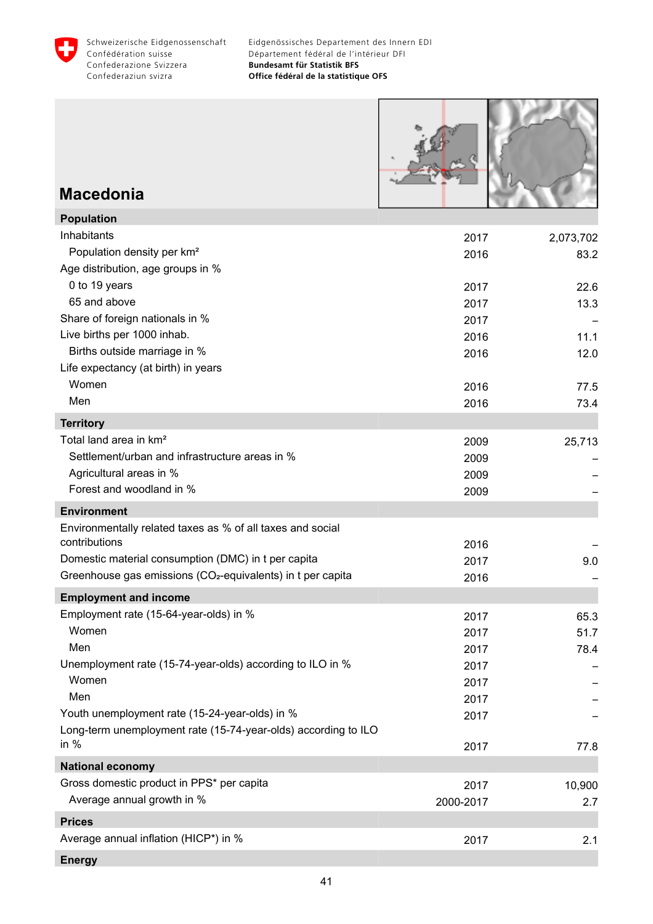



#### **Macedonia**

| <b>Population</b>                                                       |           |           |
|-------------------------------------------------------------------------|-----------|-----------|
| Inhabitants                                                             | 2017      | 2,073,702 |
| Population density per km <sup>2</sup>                                  | 2016      | 83.2      |
| Age distribution, age groups in %                                       |           |           |
| 0 to 19 years                                                           | 2017      | 22.6      |
| 65 and above                                                            | 2017      | 13.3      |
| Share of foreign nationals in %                                         | 2017      |           |
| Live births per 1000 inhab.                                             | 2016      | 11.1      |
| Births outside marriage in %                                            | 2016      | 12.0      |
| Life expectancy (at birth) in years                                     |           |           |
| Women                                                                   | 2016      | 77.5      |
| Men                                                                     | 2016      | 73.4      |
| <b>Territory</b>                                                        |           |           |
| Total land area in km <sup>2</sup>                                      | 2009      | 25,713    |
| Settlement/urban and infrastructure areas in %                          | 2009      |           |
| Agricultural areas in %                                                 | 2009      |           |
| Forest and woodland in %                                                | 2009      |           |
| <b>Environment</b>                                                      |           |           |
| Environmentally related taxes as % of all taxes and social              |           |           |
| contributions                                                           | 2016      |           |
| Domestic material consumption (DMC) in t per capita                     | 2017      | 9.0       |
| Greenhouse gas emissions (CO <sub>2</sub> -equivalents) in t per capita | 2016      |           |
| <b>Employment and income</b>                                            |           |           |
| Employment rate (15-64-year-olds) in %                                  | 2017      | 65.3      |
| Women                                                                   | 2017      | 51.7      |
| Men                                                                     | 2017      | 78.4      |
| Unemployment rate (15-74-year-olds) according to ILO in %               | 2017      |           |
| Women                                                                   | 2017      |           |
| Men                                                                     | 2017      |           |
| Youth unemployment rate (15-24-year-olds) in %                          | 2017      |           |
| Long-term unemployment rate (15-74-year-olds) according to ILO          |           |           |
| in $%$                                                                  | 2017      | 77.8      |
| <b>National economy</b>                                                 |           |           |
| Gross domestic product in PPS* per capita                               | 2017      | 10,900    |
| Average annual growth in %                                              | 2000-2017 | 2.7       |
| <b>Prices</b>                                                           |           |           |
| Average annual inflation (HICP*) in %                                   | 2017      | 2.1       |
| <b>Energy</b>                                                           |           |           |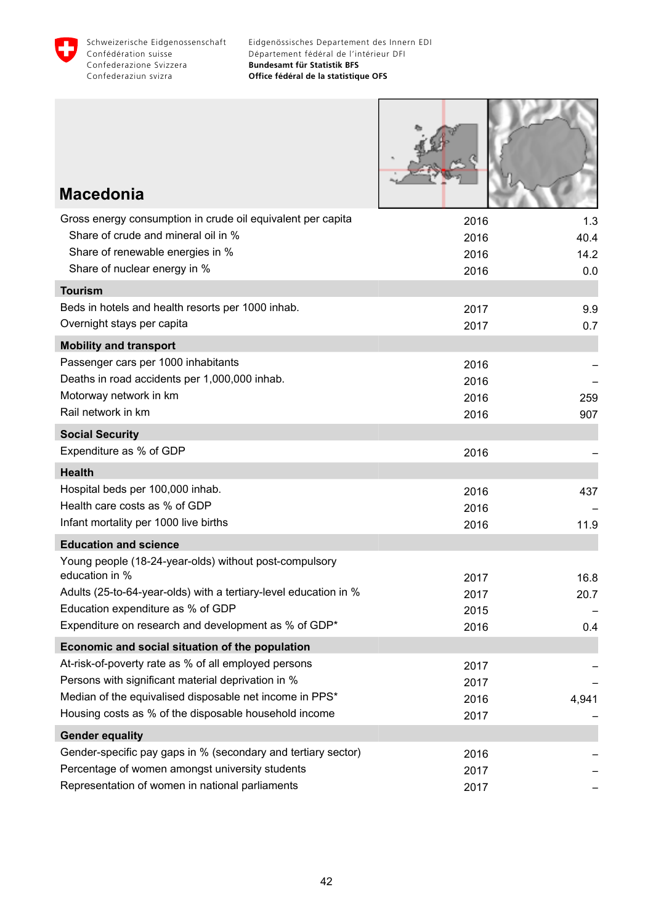

**RUSHARA** 

. .

| <b>Macedonia</b>                                                                                   |              |              |
|----------------------------------------------------------------------------------------------------|--------------|--------------|
| Gross energy consumption in crude oil equivalent per capita                                        | 2016         | 1.3          |
| Share of crude and mineral oil in %<br>Share of renewable energies in %                            | 2016<br>2016 | 40.4<br>14.2 |
| Share of nuclear energy in %                                                                       | 2016         | 0.0          |
| <b>Tourism</b>                                                                                     |              |              |
| Beds in hotels and health resorts per 1000 inhab.                                                  | 2017         | 9.9          |
| Overnight stays per capita                                                                         | 2017         | 0.7          |
| <b>Mobility and transport</b>                                                                      |              |              |
| Passenger cars per 1000 inhabitants                                                                | 2016         |              |
| Deaths in road accidents per 1,000,000 inhab.                                                      | 2016         |              |
| Motorway network in km                                                                             | 2016         | 259          |
| Rail network in km                                                                                 | 2016         | 907          |
| <b>Social Security</b>                                                                             |              |              |
| Expenditure as % of GDP                                                                            | 2016         |              |
| <b>Health</b>                                                                                      |              |              |
| Hospital beds per 100,000 inhab.                                                                   | 2016         | 437          |
| Health care costs as % of GDP<br>Infant mortality per 1000 live births                             | 2016         |              |
|                                                                                                    | 2016         | 11.9         |
| <b>Education and science</b><br>Young people (18-24-year-olds) without post-compulsory             |              |              |
| education in %                                                                                     | 2017         | 16.8         |
| Adults (25-to-64-year-olds) with a tertiary-level education in %                                   | 2017         | 20.7         |
| Education expenditure as % of GDP                                                                  | 2015         |              |
| Expenditure on research and development as % of GDP*                                               | 2016         | 0.4          |
| Economic and social situation of the population                                                    |              |              |
| At-risk-of-poverty rate as % of all employed persons                                               | 2017         |              |
| Persons with significant material deprivation in %                                                 | 2017         |              |
| Median of the equivalised disposable net income in PPS*                                            | 2016         | 4,941        |
| Housing costs as % of the disposable household income                                              | 2017         |              |
| <b>Gender equality</b>                                                                             |              |              |
| Gender-specific pay gaps in % (secondary and tertiary sector)                                      | 2016         |              |
| Percentage of women amongst university students<br>Representation of women in national parliaments | 2017         |              |
|                                                                                                    | 2017         |              |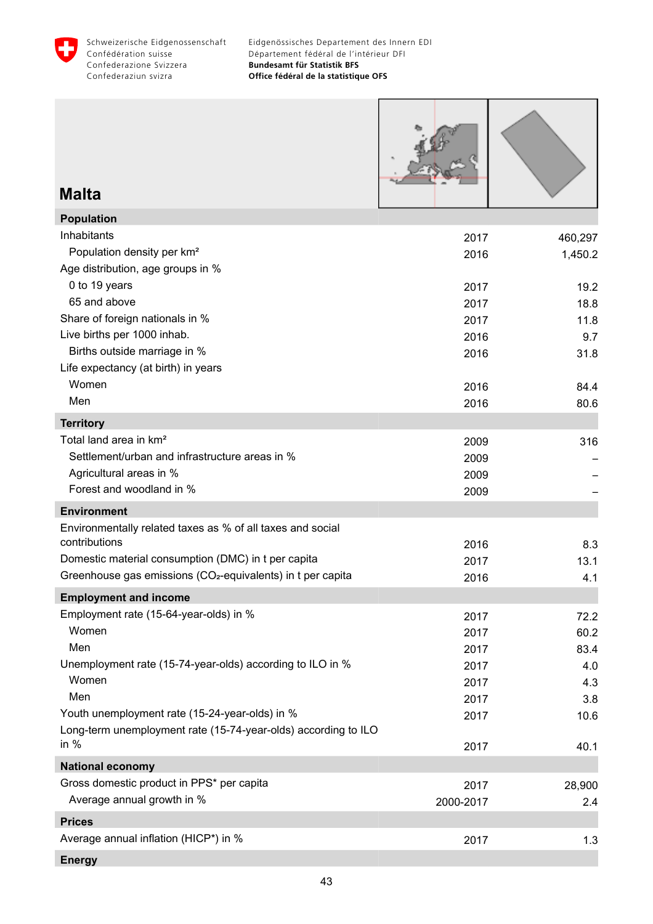

| <b>Malta</b>                                                                                                                                                                                                  |                                              |                                           |
|---------------------------------------------------------------------------------------------------------------------------------------------------------------------------------------------------------------|----------------------------------------------|-------------------------------------------|
| <b>Population</b>                                                                                                                                                                                             |                                              |                                           |
| Inhabitants<br>Population density per km <sup>2</sup><br>Age distribution, age groups in %<br>0 to 19 years                                                                                                   | 2017<br>2016<br>2017                         | 460,297<br>1,450.2<br>19.2                |
| 65 and above                                                                                                                                                                                                  | 2017                                         | 18.8                                      |
| Share of foreign nationals in %<br>Live births per 1000 inhab.<br>Births outside marriage in %<br>Life expectancy (at birth) in years                                                                         | 2017<br>2016<br>2016                         | 11.8<br>9.7<br>31.8                       |
| Women                                                                                                                                                                                                         | 2016                                         | 84.4                                      |
| Men                                                                                                                                                                                                           | 2016                                         | 80.6                                      |
| <b>Territory</b>                                                                                                                                                                                              |                                              |                                           |
| Total land area in km <sup>2</sup><br>Settlement/urban and infrastructure areas in %<br>Agricultural areas in %<br>Forest and woodland in %                                                                   | 2009<br>2009<br>2009<br>2009                 | 316                                       |
| <b>Environment</b>                                                                                                                                                                                            |                                              |                                           |
| Environmentally related taxes as % of all taxes and social<br>contributions<br>Domestic material consumption (DMC) in t per capita<br>Greenhouse gas emissions (CO <sub>2</sub> -equivalents) in t per capita | 2016<br>2017<br>2016                         | 8.3<br>13.1<br>4.1                        |
| <b>Employment and income</b>                                                                                                                                                                                  |                                              |                                           |
| Employment rate (15-64-year-olds) in %<br>Women<br>Men<br>Unemployment rate (15-74-year-olds) according to ILO in %<br>Women<br>Men                                                                           | 2017<br>2017<br>2017<br>2017<br>2017<br>2017 | 72.2<br>60.2<br>83.4<br>4.0<br>4.3<br>3.8 |
| Youth unemployment rate (15-24-year-olds) in %                                                                                                                                                                | 2017                                         | 10.6                                      |
| Long-term unemployment rate (15-74-year-olds) according to ILO<br>in $%$                                                                                                                                      | 2017                                         | 40.1                                      |
| <b>National economy</b>                                                                                                                                                                                       |                                              |                                           |
| Gross domestic product in PPS* per capita<br>Average annual growth in %                                                                                                                                       | 2017<br>2000-2017                            | 28,900<br>2.4                             |
| <b>Prices</b>                                                                                                                                                                                                 |                                              |                                           |
| Average annual inflation (HICP*) in %                                                                                                                                                                         | 2017                                         | 1.3                                       |
|                                                                                                                                                                                                               |                                              |                                           |

**Energy**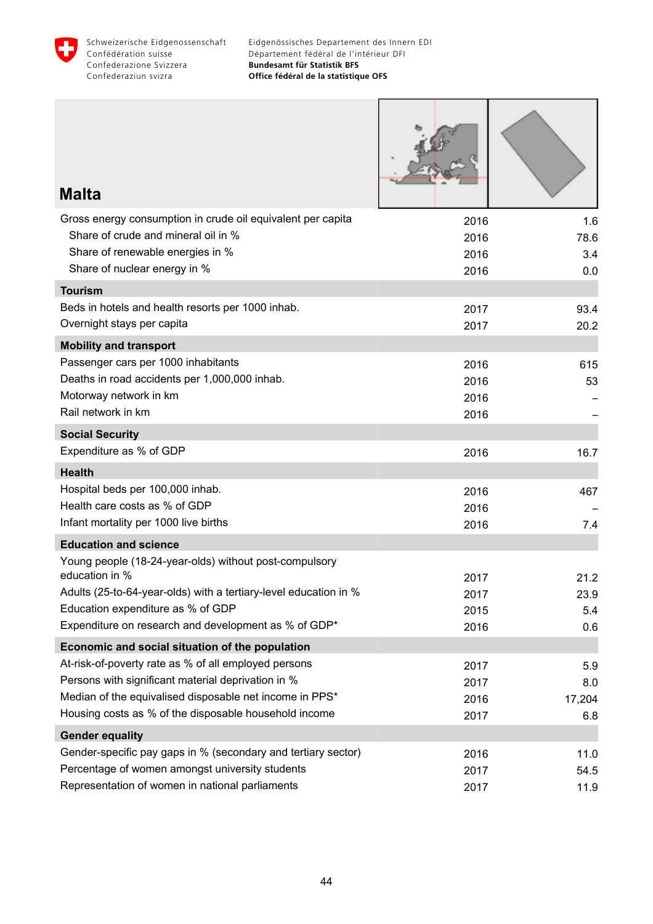

Г

т

т

٦

| Malta                                                                    |              |              |
|--------------------------------------------------------------------------|--------------|--------------|
| Gross energy consumption in crude oil equivalent per capita              | 2016         | 1.6          |
| Share of crude and mineral oil in %                                      | 2016         | 78.6         |
| Share of renewable energies in %                                         | 2016         | 3.4          |
| Share of nuclear energy in %                                             | 2016         | 0.0          |
| <b>Tourism</b>                                                           |              |              |
| Beds in hotels and health resorts per 1000 inhab.                        | 2017         | 93.4         |
| Overnight stays per capita                                               | 2017         | 20.2         |
| <b>Mobility and transport</b>                                            |              |              |
| Passenger cars per 1000 inhabitants                                      | 2016         | 615          |
| Deaths in road accidents per 1,000,000 inhab.                            | 2016         | 53           |
| Motorway network in km<br>Rail network in km                             | 2016         |              |
|                                                                          | 2016         |              |
| <b>Social Security</b>                                                   |              |              |
| Expenditure as % of GDP                                                  | 2016         | 16.7         |
| <b>Health</b>                                                            |              |              |
| Hospital beds per 100,000 inhab.                                         | 2016         | 467          |
| Health care costs as % of GDP                                            | 2016         |              |
| Infant mortality per 1000 live births                                    | 2016         | 7.4          |
| <b>Education and science</b>                                             |              |              |
| Young people (18-24-year-olds) without post-compulsory<br>education in % |              |              |
| Adults (25-to-64-year-olds) with a tertiary-level education in %         | 2017<br>2017 | 21.2<br>23.9 |
| Education expenditure as % of GDP                                        | 2015         | 5.4          |
| Expenditure on research and development as % of GDP*                     | 2016         | 0.6          |
| Economic and social situation of the population                          |              |              |
| At-risk-of-poverty rate as % of all employed persons                     | 2017         | 5.9          |
| Persons with significant material deprivation in %                       | 2017         | 8.0          |
| Median of the equivalised disposable net income in PPS*                  | 2016         | 17,204       |
| Housing costs as % of the disposable household income                    | 2017         | 6.8          |
| <b>Gender equality</b>                                                   |              |              |
| Gender-specific pay gaps in % (secondary and tertiary sector)            | 2016         | 11.0         |
| Percentage of women amongst university students                          | 2017         | 54.5         |
| Representation of women in national parliaments                          | 2017         | 11.9         |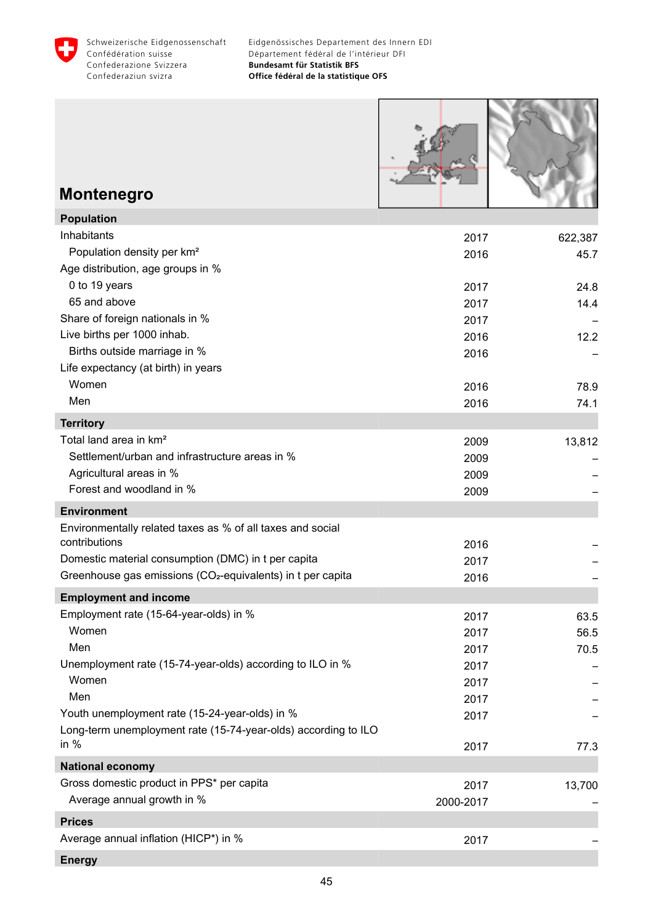

| <b>Montenegro</b>                                                           |              |         |
|-----------------------------------------------------------------------------|--------------|---------|
| <b>Population</b>                                                           |              |         |
| Inhabitants                                                                 | 2017         | 622,387 |
| Population density per km <sup>2</sup>                                      | 2016         | 45.7    |
| Age distribution, age groups in %                                           |              |         |
| 0 to 19 years                                                               | 2017         | 24.8    |
| 65 and above                                                                | 2017         | 14.4    |
| Share of foreign nationals in %                                             | 2017         |         |
| Live births per 1000 inhab.                                                 | 2016         | 12.2    |
| Births outside marriage in %                                                | 2016         |         |
| Life expectancy (at birth) in years<br>Women                                |              |         |
| Men                                                                         | 2016         | 78.9    |
|                                                                             | 2016         | 74.1    |
| <b>Territory</b>                                                            |              |         |
| Total land area in km <sup>2</sup>                                          | 2009         | 13,812  |
| Settlement/urban and infrastructure areas in %                              | 2009         |         |
| Agricultural areas in %<br>Forest and woodland in %                         | 2009         |         |
|                                                                             | 2009         |         |
| <b>Environment</b>                                                          |              |         |
| Environmentally related taxes as % of all taxes and social<br>contributions |              |         |
| Domestic material consumption (DMC) in t per capita                         | 2016         |         |
| Greenhouse gas emissions (CO <sub>2</sub> -equivalents) in t per capita     | 2017         |         |
|                                                                             | 2016         |         |
| <b>Employment and income</b>                                                |              |         |
| Employment rate (15-64-year-olds) in %                                      | 2017         | 63.5    |
| Women<br>Men                                                                | 2017         | 56.5    |
| Unemployment rate (15-74-year-olds) according to ILO in %                   | 2017         | 70.5    |
| Women                                                                       | 2017         |         |
| Men                                                                         | 2017<br>2017 |         |
| Youth unemployment rate (15-24-year-olds) in %                              | 2017         |         |
| Long-term unemployment rate (15-74-year-olds) according to ILO              |              |         |
| in $%$                                                                      | 2017         | 77.3    |
| <b>National economy</b>                                                     |              |         |
| Gross domestic product in PPS* per capita                                   | 2017         | 13,700  |
| Average annual growth in %                                                  | 2000-2017    |         |
| <b>Prices</b>                                                               |              |         |
| Average annual inflation (HICP*) in %                                       | 2017         |         |
|                                                                             |              |         |
| <b>Energy</b>                                                               |              |         |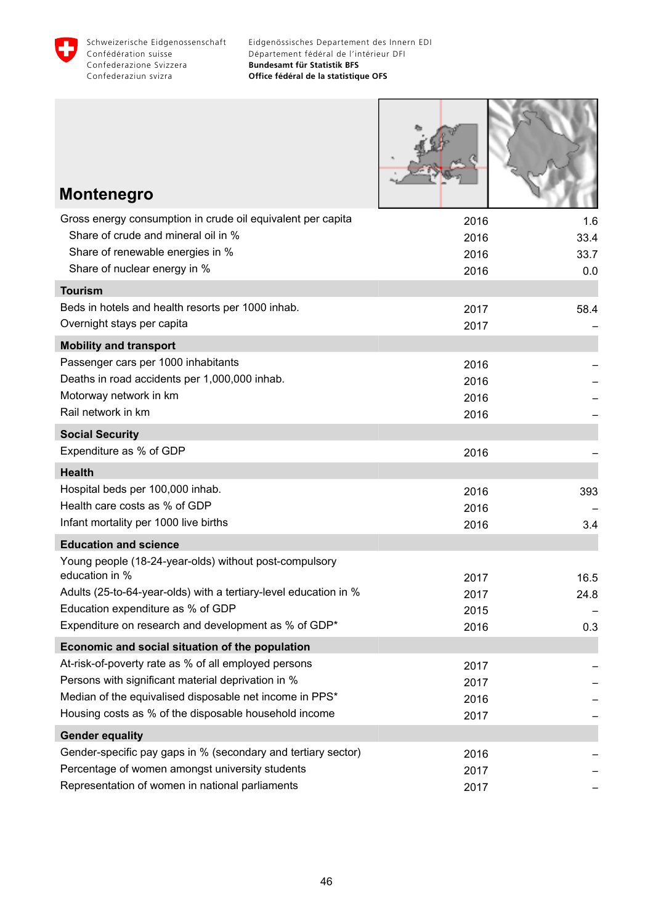

Г

**NAME AND POST** 

| <b>Montenegro</b>                                                                  |              |      |
|------------------------------------------------------------------------------------|--------------|------|
| Gross energy consumption in crude oil equivalent per capita                        | 2016         | 1.6  |
| Share of crude and mineral oil in %                                                | 2016         | 33.4 |
| Share of renewable energies in %<br>Share of nuclear energy in %                   | 2016         | 33.7 |
| <b>Tourism</b>                                                                     | 2016         | 0.0  |
| Beds in hotels and health resorts per 1000 inhab.                                  | 2017         | 58.4 |
| Overnight stays per capita                                                         | 2017         |      |
| <b>Mobility and transport</b>                                                      |              |      |
| Passenger cars per 1000 inhabitants                                                | 2016         |      |
| Deaths in road accidents per 1,000,000 inhab.                                      | 2016         |      |
| Motorway network in km                                                             | 2016         |      |
| Rail network in km                                                                 | 2016         |      |
| <b>Social Security</b>                                                             |              |      |
| Expenditure as % of GDP                                                            | 2016         |      |
| <b>Health</b>                                                                      |              |      |
| Hospital beds per 100,000 inhab.                                                   | 2016         | 393  |
| Health care costs as % of GDP                                                      | 2016         |      |
| Infant mortality per 1000 live births                                              | 2016         | 3.4  |
| <b>Education and science</b>                                                       |              |      |
| Young people (18-24-year-olds) without post-compulsory                             |              |      |
| education in %<br>Adults (25-to-64-year-olds) with a tertiary-level education in % | 2017         | 16.5 |
| Education expenditure as % of GDP                                                  | 2017<br>2015 | 24.8 |
| Expenditure on research and development as % of GDP*                               | 2016         | 0.3  |
| Economic and social situation of the population                                    |              |      |
| At-risk-of-poverty rate as % of all employed persons                               | 2017         |      |
| Persons with significant material deprivation in %                                 | 2017         |      |
| Median of the equivalised disposable net income in PPS*                            | 2016         |      |
| Housing costs as % of the disposable household income                              | 2017         |      |
| <b>Gender equality</b>                                                             |              |      |
| Gender-specific pay gaps in % (secondary and tertiary sector)                      | 2016         |      |
| Percentage of women amongst university students                                    | 2017         |      |
| Representation of women in national parliaments                                    | 2017         |      |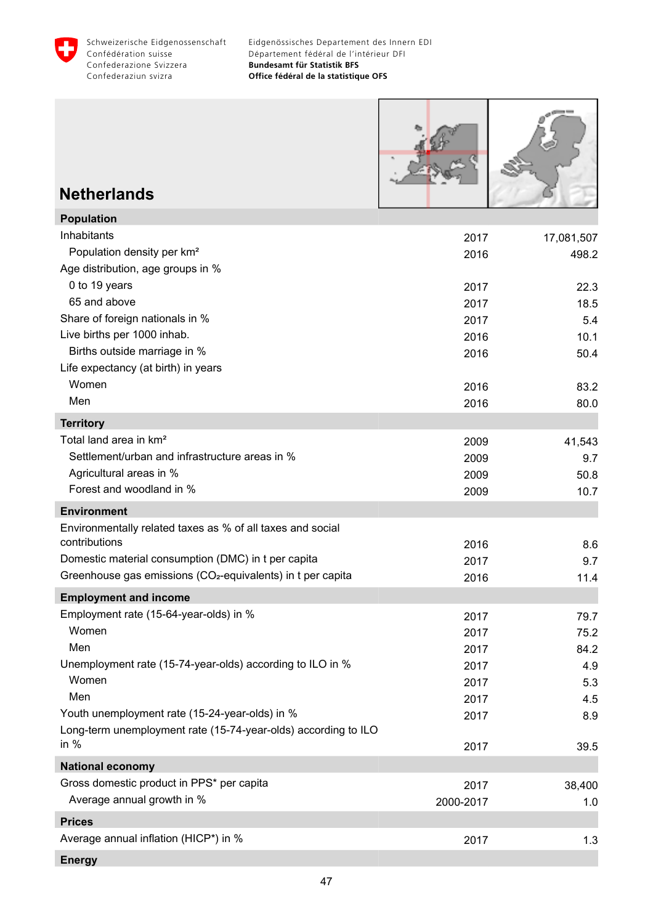

Г

Т

٦

| <b>Netherlands</b>                                                                         |                   |                     |
|--------------------------------------------------------------------------------------------|-------------------|---------------------|
| <b>Population</b>                                                                          |                   |                     |
| Inhabitants<br>Population density per km <sup>2</sup><br>Age distribution, age groups in % | 2017<br>2016      | 17,081,507<br>498.2 |
| 0 to 19 years                                                                              | 2017              | 22.3                |
| 65 and above                                                                               | 2017              | 18.5                |
| Share of foreign nationals in %                                                            | 2017              | 5.4                 |
| Live births per 1000 inhab.                                                                | 2016              | 10.1                |
| Births outside marriage in %<br>Life expectancy (at birth) in years                        | 2016              | 50.4                |
| Women                                                                                      | 2016              | 83.2                |
| Men                                                                                        | 2016              | 80.0                |
| <b>Territory</b>                                                                           |                   |                     |
| Total land area in km <sup>2</sup>                                                         | 2009              | 41,543              |
| Settlement/urban and infrastructure areas in %                                             | 2009              | 9.7                 |
| Agricultural areas in %                                                                    | 2009              | 50.8                |
| Forest and woodland in %                                                                   | 2009              | 10.7                |
| <b>Environment</b>                                                                         |                   |                     |
| Environmentally related taxes as % of all taxes and social<br>contributions                | 2016              | 8.6                 |
| Domestic material consumption (DMC) in t per capita                                        | 2017              | 9.7                 |
| Greenhouse gas emissions (CO <sub>2</sub> -equivalents) in t per capita                    | 2016              | 11.4                |
| <b>Employment and income</b>                                                               |                   |                     |
| Employment rate (15-64-year-olds) in %                                                     | 2017              | 79.7                |
| Women                                                                                      | 2017              | 75.2                |
| Men                                                                                        | 2017              | 84.2                |
| Unemployment rate (15-74-year-olds) according to ILO in %                                  | 2017              | 4.9                 |
| Women                                                                                      | 2017              | 5.3                 |
| Men                                                                                        | 2017              | 4.5                 |
| Youth unemployment rate (15-24-year-olds) in %                                             | 2017              | 8.9                 |
| Long-term unemployment rate (15-74-year-olds) according to ILO<br>in $%$                   | 2017              | 39.5                |
| <b>National economy</b>                                                                    |                   |                     |
| Gross domestic product in PPS* per capita<br>Average annual growth in %                    | 2017<br>2000-2017 | 38,400<br>1.0       |
| <b>Prices</b>                                                                              |                   |                     |
| Average annual inflation (HICP*) in %                                                      | 2017              | 1.3                 |
|                                                                                            |                   |                     |

**Energy**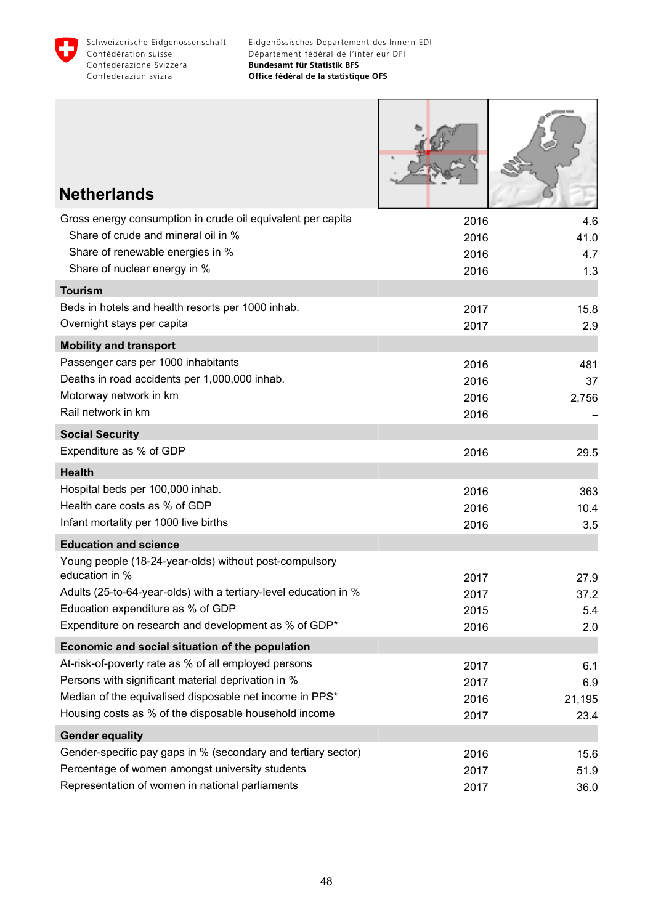

I

| <b>Netherlands</b>                                                                                               |      |        |
|------------------------------------------------------------------------------------------------------------------|------|--------|
|                                                                                                                  |      |        |
| Gross energy consumption in crude oil equivalent per capita                                                      | 2016 | 4.6    |
| Share of crude and mineral oil in %                                                                              | 2016 | 41.0   |
| Share of renewable energies in %                                                                                 | 2016 | 4.7    |
| Share of nuclear energy in %                                                                                     | 2016 | 1.3    |
| <b>Tourism</b>                                                                                                   |      |        |
| Beds in hotels and health resorts per 1000 inhab.                                                                | 2017 | 15.8   |
| Overnight stays per capita                                                                                       | 2017 | 2.9    |
| <b>Mobility and transport</b>                                                                                    |      |        |
| Passenger cars per 1000 inhabitants                                                                              | 2016 | 481    |
| Deaths in road accidents per 1,000,000 inhab.                                                                    | 2016 | 37     |
| Motorway network in km<br>Rail network in km                                                                     | 2016 | 2,756  |
|                                                                                                                  | 2016 |        |
| <b>Social Security</b>                                                                                           |      |        |
| Expenditure as % of GDP                                                                                          | 2016 | 29.5   |
| <b>Health</b>                                                                                                    |      |        |
| Hospital beds per 100,000 inhab.                                                                                 | 2016 | 363    |
| Health care costs as % of GDP                                                                                    | 2016 | 10.4   |
| Infant mortality per 1000 live births                                                                            | 2016 | 3.5    |
| <b>Education and science</b>                                                                                     |      |        |
| Young people (18-24-year-olds) without post-compulsory                                                           |      |        |
| education in %                                                                                                   | 2017 | 27.9   |
| Adults (25-to-64-year-olds) with a tertiary-level education in %                                                 | 2017 | 37.2   |
| Education expenditure as % of GDP                                                                                | 2015 | 5.4    |
| Expenditure on research and development as % of GDP*                                                             | 2016 | 2.0    |
| Economic and social situation of the population                                                                  |      |        |
| At-risk-of-poverty rate as % of all employed persons                                                             | 2017 | 6.1    |
| Persons with significant material deprivation in %                                                               | 2017 | 6.9    |
| Median of the equivalised disposable net income in PPS*<br>Housing costs as % of the disposable household income | 2016 | 21,195 |
|                                                                                                                  | 2017 | 23.4   |
| <b>Gender equality</b>                                                                                           |      |        |
| Gender-specific pay gaps in % (secondary and tertiary sector)                                                    | 2016 | 15.6   |
| Percentage of women amongst university students                                                                  | 2017 | 51.9   |
| Representation of women in national parliaments                                                                  | 2017 | 36.0   |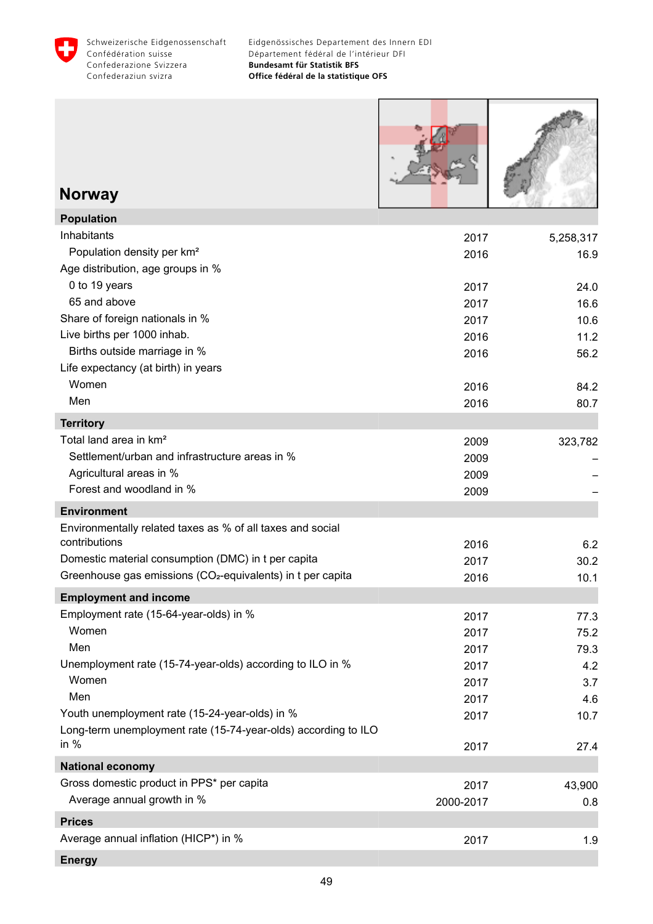

Г

| <b>Norway</b>                                                               |                   |               |
|-----------------------------------------------------------------------------|-------------------|---------------|
| <b>Population</b>                                                           |                   |               |
| Inhabitants                                                                 | 2017              | 5,258,317     |
| Population density per km <sup>2</sup><br>Age distribution, age groups in % | 2016              | 16.9          |
| 0 to 19 years                                                               | 2017              | 24.0          |
| 65 and above                                                                | 2017              | 16.6          |
| Share of foreign nationals in %                                             | 2017              | 10.6          |
| Live births per 1000 inhab.                                                 | 2016              | 11.2          |
| Births outside marriage in %<br>Life expectancy (at birth) in years         | 2016              | 56.2          |
| Women                                                                       | 2016              | 84.2          |
| Men                                                                         | 2016              | 80.7          |
| <b>Territory</b>                                                            |                   |               |
| Total land area in km <sup>2</sup>                                          | 2009              | 323,782       |
| Settlement/urban and infrastructure areas in %                              | 2009              |               |
| Agricultural areas in %                                                     | 2009              |               |
| Forest and woodland in %                                                    | 2009              |               |
| <b>Environment</b>                                                          |                   |               |
| Environmentally related taxes as % of all taxes and social                  |                   |               |
| contributions                                                               | 2016              | 6.2           |
| Domestic material consumption (DMC) in t per capita                         | 2017              | 30.2          |
| Greenhouse gas emissions (CO <sub>2</sub> -equivalents) in t per capita     | 2016              | 10.1          |
| <b>Employment and income</b>                                                |                   |               |
| Employment rate (15-64-year-olds) in %<br>Women                             | 2017              | 77.3          |
| Men                                                                         | 2017              | 75.2          |
| Unemployment rate (15-74-year-olds) according to ILO in %                   | 2017<br>2017      | 79.3<br>4.2   |
| Women                                                                       | 2017              | 3.7           |
| Men                                                                         | 2017              | 4.6           |
| Youth unemployment rate (15-24-year-olds) in %                              | 2017              | 10.7          |
| Long-term unemployment rate (15-74-year-olds) according to ILO<br>in $%$    | 2017              | 27.4          |
| <b>National economy</b>                                                     |                   |               |
| Gross domestic product in PPS* per capita<br>Average annual growth in %     | 2017<br>2000-2017 | 43,900<br>0.8 |
| <b>Prices</b>                                                               |                   |               |
| Average annual inflation (HICP*) in %                                       | 2017              | 1.9           |
|                                                                             |                   |               |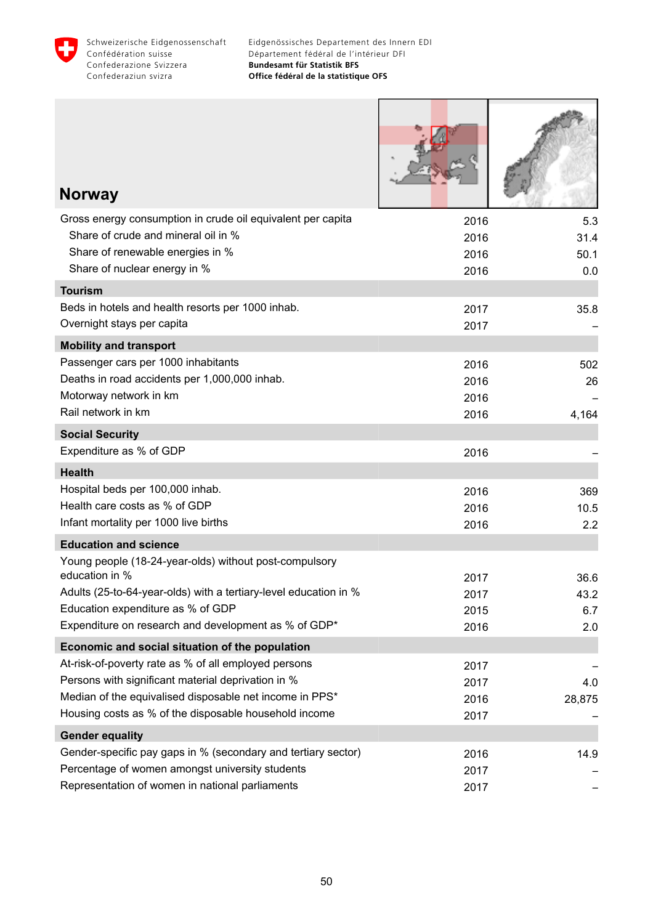

Г

Т

1

| <b>Norway</b>                                                            |      |        |
|--------------------------------------------------------------------------|------|--------|
| Gross energy consumption in crude oil equivalent per capita              | 2016 | 5.3    |
| Share of crude and mineral oil in %                                      | 2016 | 31.4   |
| Share of renewable energies in %                                         | 2016 | 50.1   |
| Share of nuclear energy in %                                             | 2016 | 0.0    |
| <b>Tourism</b>                                                           |      |        |
| Beds in hotels and health resorts per 1000 inhab.                        | 2017 | 35.8   |
| Overnight stays per capita                                               | 2017 |        |
| <b>Mobility and transport</b>                                            |      |        |
| Passenger cars per 1000 inhabitants                                      | 2016 | 502    |
| Deaths in road accidents per 1,000,000 inhab.                            | 2016 | 26     |
| Motorway network in km<br>Rail network in km                             | 2016 |        |
|                                                                          | 2016 | 4,164  |
| <b>Social Security</b>                                                   |      |        |
| Expenditure as % of GDP                                                  | 2016 |        |
| <b>Health</b>                                                            |      |        |
| Hospital beds per 100,000 inhab.                                         | 2016 | 369    |
| Health care costs as % of GDP<br>Infant mortality per 1000 live births   | 2016 | 10.5   |
|                                                                          | 2016 | 2.2    |
| <b>Education and science</b>                                             |      |        |
| Young people (18-24-year-olds) without post-compulsory<br>education in % | 2017 | 36.6   |
| Adults (25-to-64-year-olds) with a tertiary-level education in %         | 2017 | 43.2   |
| Education expenditure as % of GDP                                        | 2015 | 6.7    |
| Expenditure on research and development as % of GDP*                     | 2016 | 2.0    |
| Economic and social situation of the population                          |      |        |
| At-risk-of-poverty rate as % of all employed persons                     | 2017 |        |
| Persons with significant material deprivation in %                       | 2017 | 4.0    |
| Median of the equivalised disposable net income in PPS*                  | 2016 | 28,875 |
| Housing costs as % of the disposable household income                    | 2017 |        |
| <b>Gender equality</b>                                                   |      |        |
| Gender-specific pay gaps in % (secondary and tertiary sector)            | 2016 | 14.9   |
| Percentage of women amongst university students                          | 2017 |        |
| Representation of women in national parliaments                          | 2017 |        |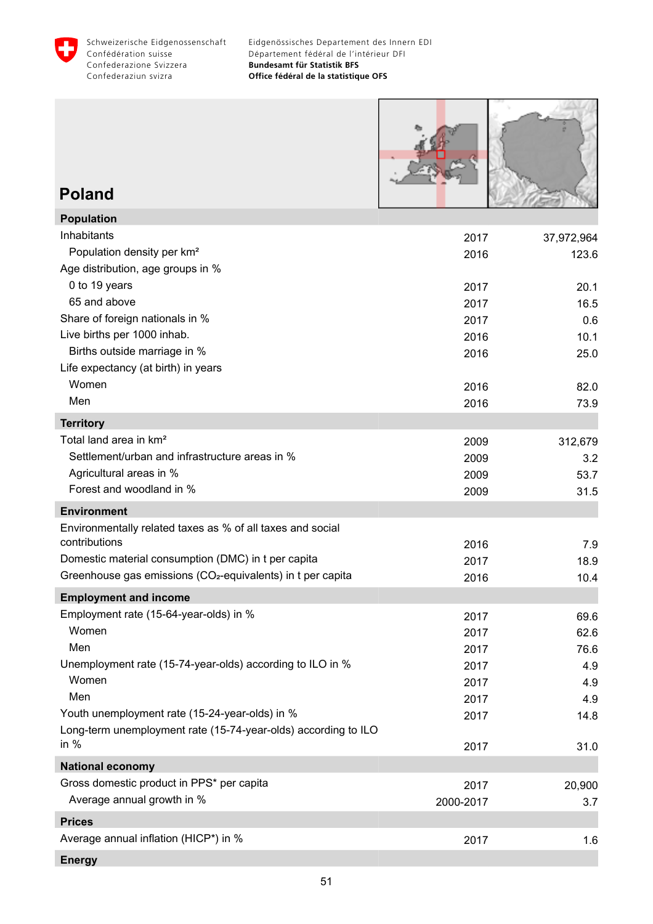



#### **Poland**

| <b>Population</b>                                                       |           |            |
|-------------------------------------------------------------------------|-----------|------------|
| Inhabitants                                                             | 2017      | 37,972,964 |
| Population density per km <sup>2</sup>                                  | 2016      | 123.6      |
| Age distribution, age groups in %                                       |           |            |
| 0 to 19 years                                                           | 2017      | 20.1       |
| 65 and above                                                            | 2017      | 16.5       |
| Share of foreign nationals in %                                         | 2017      | 0.6        |
| Live births per 1000 inhab.                                             | 2016      | 10.1       |
| Births outside marriage in %                                            | 2016      | 25.0       |
| Life expectancy (at birth) in years                                     |           |            |
| Women                                                                   | 2016      | 82.0       |
| Men                                                                     | 2016      | 73.9       |
| <b>Territory</b>                                                        |           |            |
| Total land area in km <sup>2</sup>                                      | 2009      | 312,679    |
| Settlement/urban and infrastructure areas in %                          | 2009      | 3.2        |
| Agricultural areas in %                                                 | 2009      | 53.7       |
| Forest and woodland in %                                                | 2009      | 31.5       |
| <b>Environment</b>                                                      |           |            |
| Environmentally related taxes as % of all taxes and social              |           |            |
| contributions                                                           | 2016      | 7.9        |
| Domestic material consumption (DMC) in t per capita                     | 2017      | 18.9       |
| Greenhouse gas emissions (CO <sub>2</sub> -equivalents) in t per capita | 2016      | 10.4       |
| <b>Employment and income</b>                                            |           |            |
| Employment rate (15-64-year-olds) in %                                  | 2017      | 69.6       |
| Women                                                                   | 2017      | 62.6       |
| Men                                                                     | 2017      | 76.6       |
| Unemployment rate (15-74-year-olds) according to ILO in %               | 2017      | 4.9        |
| Women                                                                   | 2017      | 4.9        |
| Men                                                                     | 2017      | 4.9        |
| Youth unemployment rate (15-24-year-olds) in %                          | 2017      | 14.8       |
| Long-term unemployment rate (15-74-year-olds) according to ILO          |           |            |
| in $%$                                                                  | 2017      | 31.0       |
| <b>National economy</b>                                                 |           |            |
| Gross domestic product in PPS* per capita                               | 2017      | 20,900     |
| Average annual growth in %                                              | 2000-2017 | 3.7        |
| <b>Prices</b>                                                           |           |            |
| Average annual inflation (HICP*) in %                                   | 2017      | 1.6        |
| <b>Energy</b>                                                           |           |            |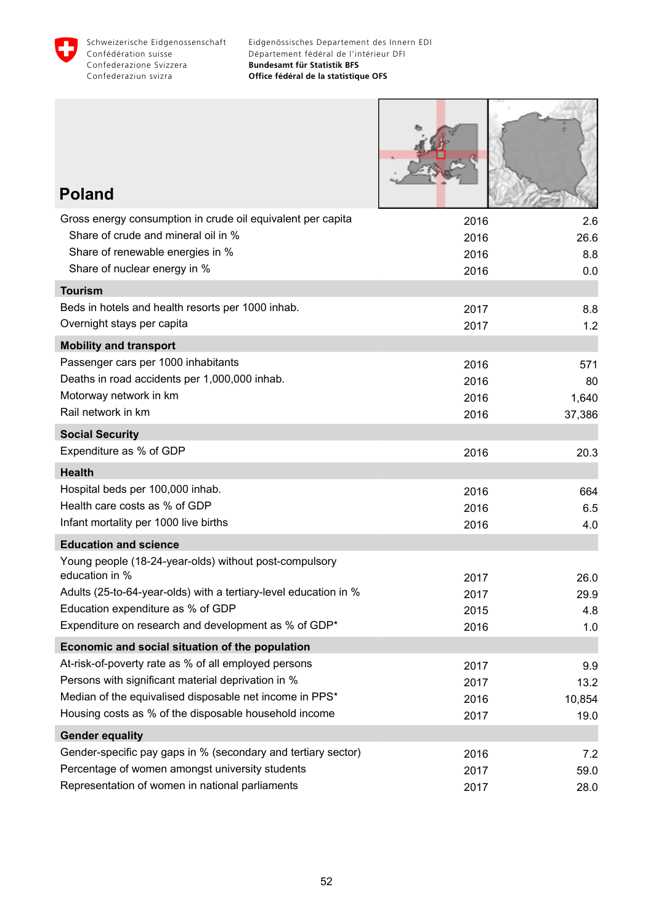

L

marchio

 $\sqrt{210}$ 

| <b>Poland</b>                                                                                      |              |             |
|----------------------------------------------------------------------------------------------------|--------------|-------------|
| Gross energy consumption in crude oil equivalent per capita<br>Share of crude and mineral oil in % | 2016<br>2016 | 2.6<br>26.6 |
| Share of renewable energies in %<br>Share of nuclear energy in %                                   | 2016<br>2016 | 8.8<br>0.0  |
| <b>Tourism</b>                                                                                     |              |             |
| Beds in hotels and health resorts per 1000 inhab.<br>Overnight stays per capita                    | 2017<br>2017 | 8.8<br>1.2  |
| <b>Mobility and transport</b>                                                                      |              |             |
| Passenger cars per 1000 inhabitants                                                                | 2016         | 571         |
| Deaths in road accidents per 1,000,000 inhab.                                                      | 2016         | 80          |
| Motorway network in km                                                                             | 2016         | 1,640       |
| Rail network in km                                                                                 | 2016         | 37,386      |
| <b>Social Security</b>                                                                             |              |             |
| Expenditure as % of GDP                                                                            | 2016         | 20.3        |
| <b>Health</b>                                                                                      |              |             |
| Hospital beds per 100,000 inhab.                                                                   | 2016         | 664         |
| Health care costs as % of GDP                                                                      | 2016         | 6.5         |
| Infant mortality per 1000 live births                                                              | 2016         | 4.0         |
| <b>Education and science</b>                                                                       |              |             |
| Young people (18-24-year-olds) without post-compulsory<br>education in %                           | 2017         | 26.0        |
| Adults (25-to-64-year-olds) with a tertiary-level education in %                                   | 2017         | 29.9        |
| Education expenditure as % of GDP                                                                  | 2015         | 4.8         |
| Expenditure on research and development as % of GDP*                                               | 2016         | 1.0         |
| Economic and social situation of the population                                                    |              |             |
| At-risk-of-poverty rate as % of all employed persons                                               | 2017         | 9.9         |
| Persons with significant material deprivation in %                                                 | 2017         | 13.2        |
| Median of the equivalised disposable net income in PPS*                                            | 2016         | 10,854      |
| Housing costs as % of the disposable household income                                              | 2017         | 19.0        |
| <b>Gender equality</b>                                                                             |              |             |
| Gender-specific pay gaps in % (secondary and tertiary sector)                                      | 2016         | 7.2         |
| Percentage of women amongst university students                                                    | 2017         | 59.0        |
| Representation of women in national parliaments                                                    | 2017         | 28.0        |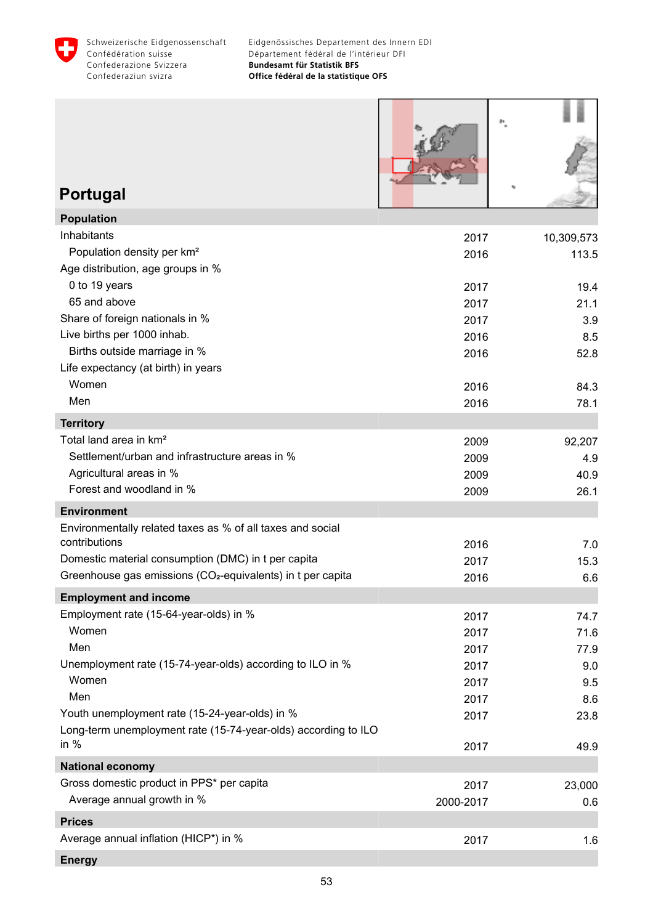

| <b>Portugal</b>                                                                                                                                                                                               |                              |                               |
|---------------------------------------------------------------------------------------------------------------------------------------------------------------------------------------------------------------|------------------------------|-------------------------------|
| <b>Population</b>                                                                                                                                                                                             |                              |                               |
| Inhabitants<br>Population density per km <sup>2</sup><br>Age distribution, age groups in %<br>0 to 19 years                                                                                                   | 2017<br>2016<br>2017         | 10,309,573<br>113.5<br>19.4   |
| 65 and above<br>Share of foreign nationals in %<br>Live births per 1000 inhab.<br>Births outside marriage in %                                                                                                | 2017<br>2017<br>2016<br>2016 | 21.1<br>3.9<br>8.5<br>52.8    |
| Life expectancy (at birth) in years<br>Women<br>Men                                                                                                                                                           | 2016<br>2016                 | 84.3<br>78.1                  |
| <b>Territory</b>                                                                                                                                                                                              |                              |                               |
| Total land area in km <sup>2</sup><br>Settlement/urban and infrastructure areas in %<br>Agricultural areas in %<br>Forest and woodland in %                                                                   | 2009<br>2009<br>2009<br>2009 | 92,207<br>4.9<br>40.9<br>26.1 |
| <b>Environment</b>                                                                                                                                                                                            |                              |                               |
| Environmentally related taxes as % of all taxes and social<br>contributions<br>Domestic material consumption (DMC) in t per capita<br>Greenhouse gas emissions (CO <sub>2</sub> -equivalents) in t per capita | 2016<br>2017<br>2016         | 7.0<br>15.3<br>6.6            |
| <b>Employment and income</b>                                                                                                                                                                                  |                              |                               |
| Employment rate (15-64-year-olds) in %<br>Women<br>Men                                                                                                                                                        | 2017<br>2017<br>2017         | 74.7<br>71.6<br>77.9          |
| Unemployment rate (15-74-year-olds) according to ILO in %<br>Women<br>Men<br>Youth unemployment rate (15-24-year-olds) in %                                                                                   | 2017<br>2017<br>2017<br>2017 | 9.0<br>9.5<br>8.6<br>23.8     |
| Long-term unemployment rate (15-74-year-olds) according to ILO<br>in $%$                                                                                                                                      | 2017                         | 49.9                          |
| <b>National economy</b>                                                                                                                                                                                       |                              |                               |
| Gross domestic product in PPS* per capita<br>Average annual growth in %                                                                                                                                       | 2017<br>2000-2017            | 23,000<br>0.6                 |
| <b>Prices</b>                                                                                                                                                                                                 |                              |                               |
| Average annual inflation (HICP*) in %<br><b>Energy</b>                                                                                                                                                        | 2017                         | 1.6                           |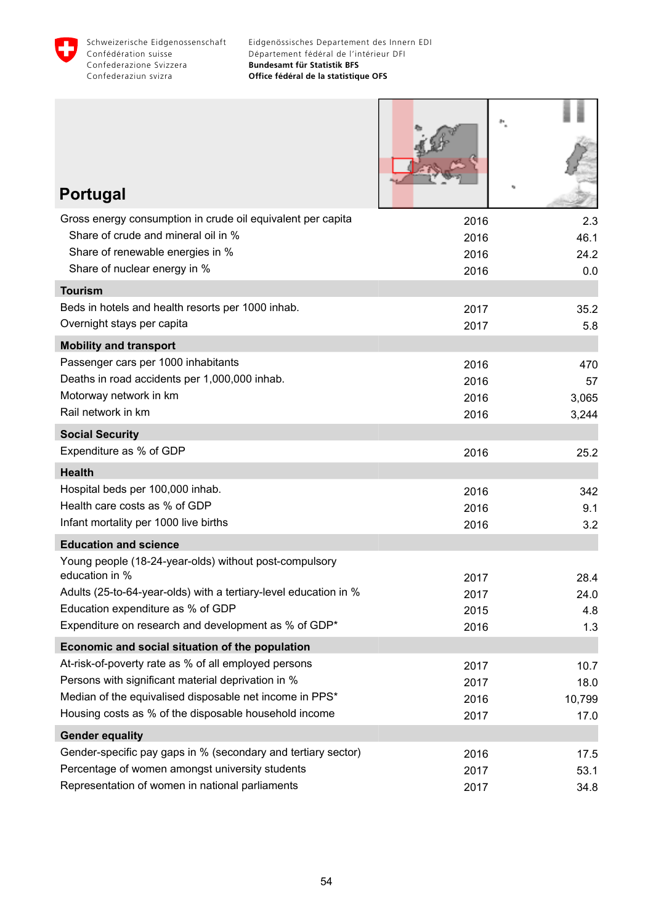

| <b>Portugal</b>                                                                                                          |             |
|--------------------------------------------------------------------------------------------------------------------------|-------------|
| Gross energy consumption in crude oil equivalent per capita<br>2016                                                      | 2.3         |
| Share of crude and mineral oil in %<br>2016                                                                              | 46.1        |
| Share of renewable energies in %<br>2016<br>Share of nuclear energy in %                                                 | 24.2        |
| 2016                                                                                                                     | 0.0         |
| <b>Tourism</b><br>Beds in hotels and health resorts per 1000 inhab.                                                      |             |
| 2017<br>Overnight stays per capita<br>2017                                                                               | 35.2<br>5.8 |
| <b>Mobility and transport</b>                                                                                            |             |
| Passenger cars per 1000 inhabitants<br>2016                                                                              | 470         |
| Deaths in road accidents per 1,000,000 inhab.<br>2016                                                                    | 57          |
| Motorway network in km<br>2016                                                                                           | 3,065       |
| Rail network in km<br>2016                                                                                               | 3,244       |
| <b>Social Security</b>                                                                                                   |             |
| Expenditure as % of GDP<br>2016                                                                                          | 25.2        |
| <b>Health</b>                                                                                                            |             |
| Hospital beds per 100,000 inhab.<br>2016                                                                                 | 342         |
| Health care costs as % of GDP<br>2016                                                                                    | 9.1         |
| Infant mortality per 1000 live births<br>2016                                                                            | 3.2         |
| <b>Education and science</b>                                                                                             |             |
| Young people (18-24-year-olds) without post-compulsory<br>education in %<br>2017                                         | 28.4        |
| Adults (25-to-64-year-olds) with a tertiary-level education in %<br>2017                                                 | 24.0        |
| Education expenditure as % of GDP<br>2015                                                                                | 4.8         |
| Expenditure on research and development as % of GDP*<br>2016                                                             | 1.3         |
| Economic and social situation of the population                                                                          |             |
| At-risk-of-poverty rate as % of all employed persons<br>2017                                                             | 10.7        |
| Persons with significant material deprivation in %<br>2017                                                               | 18.0        |
| Median of the equivalised disposable net income in PPS*<br>2016                                                          | 10,799      |
| Housing costs as % of the disposable household income<br>2017                                                            | 17.0        |
| <b>Gender equality</b>                                                                                                   |             |
| Gender-specific pay gaps in % (secondary and tertiary sector)<br>2016<br>Percentage of women amongst university students | 17.5        |
| 2017<br>Representation of women in national parliaments                                                                  | 53.1        |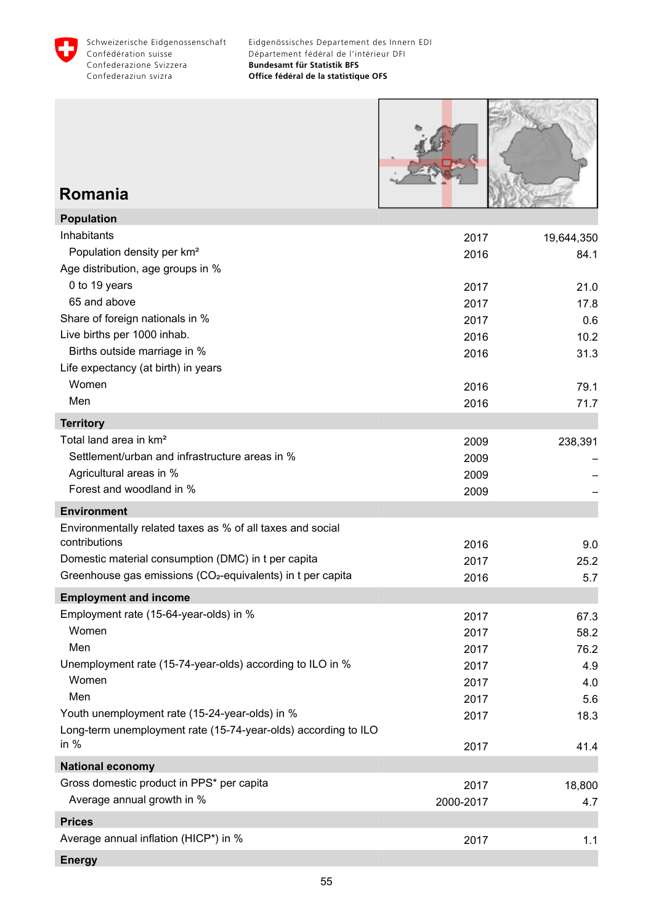



# **Romania**

| <b>Population</b>                                                       |           |            |
|-------------------------------------------------------------------------|-----------|------------|
| Inhabitants                                                             | 2017      | 19,644,350 |
| Population density per km <sup>2</sup>                                  | 2016      | 84.1       |
| Age distribution, age groups in %                                       |           |            |
| 0 to 19 years                                                           | 2017      | 21.0       |
| 65 and above                                                            | 2017      | 17.8       |
| Share of foreign nationals in %                                         | 2017      | 0.6        |
| Live births per 1000 inhab.                                             | 2016      | 10.2       |
| Births outside marriage in %                                            | 2016      | 31.3       |
| Life expectancy (at birth) in years                                     |           |            |
| Women                                                                   | 2016      | 79.1       |
| Men                                                                     | 2016      | 71.7       |
| <b>Territory</b>                                                        |           |            |
| Total land area in km <sup>2</sup>                                      | 2009      | 238,391    |
| Settlement/urban and infrastructure areas in %                          | 2009      |            |
| Agricultural areas in %                                                 | 2009      |            |
| Forest and woodland in %                                                | 2009      |            |
| <b>Environment</b>                                                      |           |            |
| Environmentally related taxes as % of all taxes and social              |           |            |
| contributions                                                           | 2016      | 9.0        |
| Domestic material consumption (DMC) in t per capita                     | 2017      | 25.2       |
| Greenhouse gas emissions (CO <sub>2</sub> -equivalents) in t per capita | 2016      | 5.7        |
| <b>Employment and income</b>                                            |           |            |
| Employment rate (15-64-year-olds) in %                                  | 2017      | 67.3       |
| Women                                                                   | 2017      | 58.2       |
| Men                                                                     | 2017      | 76.2       |
| Unemployment rate (15-74-year-olds) according to ILO in %               | 2017      | 4.9        |
| Women                                                                   | 2017      | 4.0        |
| Men                                                                     | 2017      | 5.6        |
| Youth unemployment rate (15-24-year-olds) in %                          | 2017      | 18.3       |
| Long-term unemployment rate (15-74-year-olds) according to ILO          |           |            |
| in $%$                                                                  | 2017      | 41.4       |
| <b>National economy</b>                                                 |           |            |
| Gross domestic product in PPS* per capita                               | 2017      | 18,800     |
| Average annual growth in %                                              | 2000-2017 | 4.7        |
| <b>Prices</b>                                                           |           |            |
| Average annual inflation (HICP*) in %                                   | 2017      | 1.1        |
| <b>Energy</b>                                                           |           |            |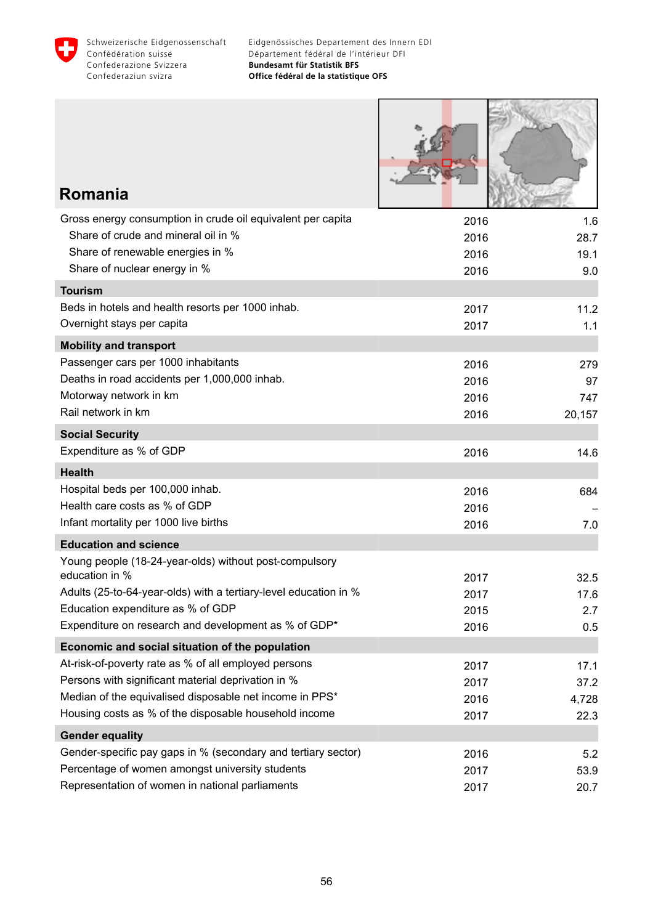

Г

Addressed STO

| Romania                                                                  |              |             |
|--------------------------------------------------------------------------|--------------|-------------|
| Gross energy consumption in crude oil equivalent per capita              | 2016         | 1.6         |
| Share of crude and mineral oil in %                                      | 2016         | 28.7        |
| Share of renewable energies in %                                         | 2016         | 19.1        |
| Share of nuclear energy in %                                             | 2016         | 9.0         |
| <b>Tourism</b>                                                           |              |             |
| Beds in hotels and health resorts per 1000 inhab.                        | 2017         | 11.2        |
| Overnight stays per capita                                               | 2017         | 1.1         |
| <b>Mobility and transport</b>                                            |              |             |
| Passenger cars per 1000 inhabitants                                      | 2016         | 279         |
| Deaths in road accidents per 1,000,000 inhab.                            | 2016         | 97          |
| Motorway network in km<br>Rail network in km                             | 2016         | 747         |
|                                                                          | 2016         | 20,157      |
| <b>Social Security</b>                                                   |              |             |
| Expenditure as % of GDP                                                  | 2016         | 14.6        |
| <b>Health</b>                                                            |              |             |
| Hospital beds per 100,000 inhab.                                         | 2016         | 684         |
| Health care costs as % of GDP                                            | 2016         |             |
| Infant mortality per 1000 live births                                    | 2016         | 7.0         |
| <b>Education and science</b>                                             |              |             |
| Young people (18-24-year-olds) without post-compulsory<br>education in % |              |             |
| Adults (25-to-64-year-olds) with a tertiary-level education in %         | 2017         | 32.5        |
| Education expenditure as % of GDP                                        | 2017<br>2015 | 17.6<br>2.7 |
| Expenditure on research and development as % of GDP*                     | 2016         | 0.5         |
| Economic and social situation of the population                          |              |             |
| At-risk-of-poverty rate as % of all employed persons                     | 2017         | 17.1        |
| Persons with significant material deprivation in %                       | 2017         | 37.2        |
| Median of the equivalised disposable net income in PPS*                  | 2016         | 4,728       |
| Housing costs as % of the disposable household income                    | 2017         | 22.3        |
| <b>Gender equality</b>                                                   |              |             |
| Gender-specific pay gaps in % (secondary and tertiary sector)            | 2016         | 5.2         |
| Percentage of women amongst university students                          | 2017         | 53.9        |
| Representation of women in national parliaments                          | 2017         | 20.7        |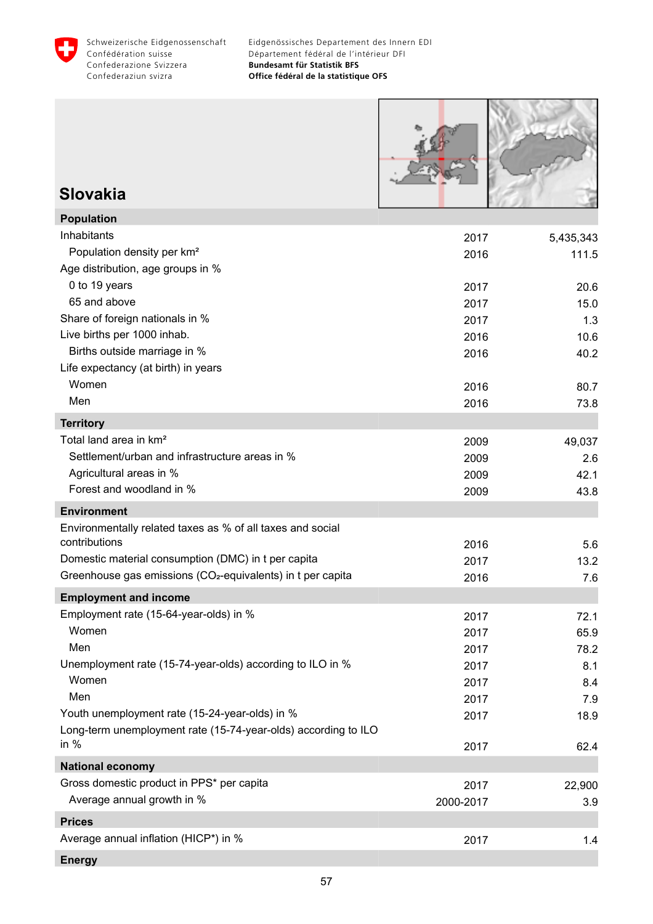



## **Slovakia**

| <b>Population</b>                                                       |           |           |
|-------------------------------------------------------------------------|-----------|-----------|
| Inhabitants                                                             | 2017      | 5,435,343 |
| Population density per km <sup>2</sup>                                  | 2016      | 111.5     |
| Age distribution, age groups in %                                       |           |           |
| 0 to 19 years                                                           | 2017      | 20.6      |
| 65 and above                                                            | 2017      | 15.0      |
| Share of foreign nationals in %                                         | 2017      | 1.3       |
| Live births per 1000 inhab.                                             | 2016      | 10.6      |
| Births outside marriage in %                                            | 2016      | 40.2      |
| Life expectancy (at birth) in years                                     |           |           |
| Women                                                                   | 2016      | 80.7      |
| Men                                                                     | 2016      | 73.8      |
| <b>Territory</b>                                                        |           |           |
| Total land area in km <sup>2</sup>                                      | 2009      | 49,037    |
| Settlement/urban and infrastructure areas in %                          | 2009      | 2.6       |
| Agricultural areas in %                                                 | 2009      | 42.1      |
| Forest and woodland in %                                                | 2009      | 43.8      |
| <b>Environment</b>                                                      |           |           |
| Environmentally related taxes as % of all taxes and social              |           |           |
| contributions                                                           | 2016      | 5.6       |
| Domestic material consumption (DMC) in t per capita                     | 2017      | 13.2      |
| Greenhouse gas emissions (CO <sub>2</sub> -equivalents) in t per capita | 2016      | 7.6       |
| <b>Employment and income</b>                                            |           |           |
| Employment rate (15-64-year-olds) in %                                  | 2017      | 72.1      |
| Women                                                                   | 2017      | 65.9      |
| Men                                                                     | 2017      | 78.2      |
| Unemployment rate (15-74-year-olds) according to ILO in %               | 2017      | 8.1       |
| Women                                                                   | 2017      | 8.4       |
| Men                                                                     | 2017      | 7.9       |
| Youth unemployment rate (15-24-year-olds) in %                          | 2017      | 18.9      |
| Long-term unemployment rate (15-74-year-olds) according to ILO          |           |           |
| in $%$                                                                  | 2017      | 62.4      |
| <b>National economy</b>                                                 |           |           |
| Gross domestic product in PPS* per capita                               | 2017      | 22,900    |
| Average annual growth in %                                              | 2000-2017 | 3.9       |
| <b>Prices</b>                                                           |           |           |
| Average annual inflation (HICP*) in %                                   | 2017      | 1.4       |
| <b>Energy</b>                                                           |           |           |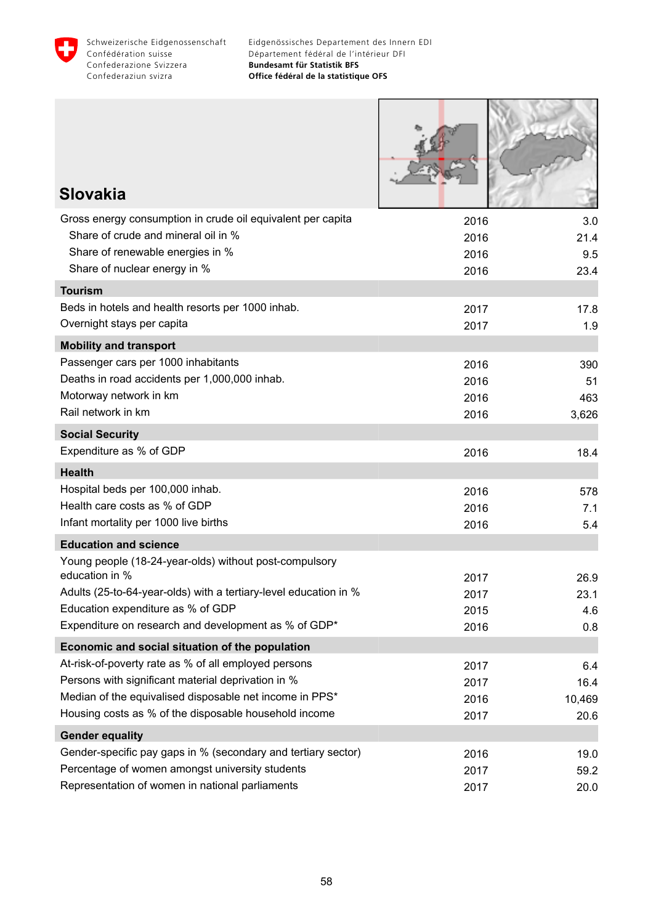

| <b>Slovakia</b>                                                                        |              |            |
|----------------------------------------------------------------------------------------|--------------|------------|
|                                                                                        |              |            |
| Gross energy consumption in crude oil equivalent per capita                            | 2016         | 3.0        |
| Share of crude and mineral oil in %                                                    | 2016         | 21.4       |
| Share of renewable energies in %<br>Share of nuclear energy in %                       | 2016<br>2016 | 9.5        |
|                                                                                        |              | 23.4       |
| <b>Tourism</b><br>Beds in hotels and health resorts per 1000 inhab.                    |              |            |
| Overnight stays per capita                                                             | 2017         | 17.8       |
|                                                                                        | 2017         | 1.9        |
| <b>Mobility and transport</b>                                                          |              |            |
| Passenger cars per 1000 inhabitants<br>Deaths in road accidents per 1,000,000 inhab.   | 2016         | 390        |
| Motorway network in km                                                                 | 2016<br>2016 | 51<br>463  |
| Rail network in km                                                                     | 2016         | 3,626      |
| <b>Social Security</b>                                                                 |              |            |
| Expenditure as % of GDP                                                                | 2016         | 18.4       |
|                                                                                        |              |            |
| <b>Health</b>                                                                          |              |            |
| Hospital beds per 100,000 inhab.<br>Health care costs as % of GDP                      | 2016         | 578        |
| Infant mortality per 1000 live births                                                  | 2016<br>2016 | 7.1<br>5.4 |
|                                                                                        |              |            |
| <b>Education and science</b><br>Young people (18-24-year-olds) without post-compulsory |              |            |
| education in %                                                                         | 2017         | 26.9       |
| Adults (25-to-64-year-olds) with a tertiary-level education in %                       | 2017         | 23.1       |
| Education expenditure as % of GDP                                                      | 2015         | 4.6        |
| Expenditure on research and development as % of GDP*                                   | 2016         | 0.8        |
| Economic and social situation of the population                                        |              |            |
| At-risk-of-poverty rate as % of all employed persons                                   | 2017         | 6.4        |
| Persons with significant material deprivation in %                                     | 2017         | 16.4       |
| Median of the equivalised disposable net income in PPS*                                | 2016         | 10,469     |
| Housing costs as % of the disposable household income                                  | 2017         | 20.6       |
| <b>Gender equality</b>                                                                 |              |            |
| Gender-specific pay gaps in % (secondary and tertiary sector)                          | 2016         | 19.0       |
| Percentage of women amongst university students                                        | 2017         | 59.2       |
| Representation of women in national parliaments                                        | 2017         | 20.0       |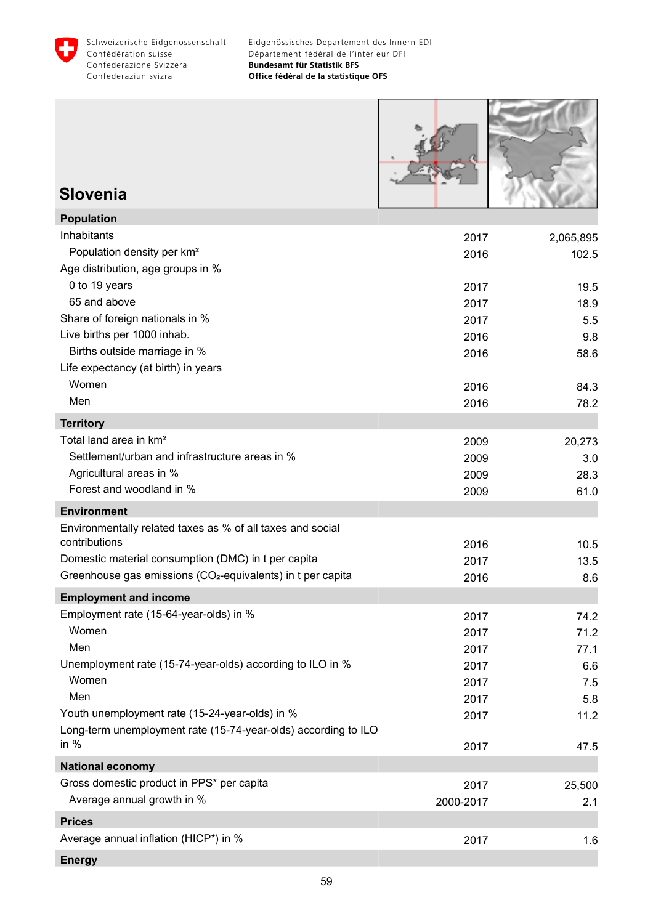



### **Slovenia**

| <b>Population</b>                                                       |           |           |
|-------------------------------------------------------------------------|-----------|-----------|
| Inhabitants                                                             | 2017      | 2,065,895 |
| Population density per km <sup>2</sup>                                  | 2016      | 102.5     |
| Age distribution, age groups in %                                       |           |           |
| 0 to 19 years                                                           | 2017      | 19.5      |
| 65 and above                                                            | 2017      | 18.9      |
| Share of foreign nationals in %                                         | 2017      | 5.5       |
| Live births per 1000 inhab.                                             | 2016      | 9.8       |
| Births outside marriage in %                                            | 2016      | 58.6      |
| Life expectancy (at birth) in years                                     |           |           |
| Women                                                                   | 2016      | 84.3      |
| Men                                                                     | 2016      | 78.2      |
| <b>Territory</b>                                                        |           |           |
| Total land area in km <sup>2</sup>                                      | 2009      | 20,273    |
| Settlement/urban and infrastructure areas in %                          | 2009      | 3.0       |
| Agricultural areas in %                                                 | 2009      | 28.3      |
| Forest and woodland in %                                                | 2009      | 61.0      |
| <b>Environment</b>                                                      |           |           |
| Environmentally related taxes as % of all taxes and social              |           |           |
| contributions                                                           | 2016      | 10.5      |
| Domestic material consumption (DMC) in t per capita                     | 2017      | 13.5      |
| Greenhouse gas emissions (CO <sub>2</sub> -equivalents) in t per capita | 2016      | 8.6       |
| <b>Employment and income</b>                                            |           |           |
| Employment rate (15-64-year-olds) in %                                  | 2017      | 74.2      |
| Women                                                                   | 2017      | 71.2      |
| Men                                                                     | 2017      | 77.1      |
| Unemployment rate (15-74-year-olds) according to ILO in %               | 2017      | 6.6       |
| Women                                                                   | 2017      | 7.5       |
| Men                                                                     | 2017      | 5.8       |
| Youth unemployment rate (15-24-year-olds) in %                          | 2017      | 11.2      |
| Long-term unemployment rate (15-74-year-olds) according to ILO          |           |           |
| in $%$                                                                  | 2017      | 47.5      |
| <b>National economy</b>                                                 |           |           |
| Gross domestic product in PPS* per capita                               | 2017      | 25,500    |
| Average annual growth in %                                              | 2000-2017 | 2.1       |
| <b>Prices</b>                                                           |           |           |
| Average annual inflation (HICP*) in %                                   | 2017      | 1.6       |
| <b>Energy</b>                                                           |           |           |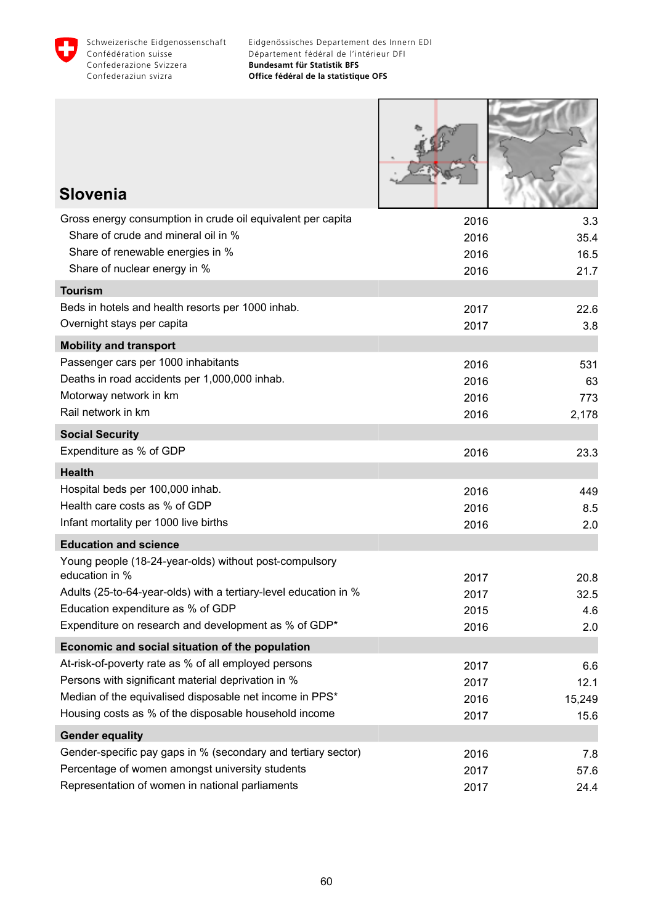

| <b>Slovenia</b>                                                                                         |              |             |
|---------------------------------------------------------------------------------------------------------|--------------|-------------|
| Gross energy consumption in crude oil equivalent per capita                                             |              |             |
| Share of crude and mineral oil in %                                                                     | 2016<br>2016 | 3.3<br>35.4 |
| Share of renewable energies in %                                                                        | 2016         | 16.5        |
| Share of nuclear energy in %                                                                            | 2016         | 21.7        |
| <b>Tourism</b>                                                                                          |              |             |
| Beds in hotels and health resorts per 1000 inhab.                                                       | 2017         | 22.6        |
| Overnight stays per capita                                                                              | 2017         | 3.8         |
| <b>Mobility and transport</b>                                                                           |              |             |
| Passenger cars per 1000 inhabitants                                                                     | 2016         | 531         |
| Deaths in road accidents per 1,000,000 inhab.                                                           | 2016         | 63          |
| Motorway network in km                                                                                  | 2016         | 773         |
| Rail network in km                                                                                      | 2016         | 2,178       |
| <b>Social Security</b>                                                                                  |              |             |
| Expenditure as % of GDP                                                                                 | 2016         | 23.3        |
| <b>Health</b>                                                                                           |              |             |
| Hospital beds per 100,000 inhab.                                                                        | 2016         | 449         |
| Health care costs as % of GDP                                                                           | 2016         | 8.5         |
| Infant mortality per 1000 live births                                                                   | 2016         | 2.0         |
| <b>Education and science</b>                                                                            |              |             |
| Young people (18-24-year-olds) without post-compulsory                                                  |              |             |
| education in %                                                                                          | 2017         | 20.8        |
| Adults (25-to-64-year-olds) with a tertiary-level education in %<br>Education expenditure as % of GDP   | 2017         | 32.5        |
| Expenditure on research and development as % of GDP*                                                    | 2015<br>2016 | 4.6<br>2.0  |
|                                                                                                         |              |             |
| Economic and social situation of the population<br>At-risk-of-poverty rate as % of all employed persons | 2017         |             |
| Persons with significant material deprivation in %                                                      | 2017         | 6.6<br>12.1 |
| Median of the equivalised disposable net income in PPS*                                                 | 2016         | 15,249      |
| Housing costs as % of the disposable household income                                                   | 2017         | 15.6        |
| <b>Gender equality</b>                                                                                  |              |             |
| Gender-specific pay gaps in % (secondary and tertiary sector)                                           | 2016         | 7.8         |
| Percentage of women amongst university students                                                         | 2017         | 57.6        |
| Representation of women in national parliaments                                                         | 2017         | 24.4        |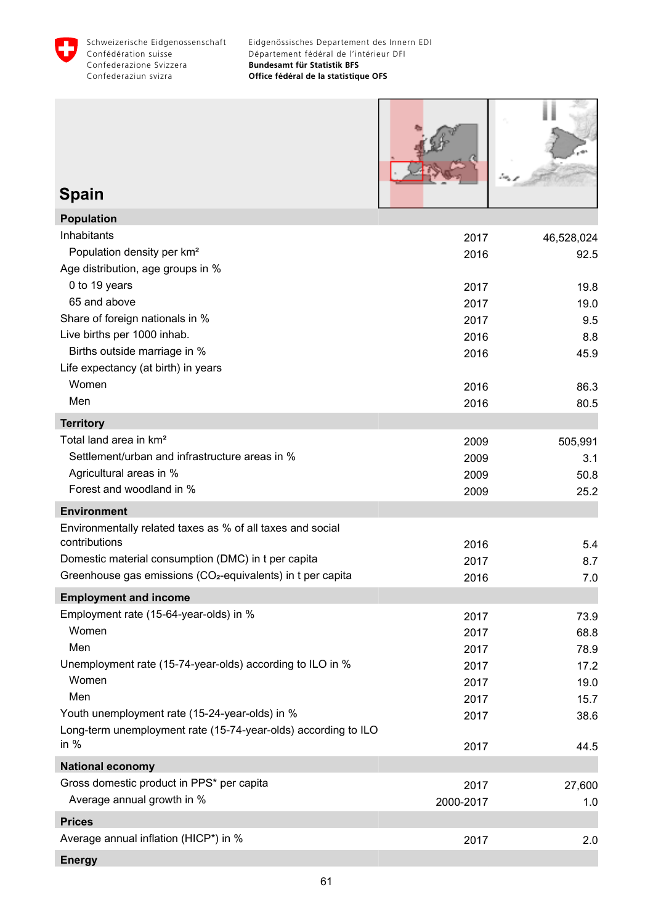



#### **Spain Population**

| Population                                                              |           |            |
|-------------------------------------------------------------------------|-----------|------------|
| Inhabitants                                                             | 2017      | 46,528,024 |
| Population density per km <sup>2</sup>                                  | 2016      | 92.5       |
| Age distribution, age groups in %                                       |           |            |
| 0 to 19 years                                                           | 2017      | 19.8       |
| 65 and above                                                            | 2017      | 19.0       |
| Share of foreign nationals in %                                         | 2017      | 9.5        |
| Live births per 1000 inhab.                                             | 2016      | 8.8        |
| Births outside marriage in %                                            | 2016      | 45.9       |
| Life expectancy (at birth) in years                                     |           |            |
| Women                                                                   | 2016      | 86.3       |
| Men                                                                     | 2016      | 80.5       |
| <b>Territory</b>                                                        |           |            |
| Total land area in km <sup>2</sup>                                      | 2009      | 505,991    |
| Settlement/urban and infrastructure areas in %                          | 2009      | 3.1        |
| Agricultural areas in %                                                 | 2009      | 50.8       |
| Forest and woodland in %                                                | 2009      | 25.2       |
| <b>Environment</b>                                                      |           |            |
| Environmentally related taxes as % of all taxes and social              |           |            |
| contributions                                                           | 2016      | 5.4        |
| Domestic material consumption (DMC) in t per capita                     | 2017      | 8.7        |
| Greenhouse gas emissions (CO <sub>2</sub> -equivalents) in t per capita | 2016      | 7.0        |
| <b>Employment and income</b>                                            |           |            |
| Employment rate (15-64-year-olds) in %                                  | 2017      | 73.9       |
| Women                                                                   | 2017      | 68.8       |
| Men                                                                     | 2017      | 78.9       |
| Unemployment rate (15-74-year-olds) according to ILO in %               | 2017      | 17.2       |
| Women                                                                   | 2017      | 19.0       |
| Men                                                                     | 2017      | 15.7       |
| Youth unemployment rate (15-24-year-olds) in %                          | 2017      | 38.6       |
| Long-term unemployment rate (15-74-year-olds) according to ILO          |           |            |
| in $%$                                                                  | 2017      | 44.5       |
| <b>National economy</b>                                                 |           |            |
| Gross domestic product in PPS* per capita                               | 2017      | 27,600     |
| Average annual growth in %                                              | 2000-2017 | 1.0        |
| <b>Prices</b>                                                           |           |            |
| Average annual inflation (HICP*) in %                                   | 2017      | 2.0        |
| <b>Energy</b>                                                           |           |            |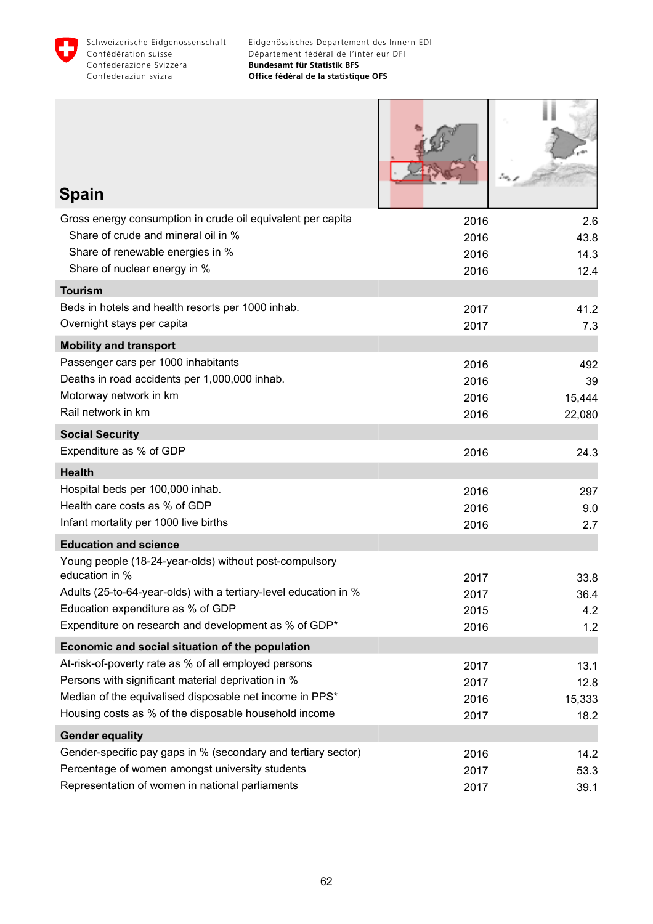

| <b>Spain</b>                                                                           |              |              |
|----------------------------------------------------------------------------------------|--------------|--------------|
| Gross energy consumption in crude oil equivalent per capita                            | 2016         | 2.6          |
| Share of crude and mineral oil in %                                                    | 2016         | 43.8         |
| Share of renewable energies in %<br>Share of nuclear energy in %                       | 2016<br>2016 | 14.3<br>12.4 |
| <b>Tourism</b>                                                                         |              |              |
| Beds in hotels and health resorts per 1000 inhab.                                      | 2017         | 41.2         |
| Overnight stays per capita                                                             | 2017         | 7.3          |
| <b>Mobility and transport</b>                                                          |              |              |
| Passenger cars per 1000 inhabitants                                                    | 2016         | 492          |
| Deaths in road accidents per 1,000,000 inhab.                                          | 2016         | 39           |
| Motorway network in km<br>Rail network in km                                           | 2016         | 15,444       |
|                                                                                        | 2016         | 22,080       |
| <b>Social Security</b>                                                                 |              |              |
| Expenditure as % of GDP                                                                | 2016         | 24.3         |
| <b>Health</b>                                                                          |              |              |
| Hospital beds per 100,000 inhab.<br>Health care costs as % of GDP                      | 2016         | 297          |
| Infant mortality per 1000 live births                                                  | 2016         | 9.0          |
|                                                                                        | 2016         | 2.7          |
| <b>Education and science</b><br>Young people (18-24-year-olds) without post-compulsory |              |              |
| education in %                                                                         | 2017         | 33.8         |
| Adults (25-to-64-year-olds) with a tertiary-level education in %                       | 2017         | 36.4         |
| Education expenditure as % of GDP                                                      | 2015         | 4.2          |
| Expenditure on research and development as % of GDP*                                   | 2016         | 1.2          |
| Economic and social situation of the population                                        |              |              |
| At-risk-of-poverty rate as % of all employed persons                                   | 2017         | 13.1         |
| Persons with significant material deprivation in %                                     | 2017         | 12.8         |
| Median of the equivalised disposable net income in PPS*                                | 2016         | 15,333       |
| Housing costs as % of the disposable household income                                  | 2017         | 18.2         |
| <b>Gender equality</b>                                                                 |              |              |
| Gender-specific pay gaps in % (secondary and tertiary sector)                          | 2016         | 14.2         |
| Percentage of women amongst university students                                        | 2017         | 53.3         |
| Representation of women in national parliaments                                        | 2017         | 39.1         |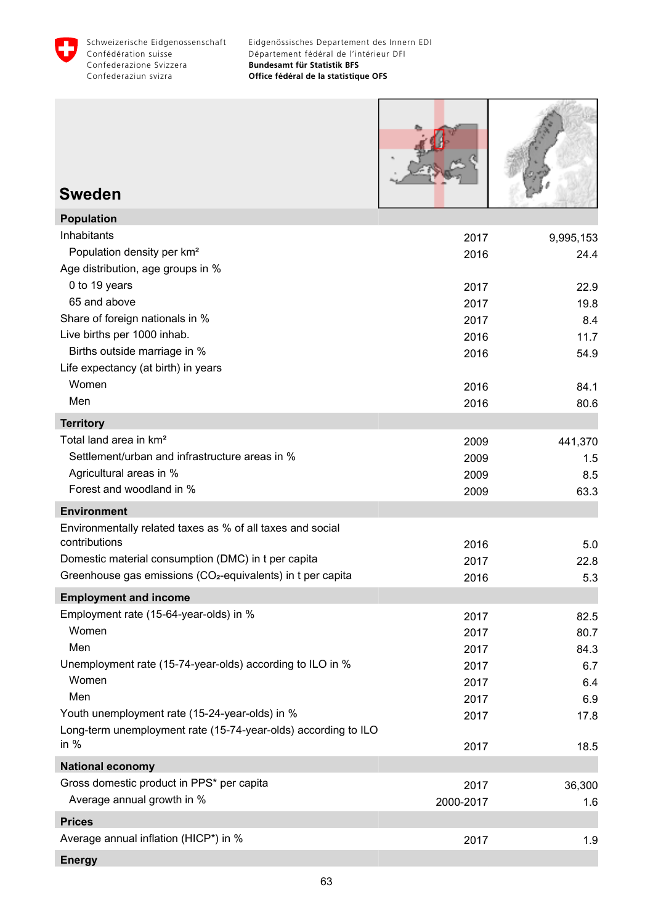

r

| <b>Sweden</b>                                                            |              |             |
|--------------------------------------------------------------------------|--------------|-------------|
| <b>Population</b>                                                        |              |             |
| Inhabitants                                                              | 2017         | 9,995,153   |
| Population density per km <sup>2</sup>                                   | 2016         | 24.4        |
| Age distribution, age groups in %                                        |              |             |
| 0 to 19 years<br>65 and above                                            | 2017         | 22.9        |
| Share of foreign nationals in %                                          | 2017         | 19.8        |
| Live births per 1000 inhab.                                              | 2017<br>2016 | 8.4<br>11.7 |
| Births outside marriage in %                                             | 2016         | 54.9        |
| Life expectancy (at birth) in years                                      |              |             |
| Women                                                                    | 2016         | 84.1        |
| Men                                                                      | 2016         | 80.6        |
| <b>Territory</b>                                                         |              |             |
| Total land area in km <sup>2</sup>                                       | 2009         | 441,370     |
| Settlement/urban and infrastructure areas in %                           | 2009         | 1.5         |
| Agricultural areas in %                                                  | 2009         | 8.5         |
| Forest and woodland in %                                                 | 2009         | 63.3        |
| <b>Environment</b>                                                       |              |             |
| Environmentally related taxes as % of all taxes and social               |              |             |
| contributions                                                            | 2016         | 5.0         |
| Domestic material consumption (DMC) in t per capita                      | 2017         | 22.8        |
| Greenhouse gas emissions (CO <sub>2</sub> -equivalents) in t per capita  | 2016         | 5.3         |
| <b>Employment and income</b>                                             |              |             |
| Employment rate (15-64-year-olds) in %                                   | 2017         | 82.5        |
| Women                                                                    | 2017         | 80.7        |
| Men                                                                      | 2017         | 84.3        |
| Unemployment rate (15-74-year-olds) according to ILO in %                | 2017         | 6.7         |
| Women                                                                    | 2017         | 6.4         |
| Men                                                                      | 2017         | 6.9         |
| Youth unemployment rate (15-24-year-olds) in %                           | 2017         | 17.8        |
| Long-term unemployment rate (15-74-year-olds) according to ILO<br>in $%$ | 2017         | 18.5        |
| <b>National economy</b>                                                  |              |             |
| Gross domestic product in PPS* per capita                                |              |             |
| Average annual growth in %                                               | 2017         | 36,300      |
|                                                                          | 2000-2017    | 1.6         |
| <b>Prices</b>                                                            |              |             |
| Average annual inflation (HICP*) in %                                    | 2017         | 1.9         |
| <b>Energy</b>                                                            |              |             |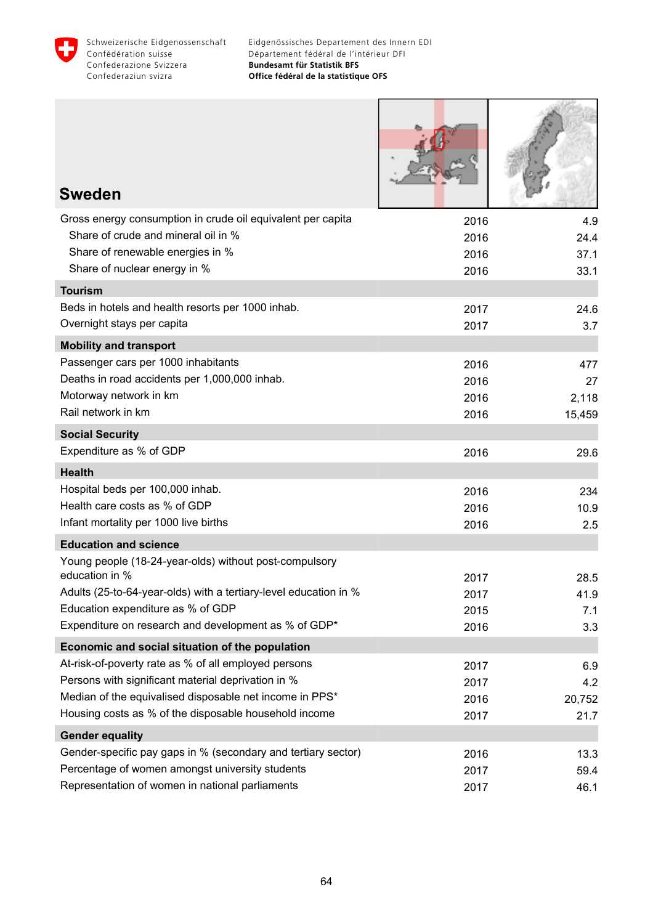

| <b>Sweden</b>                                                                                           |              |               |
|---------------------------------------------------------------------------------------------------------|--------------|---------------|
| Gross energy consumption in crude oil equivalent per capita                                             | 2016         | 4.9           |
| Share of crude and mineral oil in %                                                                     | 2016         | 24.4          |
| Share of renewable energies in %                                                                        | 2016         | 37.1          |
| Share of nuclear energy in %                                                                            | 2016         | 33.1          |
| <b>Tourism</b>                                                                                          |              |               |
| Beds in hotels and health resorts per 1000 inhab.                                                       | 2017         | 24.6          |
| Overnight stays per capita                                                                              | 2017         | 3.7           |
| <b>Mobility and transport</b>                                                                           |              |               |
| Passenger cars per 1000 inhabitants<br>Deaths in road accidents per 1,000,000 inhab.                    | 2016         | 477           |
| Motorway network in km                                                                                  | 2016<br>2016 | 27<br>2,118   |
| Rail network in km                                                                                      | 2016         | 15,459        |
| <b>Social Security</b>                                                                                  |              |               |
| Expenditure as % of GDP                                                                                 | 2016         | 29.6          |
| <b>Health</b>                                                                                           |              |               |
| Hospital beds per 100,000 inhab.                                                                        | 2016         | 234           |
| Health care costs as % of GDP                                                                           | 2016         | 10.9          |
| Infant mortality per 1000 live births                                                                   | 2016         | 2.5           |
| <b>Education and science</b>                                                                            |              |               |
| Young people (18-24-year-olds) without post-compulsory                                                  |              |               |
| education in %                                                                                          | 2017         | 28.5          |
| Adults (25-to-64-year-olds) with a tertiary-level education in %                                        | 2017         | 41.9          |
| Education expenditure as % of GDP<br>Expenditure on research and development as % of GDP*               | 2015         | 7.1           |
|                                                                                                         | 2016         | 3.3           |
| Economic and social situation of the population<br>At-risk-of-poverty rate as % of all employed persons |              |               |
| Persons with significant material deprivation in %                                                      | 2017         | 6.9           |
| Median of the equivalised disposable net income in PPS*                                                 | 2017<br>2016 | 4.2<br>20,752 |
| Housing costs as % of the disposable household income                                                   | 2017         | 21.7          |
| <b>Gender equality</b>                                                                                  |              |               |
| Gender-specific pay gaps in % (secondary and tertiary sector)                                           | 2016         | 13.3          |
| Percentage of women amongst university students                                                         | 2017         | 59.4          |
| Representation of women in national parliaments                                                         | 2017         | 46.1          |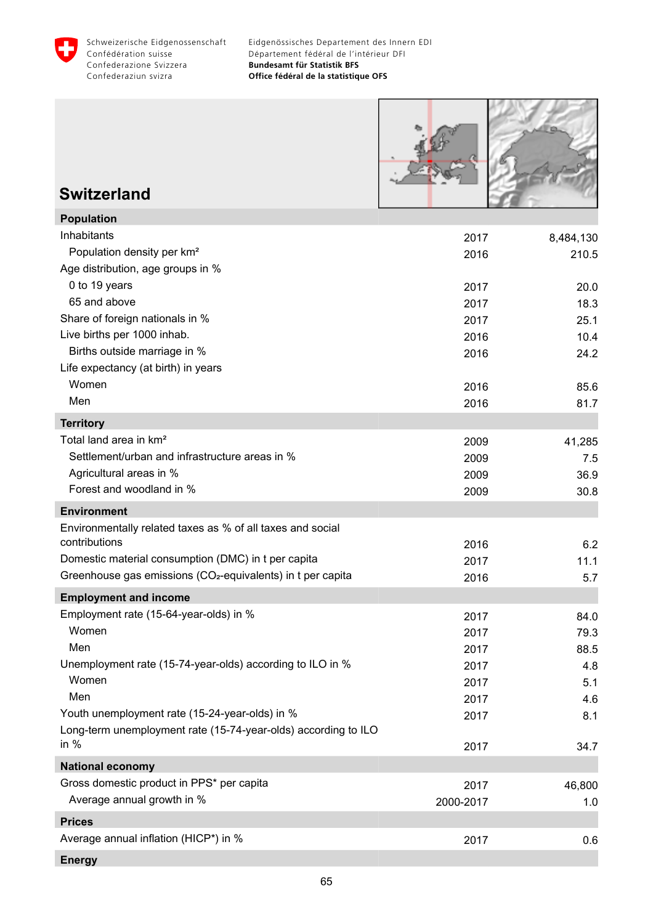

Г

**HANGER** 

| <b>Switzerland</b>                                                                                                             |              |              |
|--------------------------------------------------------------------------------------------------------------------------------|--------------|--------------|
| <b>Population</b>                                                                                                              |              |              |
| Inhabitants                                                                                                                    | 2017         | 8,484,130    |
| Population density per km <sup>2</sup>                                                                                         | 2016         | 210.5        |
| Age distribution, age groups in %<br>0 to 19 years                                                                             |              |              |
| 65 and above                                                                                                                   | 2017<br>2017 | 20.0<br>18.3 |
| Share of foreign nationals in %                                                                                                | 2017         | 25.1         |
| Live births per 1000 inhab.                                                                                                    | 2016         | 10.4         |
| Births outside marriage in %                                                                                                   | 2016         | 24.2         |
| Life expectancy (at birth) in years                                                                                            |              |              |
| Women                                                                                                                          | 2016         | 85.6         |
| Men                                                                                                                            | 2016         | 81.7         |
| <b>Territory</b>                                                                                                               |              |              |
| Total land area in km <sup>2</sup>                                                                                             | 2009         | 41,285       |
| Settlement/urban and infrastructure areas in %                                                                                 | 2009         | 7.5          |
| Agricultural areas in %                                                                                                        | 2009         | 36.9         |
| Forest and woodland in %                                                                                                       | 2009         | 30.8         |
| <b>Environment</b>                                                                                                             |              |              |
| Environmentally related taxes as % of all taxes and social                                                                     |              |              |
| contributions                                                                                                                  | 2016         | 6.2          |
| Domestic material consumption (DMC) in t per capita<br>Greenhouse gas emissions (CO <sub>2</sub> -equivalents) in t per capita | 2017         | 11.1         |
|                                                                                                                                | 2016         | 5.7          |
| <b>Employment and income</b>                                                                                                   |              |              |
| Employment rate (15-64-year-olds) in %                                                                                         | 2017         | 84.0         |
| Women<br>Men                                                                                                                   | 2017         | 79.3         |
| Unemployment rate (15-74-year-olds) according to ILO in %                                                                      | 2017         | 88.5         |
| Women                                                                                                                          | 2017<br>2017 | 4.8<br>5.1   |
| Men                                                                                                                            | 2017         | 4.6          |
| Youth unemployment rate (15-24-year-olds) in %                                                                                 | 2017         | 8.1          |
| Long-term unemployment rate (15-74-year-olds) according to ILO                                                                 |              |              |
| in $%$                                                                                                                         | 2017         | 34.7         |
| <b>National economy</b>                                                                                                        |              |              |
| Gross domestic product in PPS* per capita                                                                                      | 2017         | 46,800       |
| Average annual growth in %                                                                                                     | 2000-2017    | 1.0          |
| <b>Prices</b>                                                                                                                  |              |              |
| Average annual inflation (HICP*) in %                                                                                          | 2017         | 0.6          |
| <b>Energy</b>                                                                                                                  |              |              |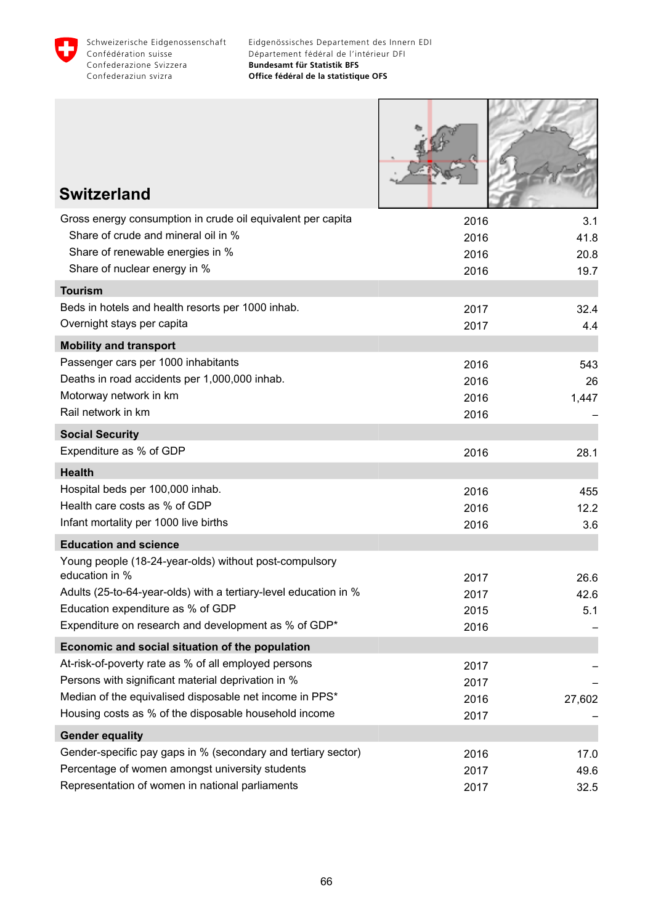

Г

**HANY APPEN** 

| <b>Switzerland</b>                                                       |              |              |
|--------------------------------------------------------------------------|--------------|--------------|
|                                                                          |              |              |
| Gross energy consumption in crude oil equivalent per capita              | 2016         | 3.1          |
| Share of crude and mineral oil in %<br>Share of renewable energies in %  | 2016         | 41.8         |
| Share of nuclear energy in %                                             | 2016<br>2016 | 20.8<br>19.7 |
| <b>Tourism</b>                                                           |              |              |
| Beds in hotels and health resorts per 1000 inhab.                        | 2017         | 32.4         |
| Overnight stays per capita                                               | 2017         | 4.4          |
| <b>Mobility and transport</b>                                            |              |              |
| Passenger cars per 1000 inhabitants                                      | 2016         | 543          |
| Deaths in road accidents per 1,000,000 inhab.                            | 2016         | 26           |
| Motorway network in km                                                   | 2016         | 1,447        |
| Rail network in km                                                       | 2016         |              |
| <b>Social Security</b>                                                   |              |              |
| Expenditure as % of GDP                                                  | 2016         | 28.1         |
| <b>Health</b>                                                            |              |              |
| Hospital beds per 100,000 inhab.                                         | 2016         | 455          |
| Health care costs as % of GDP                                            | 2016         | 12.2         |
| Infant mortality per 1000 live births                                    | 2016         | 3.6          |
| <b>Education and science</b>                                             |              |              |
| Young people (18-24-year-olds) without post-compulsory<br>education in % | 2017         | 26.6         |
| Adults (25-to-64-year-olds) with a tertiary-level education in %         | 2017         | 42.6         |
| Education expenditure as % of GDP                                        | 2015         | 5.1          |
| Expenditure on research and development as % of GDP*                     | 2016         |              |
| Economic and social situation of the population                          |              |              |
| At-risk-of-poverty rate as % of all employed persons                     | 2017         |              |
| Persons with significant material deprivation in %                       | 2017         |              |
| Median of the equivalised disposable net income in PPS*                  | 2016         | 27,602       |
| Housing costs as % of the disposable household income                    | 2017         |              |
| <b>Gender equality</b>                                                   |              |              |
| Gender-specific pay gaps in % (secondary and tertiary sector)            | 2016         | 17.0         |
| Percentage of women amongst university students                          | 2017         | 49.6         |
| Representation of women in national parliaments                          | 2017         | 32.5         |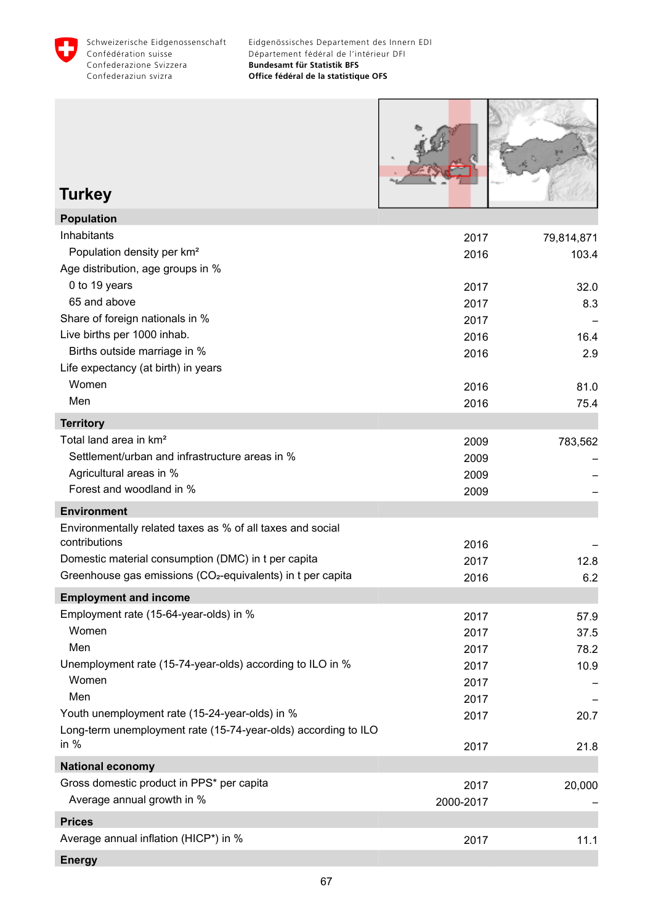



**Turkey**

| 2017      | 79,814,871 |
|-----------|------------|
| 2016      | 103.4      |
|           |            |
| 2017      | 32.0       |
| 2017      | 8.3        |
| 2017      |            |
| 2016      | 16.4       |
| 2016      | 2.9        |
|           |            |
| 2016      | 81.0       |
| 2016      | 75.4       |
|           |            |
| 2009      | 783,562    |
| 2009      |            |
| 2009      |            |
| 2009      |            |
|           |            |
|           |            |
| 2016      |            |
| 2017      | 12.8       |
| 2016      | 6.2        |
|           |            |
| 2017      | 57.9       |
| 2017      | 37.5       |
| 2017      | 78.2       |
| 2017      | 10.9       |
| 2017      |            |
| 2017      |            |
| 2017      | 20.7       |
|           |            |
| 2017      | 21.8       |
|           |            |
| 2017      | 20,000     |
| 2000-2017 |            |
|           |            |
| 2017      | 11.1       |
|           |            |
|           |            |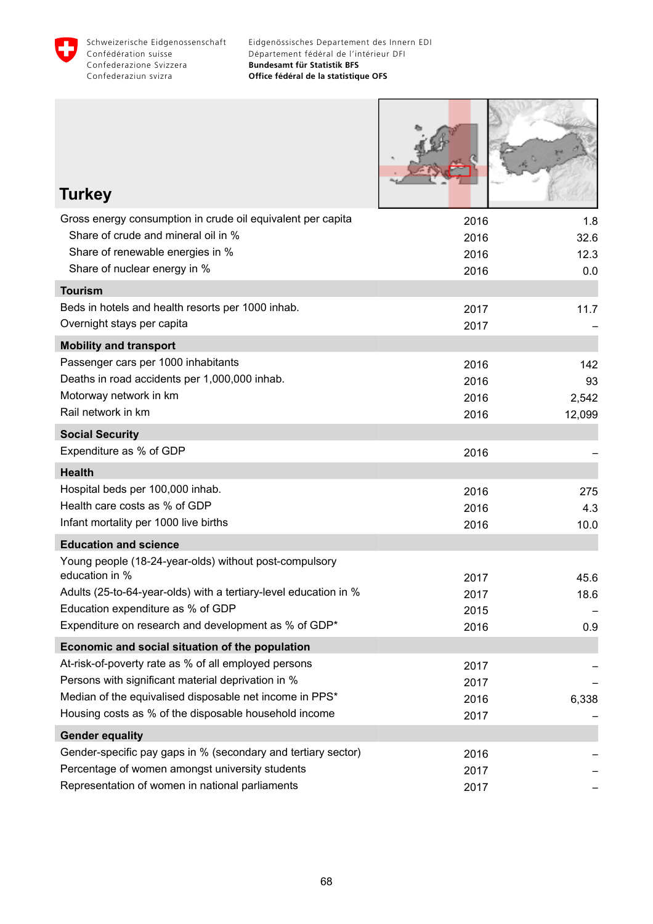

I

**CAMBRIDGE** 

ł

| <b>Turkey</b>                                                            |              |              |
|--------------------------------------------------------------------------|--------------|--------------|
| Gross energy consumption in crude oil equivalent per capita              | 2016         | 1.8          |
| Share of crude and mineral oil in %                                      | 2016         | 32.6         |
| Share of renewable energies in %                                         | 2016         | 12.3         |
| Share of nuclear energy in %                                             | 2016         | 0.0          |
| <b>Tourism</b>                                                           |              |              |
| Beds in hotels and health resorts per 1000 inhab.                        | 2017         | 11.7         |
| Overnight stays per capita                                               | 2017         |              |
| <b>Mobility and transport</b>                                            |              |              |
| Passenger cars per 1000 inhabitants                                      | 2016         | 142          |
| Deaths in road accidents per 1,000,000 inhab.                            | 2016         | 93           |
| Motorway network in km                                                   | 2016         | 2,542        |
| Rail network in km                                                       | 2016         | 12,099       |
| <b>Social Security</b>                                                   |              |              |
| Expenditure as % of GDP                                                  | 2016         |              |
| <b>Health</b>                                                            |              |              |
| Hospital beds per 100,000 inhab.                                         | 2016         | 275          |
| Health care costs as % of GDP                                            | 2016         | 4.3          |
| Infant mortality per 1000 live births                                    | 2016         | 10.0         |
| <b>Education and science</b>                                             |              |              |
| Young people (18-24-year-olds) without post-compulsory<br>education in % |              |              |
| Adults (25-to-64-year-olds) with a tertiary-level education in %         | 2017<br>2017 | 45.6<br>18.6 |
| Education expenditure as % of GDP                                        | 2015         |              |
| Expenditure on research and development as % of GDP*                     | 2016         | 0.9          |
| Economic and social situation of the population                          |              |              |
| At-risk-of-poverty rate as % of all employed persons                     | 2017         |              |
| Persons with significant material deprivation in %                       | 2017         |              |
| Median of the equivalised disposable net income in PPS*                  | 2016         | 6,338        |
| Housing costs as % of the disposable household income                    | 2017         |              |
| <b>Gender equality</b>                                                   |              |              |
| Gender-specific pay gaps in % (secondary and tertiary sector)            | 2016         |              |
| Percentage of women amongst university students                          | 2017         |              |
| Representation of women in national parliaments                          | 2017         |              |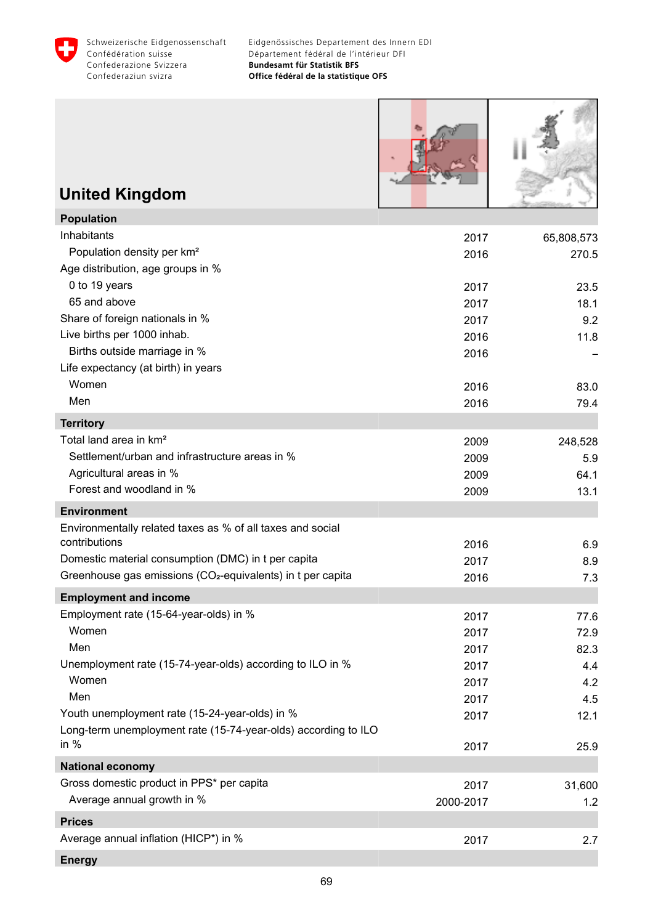

| <b>United Kingdom</b>                                                   |           |            |
|-------------------------------------------------------------------------|-----------|------------|
| <b>Population</b>                                                       |           |            |
| Inhabitants                                                             | 2017      | 65,808,573 |
| Population density per km <sup>2</sup>                                  | 2016      | 270.5      |
| Age distribution, age groups in %                                       |           |            |
| 0 to 19 years                                                           | 2017      | 23.5       |
| 65 and above                                                            | 2017      | 18.1       |
| Share of foreign nationals in %                                         | 2017      | 9.2        |
| Live births per 1000 inhab.                                             | 2016      | 11.8       |
| Births outside marriage in %                                            | 2016      |            |
| Life expectancy (at birth) in years                                     |           |            |
| Women                                                                   | 2016      | 83.0       |
| Men                                                                     | 2016      | 79.4       |
| <b>Territory</b>                                                        |           |            |
| Total land area in km <sup>2</sup>                                      | 2009      | 248,528    |
| Settlement/urban and infrastructure areas in %                          | 2009      | 5.9        |
| Agricultural areas in %                                                 | 2009      | 64.1       |
| Forest and woodland in %                                                | 2009      | 13.1       |
| <b>Environment</b>                                                      |           |            |
| Environmentally related taxes as % of all taxes and social              |           |            |
| contributions                                                           | 2016      | 6.9        |
| Domestic material consumption (DMC) in t per capita                     | 2017      | 8.9        |
| Greenhouse gas emissions (CO <sub>2</sub> -equivalents) in t per capita | 2016      | 7.3        |
| <b>Employment and income</b>                                            |           |            |
| Employment rate (15-64-year-olds) in %                                  | 2017      | 77.6       |
| Women                                                                   | 2017      | 72.9       |
| Men                                                                     | 2017      | 82.3       |
| Unemployment rate (15-74-year-olds) according to ILO in %<br>Women      | 2017      | 4.4        |
| Men                                                                     | 2017      | 4.2        |
| Youth unemployment rate (15-24-year-olds) in %                          | 2017      | 4.5        |
| Long-term unemployment rate (15-74-year-olds) according to ILO          | 2017      | 12.1       |
| in $%$                                                                  | 2017      | 25.9       |
| <b>National economy</b>                                                 |           |            |
| Gross domestic product in PPS* per capita                               | 2017      | 31,600     |
| Average annual growth in %                                              | 2000-2017 | 1.2        |
|                                                                         |           |            |
| <b>Prices</b><br>Average annual inflation (HICP*) in %                  |           |            |
|                                                                         | 2017      | 2.7        |
| <b>Energy</b>                                                           |           |            |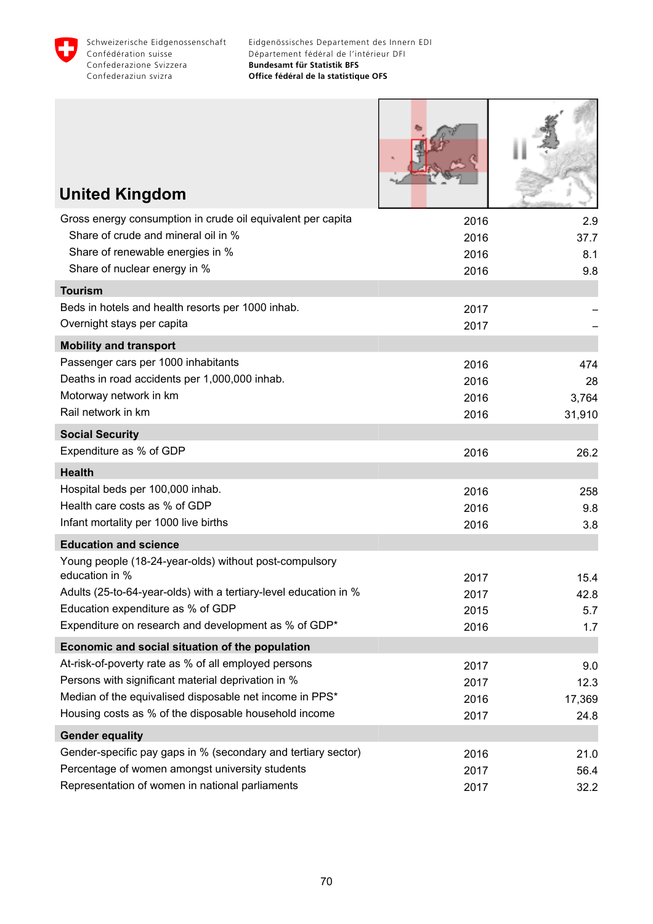

Г

| <b>United Kingdom</b>                                                    |              |              |
|--------------------------------------------------------------------------|--------------|--------------|
| Gross energy consumption in crude oil equivalent per capita              | 2016         | 2.9          |
| Share of crude and mineral oil in %                                      | 2016         | 37.7         |
| Share of renewable energies in %<br>Share of nuclear energy in %         | 2016         | 8.1<br>9.8   |
| <b>Tourism</b>                                                           | 2016         |              |
| Beds in hotels and health resorts per 1000 inhab.                        | 2017         |              |
| Overnight stays per capita                                               | 2017         |              |
| <b>Mobility and transport</b>                                            |              |              |
| Passenger cars per 1000 inhabitants                                      | 2016         | 474          |
| Deaths in road accidents per 1,000,000 inhab.                            | 2016         | 28           |
| Motorway network in km                                                   | 2016         | 3,764        |
| Rail network in km                                                       | 2016         | 31,910       |
| <b>Social Security</b>                                                   |              |              |
| Expenditure as % of GDP                                                  | 2016         | 26.2         |
| <b>Health</b>                                                            |              |              |
| Hospital beds per 100,000 inhab.                                         | 2016         | 258          |
| Health care costs as % of GDP                                            | 2016         | 9.8          |
| Infant mortality per 1000 live births                                    | 2016         | 3.8          |
| <b>Education and science</b>                                             |              |              |
| Young people (18-24-year-olds) without post-compulsory<br>education in % |              |              |
| Adults (25-to-64-year-olds) with a tertiary-level education in %         | 2017<br>2017 | 15.4<br>42.8 |
| Education expenditure as % of GDP                                        | 2015         | 5.7          |
| Expenditure on research and development as % of GDP*                     | 2016         | 1.7          |
| Economic and social situation of the population                          |              |              |
| At-risk-of-poverty rate as % of all employed persons                     | 2017         | 9.0          |
| Persons with significant material deprivation in %                       | 2017         | 12.3         |
| Median of the equivalised disposable net income in PPS*                  | 2016         | 17,369       |
| Housing costs as % of the disposable household income                    | 2017         | 24.8         |
| <b>Gender equality</b>                                                   |              |              |
| Gender-specific pay gaps in % (secondary and tertiary sector)            | 2016         | 21.0         |
| Percentage of women amongst university students                          | 2017         | 56.4         |
| Representation of women in national parliaments                          | 2017         | 32.2         |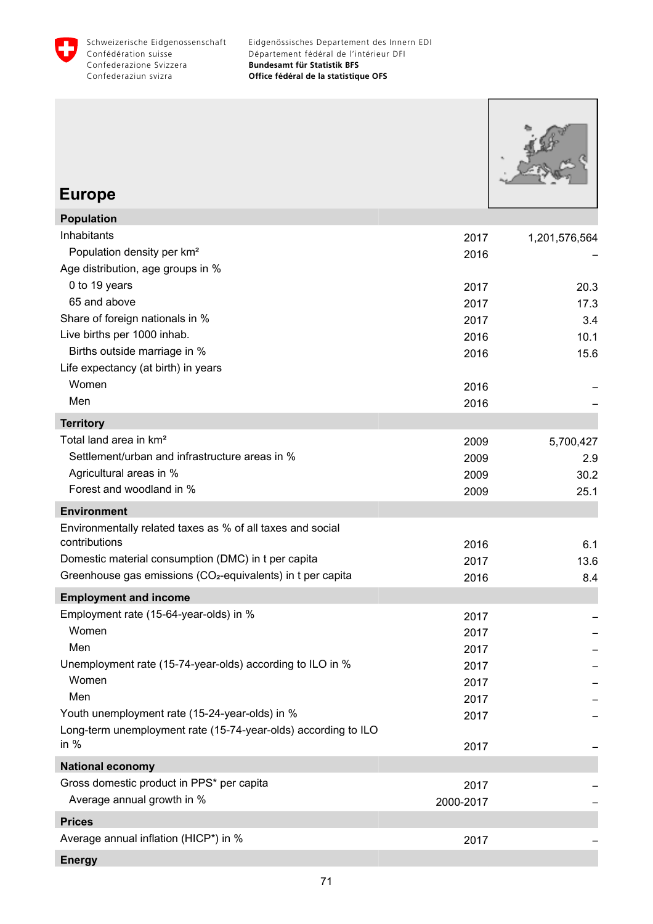

Eidgenössisches Departement des Innern EDI Département fédéral de l'intérieur DFI **Bundesamt für Statistik BFS Office fédéral de la statistique OFS**

| <b>Europe</b>                                                            |           |               |
|--------------------------------------------------------------------------|-----------|---------------|
| Population                                                               |           |               |
| Inhabitants                                                              | 2017      | 1,201,576,564 |
| Population density per km <sup>2</sup>                                   | 2016      |               |
| Age distribution, age groups in %                                        |           |               |
| 0 to 19 years                                                            | 2017      | 20.3          |
| 65 and above                                                             | 2017      | 17.3          |
| Share of foreign nationals in %                                          | 2017      | 3.4           |
| Live births per 1000 inhab.                                              | 2016      | 10.1          |
| Births outside marriage in %                                             | 2016      | 15.6          |
| Life expectancy (at birth) in years                                      |           |               |
| Women                                                                    | 2016      |               |
| Men                                                                      | 2016      |               |
| <b>Territory</b>                                                         |           |               |
| Total land area in km <sup>2</sup>                                       | 2009      | 5,700,427     |
| Settlement/urban and infrastructure areas in %                           | 2009      | 2.9           |
| Agricultural areas in %                                                  | 2009      | 30.2          |
| Forest and woodland in %                                                 | 2009      | 25.1          |
| <b>Environment</b>                                                       |           |               |
| Environmentally related taxes as % of all taxes and social               |           |               |
| contributions                                                            | 2016      | 6.1           |
| Domestic material consumption (DMC) in t per capita                      | 2017      | 13.6          |
| Greenhouse gas emissions (CO <sub>2</sub> -equivalents) in t per capita  | 2016      | 8.4           |
| <b>Employment and income</b>                                             |           |               |
| Employment rate (15-64-year-olds) in %                                   | 2017      |               |
| Women                                                                    | 2017      |               |
| Men                                                                      | 2017      |               |
| Unemployment rate (15-74-year-olds) according to ILO in %                | 2017      |               |
| Women                                                                    | 2017      |               |
| Men                                                                      | 2017      |               |
| Youth unemployment rate (15-24-year-olds) in %                           | 2017      |               |
| Long-term unemployment rate (15-74-year-olds) according to ILO<br>in $%$ | 2017      |               |
| <b>National economy</b>                                                  |           |               |
| Gross domestic product in PPS* per capita                                | 2017      |               |
| Average annual growth in %                                               | 2000-2017 |               |
| <b>Prices</b>                                                            |           |               |
| Average annual inflation (HICP*) in %                                    | 2017      |               |
|                                                                          |           |               |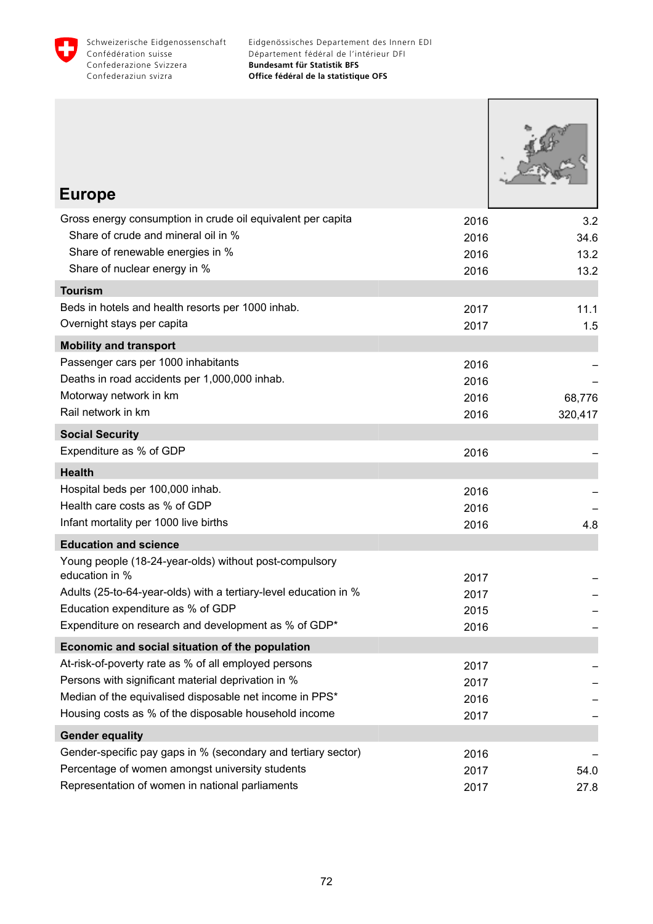

Eidgenössisches Departement des Innern EDI Département fédéral de l'intérieur DFI **Bundesamt für Statistik BFS Office fédéral de la statistique OFS**

| <b>Europe</b>                                                                                              |              |         |
|------------------------------------------------------------------------------------------------------------|--------------|---------|
| Gross energy consumption in crude oil equivalent per capita                                                | 2016         | 3.2     |
| Share of crude and mineral oil in %                                                                        | 2016         | 34.6    |
| Share of renewable energies in %                                                                           | 2016         | 13.2    |
| Share of nuclear energy in %                                                                               | 2016         | 13.2    |
| <b>Tourism</b>                                                                                             |              |         |
| Beds in hotels and health resorts per 1000 inhab.                                                          | 2017         | 11.1    |
| Overnight stays per capita                                                                                 | 2017         | 1.5     |
| <b>Mobility and transport</b>                                                                              |              |         |
| Passenger cars per 1000 inhabitants                                                                        | 2016         |         |
| Deaths in road accidents per 1,000,000 inhab.                                                              | 2016         |         |
| Motorway network in km                                                                                     | 2016         | 68,776  |
| Rail network in km                                                                                         | 2016         | 320,417 |
| <b>Social Security</b>                                                                                     |              |         |
| Expenditure as % of GDP                                                                                    | 2016         |         |
| <b>Health</b>                                                                                              |              |         |
| Hospital beds per 100,000 inhab.                                                                           | 2016         |         |
| Health care costs as % of GDP                                                                              | 2016         |         |
| Infant mortality per 1000 live births                                                                      | 2016         | 4.8     |
| <b>Education and science</b>                                                                               |              |         |
| Young people (18-24-year-olds) without post-compulsory                                                     |              |         |
| education in %                                                                                             | 2017         |         |
| Adults (25-to-64-year-olds) with a tertiary-level education in %<br>Education expenditure as % of GDP      | 2017         |         |
| Expenditure on research and development as % of GDP*                                                       | 2015         |         |
|                                                                                                            | 2016         |         |
| Economic and social situation of the population                                                            |              |         |
| At-risk-of-poverty rate as % of all employed persons<br>Persons with significant material deprivation in % | 2017         |         |
| Median of the equivalised disposable net income in PPS*                                                    | 2017<br>2016 |         |
| Housing costs as % of the disposable household income                                                      | 2017         |         |
| <b>Gender equality</b>                                                                                     |              |         |
| Gender-specific pay gaps in % (secondary and tertiary sector)                                              | 2016         |         |
| Percentage of women amongst university students                                                            | 2017         | 54.0    |
| Representation of women in national parliaments                                                            | 2017         | 27.8    |